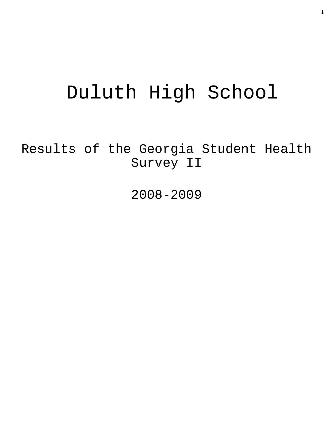# Duluth High School

Results of the Georgia Student Health Survey II

2008-2009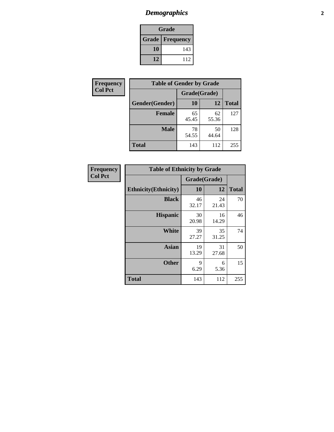# *Demographics* **2**

| Grade                    |     |  |  |  |
|--------------------------|-----|--|--|--|
| <b>Grade   Frequency</b> |     |  |  |  |
| 10                       | 143 |  |  |  |
| 12                       | 112 |  |  |  |

| Frequency      | <b>Table of Gender by Grade</b> |              |             |              |  |  |
|----------------|---------------------------------|--------------|-------------|--------------|--|--|
| <b>Col Pct</b> |                                 | Grade(Grade) |             |              |  |  |
|                | Gender(Gender)                  | 10           | 12          | <b>Total</b> |  |  |
|                | <b>Female</b>                   | 65<br>45.45  | 62<br>55.36 | 127          |  |  |
|                | <b>Male</b>                     | 78<br>54.55  | 50<br>44.64 | 128          |  |  |
|                | <b>Total</b>                    | 143          | 112         | 255          |  |  |

| <b>Frequency</b> |
|------------------|
| <b>Col Pct</b>   |

| <b>Table of Ethnicity by Grade</b> |              |             |              |  |  |  |
|------------------------------------|--------------|-------------|--------------|--|--|--|
|                                    | Grade(Grade) |             |              |  |  |  |
| <b>Ethnicity</b> (Ethnicity)       | 10           | 12          | <b>Total</b> |  |  |  |
| <b>Black</b>                       | 46<br>32.17  | 24<br>21.43 | 70           |  |  |  |
| <b>Hispanic</b>                    | 30<br>20.98  | 16<br>14.29 | 46           |  |  |  |
| White                              | 39<br>27.27  | 35<br>31.25 | 74           |  |  |  |
| <b>Asian</b>                       | 19<br>13.29  | 31<br>27.68 | 50           |  |  |  |
| <b>Other</b>                       | 9<br>6.29    | 6<br>5.36   | 15           |  |  |  |
| <b>Total</b>                       | 143          | 112         | 255          |  |  |  |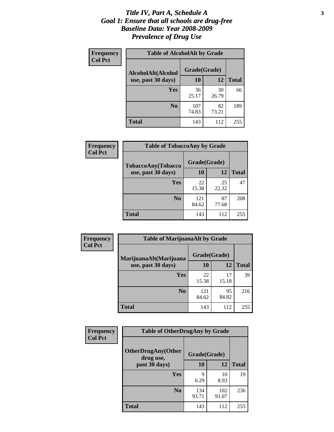#### *Title IV, Part A, Schedule A* **3** *Goal 1: Ensure that all schools are drug-free Baseline Data: Year 2008-2009 Prevalence of Drug Use*

| Frequency<br><b>Col Pct</b> | <b>Table of AlcoholAlt by Grade</b> |              |             |              |  |  |
|-----------------------------|-------------------------------------|--------------|-------------|--------------|--|--|
|                             | AlcoholAlt(Alcohol                  | Grade(Grade) |             |              |  |  |
|                             | use, past 30 days)                  | 10           | 12          | <b>Total</b> |  |  |
|                             | Yes                                 | 36<br>25.17  | 30<br>26.79 | 66           |  |  |
|                             | N <sub>0</sub>                      | 107<br>74.83 | 82<br>73.21 | 189          |  |  |
|                             | Total                               | 143          | 112         | 255          |  |  |

| Frequency      | <b>Table of TobaccoAny by Grade</b> |              |             |              |  |
|----------------|-------------------------------------|--------------|-------------|--------------|--|
| <b>Col Pct</b> | TobaccoAny(Tobacco                  | Grade(Grade) |             |              |  |
|                | use, past 30 days)                  | 10           | 12          | <b>Total</b> |  |
|                | Yes                                 | 22<br>15.38  | 25<br>22.32 | 47           |  |
|                | N <sub>0</sub>                      | 121<br>84.62 | 87<br>77.68 | 208          |  |
|                | Total                               | 143          | 112         | 255          |  |

| Frequency      | <b>Table of MarijuanaAlt by Grade</b> |              |             |              |  |
|----------------|---------------------------------------|--------------|-------------|--------------|--|
| <b>Col Pct</b> | MarijuanaAlt(Marijuana                | Grade(Grade) |             |              |  |
|                | use, past 30 days)                    | 10           | 12          | <b>Total</b> |  |
|                | Yes                                   | 22<br>15.38  | 17<br>15.18 | 39           |  |
|                | N <sub>0</sub>                        | 121<br>84.62 | 95<br>84.82 | 216          |  |
|                | <b>Total</b>                          | 143          | 112         | 255          |  |

| Frequency<br><b>Col Pct</b> | <b>Table of OtherDrugAny by Grade</b>  |              |              |              |  |
|-----------------------------|----------------------------------------|--------------|--------------|--------------|--|
|                             | <b>OtherDrugAny(Other</b><br>drug use, | Grade(Grade) |              |              |  |
|                             | past 30 days)                          | <b>10</b>    | 12           | <b>Total</b> |  |
|                             | <b>Yes</b>                             | q<br>6.29    | 10<br>8.93   | 19           |  |
|                             | N <sub>0</sub>                         | 134<br>93.71 | 102<br>91.07 | 236          |  |
|                             | <b>Total</b>                           | 143          | 112          | 255          |  |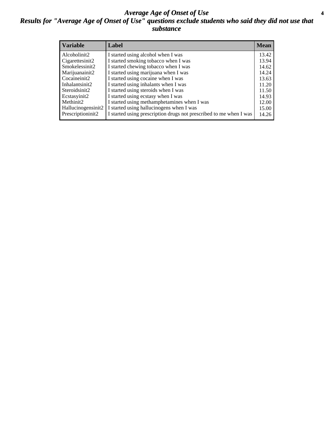#### *Average Age of Onset of Use* **4** *Results for "Average Age of Onset of Use" questions exclude students who said they did not use that substance*

| <b>Variable</b>    | Label                                                              | <b>Mean</b> |
|--------------------|--------------------------------------------------------------------|-------------|
| Alcoholinit2       | I started using alcohol when I was                                 | 13.42       |
| Cigarettesinit2    | I started smoking tobacco when I was                               | 13.94       |
| Smokelessinit2     | I started chewing tobacco when I was                               | 14.62       |
| Marijuanainit2     | I started using marijuana when I was                               | 14.24       |
| Cocaineinit2       | I started using cocaine when I was                                 | 13.63       |
| Inhalantsinit2     | I started using inhalants when I was                               | 11.20       |
| Steroidsinit2      | I started using steroids when I was                                | 11.50       |
| Ecstasyinit2       | I started using ecstasy when I was                                 | 14.93       |
| Methinit2          | I started using methamphetamines when I was                        | 12.00       |
| Hallucinogensinit2 | I started using hallucinogens when I was                           | 15.00       |
| Prescriptioninit2  | I started using prescription drugs not prescribed to me when I was | 14.26       |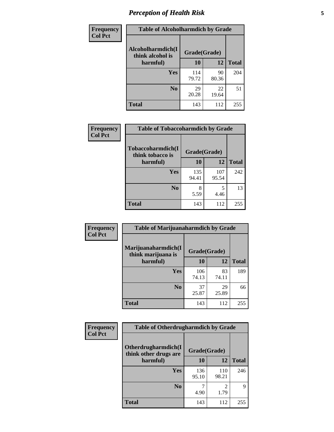# *Perception of Health Risk* **5**

| <b>Frequency</b> | <b>Table of Alcoholharmdich by Grade</b> |              |             |              |  |
|------------------|------------------------------------------|--------------|-------------|--------------|--|
| <b>Col Pct</b>   | Alcoholharmdich(I<br>think alcohol is    | Grade(Grade) |             |              |  |
|                  | harmful)                                 | 10           | 12          | <b>Total</b> |  |
|                  | <b>Yes</b>                               | 114<br>79.72 | 90<br>80.36 | 204          |  |
|                  | N <sub>0</sub>                           | 29<br>20.28  | 22<br>19.64 | 51           |  |
|                  | <b>Total</b>                             | 143          | 112         | 255          |  |

| Frequency      | <b>Table of Tobaccoharmdich by Grade</b> |              |              |              |  |
|----------------|------------------------------------------|--------------|--------------|--------------|--|
| <b>Col Pct</b> | Tobaccoharmdich(I<br>think tobacco is    | Grade(Grade) |              |              |  |
|                | harmful)                                 | 10           | 12           | <b>Total</b> |  |
|                | Yes                                      | 135<br>94.41 | 107<br>95.54 | 242          |  |
|                | N <sub>0</sub>                           | 8<br>5.59    | 5<br>4.46    | 13           |  |
|                | Total                                    | 143          | 112          | 255          |  |

| Frequency      | <b>Table of Marijuanaharmdich by Grade</b> |              |             |              |  |  |
|----------------|--------------------------------------------|--------------|-------------|--------------|--|--|
| <b>Col Pct</b> | Marijuanaharmdich(I<br>think marijuana is  | Grade(Grade) |             |              |  |  |
|                | harmful)                                   | <b>10</b>    | 12          | <b>Total</b> |  |  |
|                | Yes                                        | 106<br>74.13 | 83<br>74.11 | 189          |  |  |
|                | N <sub>0</sub>                             | 37<br>25.87  | 29<br>25.89 | 66           |  |  |
|                | <b>Total</b>                               | 143          | 112         | 255          |  |  |

| <b>Frequency</b> | <b>Table of Otherdrugharmdich by Grade</b>   |              |              |              |  |  |
|------------------|----------------------------------------------|--------------|--------------|--------------|--|--|
| <b>Col Pct</b>   | Otherdrugharmdich(I<br>think other drugs are | Grade(Grade) |              |              |  |  |
|                  | harmful)                                     | 10           | 12           | <b>Total</b> |  |  |
|                  | Yes                                          | 136<br>95.10 | 110<br>98.21 | 246          |  |  |
|                  | N <sub>0</sub>                               | 4.90         | 1.79         | 9            |  |  |
|                  | <b>Total</b>                                 | 143          | 112          | 255          |  |  |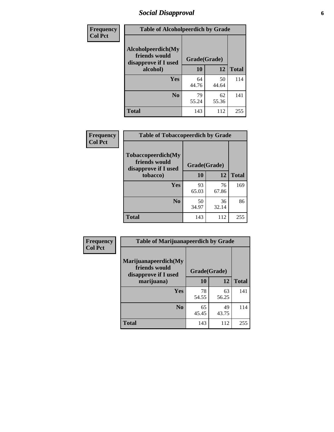# *Social Disapproval* **6**

| Frequency      | <b>Table of Alcoholpeerdich by Grade</b>                    |              |             |              |  |  |
|----------------|-------------------------------------------------------------|--------------|-------------|--------------|--|--|
| <b>Col Pct</b> | Alcoholpeerdich(My<br>friends would<br>disapprove if I used | Grade(Grade) |             |              |  |  |
|                | alcohol)                                                    | 10           | 12          | <b>Total</b> |  |  |
|                | <b>Yes</b>                                                  | 64<br>44.76  | 50<br>44.64 | 114          |  |  |
|                | N <sub>0</sub>                                              | 79<br>55.24  | 62<br>55.36 | 141          |  |  |
|                | <b>Total</b>                                                | 143          | 112         | 255          |  |  |

| <b>Frequency</b> |
|------------------|
| <b>Col Pct</b>   |

| <b>Table of Tobaccopeerdich by Grade</b>                            |              |             |              |  |
|---------------------------------------------------------------------|--------------|-------------|--------------|--|
| <b>Tobaccopeerdich</b> (My<br>friends would<br>disapprove if I used | Grade(Grade) |             |              |  |
| tobacco)                                                            | 10           | 12          | <b>Total</b> |  |
| Yes                                                                 | 93<br>65.03  | 76<br>67.86 | 169          |  |
| N <sub>0</sub>                                                      | 50<br>34.97  | 36<br>32.14 | 86           |  |
| <b>Total</b>                                                        | 143          | 112         | 255          |  |

| <b>Frequency</b> | <b>Table of Marijuanapeerdich by Grade</b>                    |              |             |              |  |  |
|------------------|---------------------------------------------------------------|--------------|-------------|--------------|--|--|
| <b>Col Pct</b>   | Marijuanapeerdich(My<br>friends would<br>disapprove if I used | Grade(Grade) |             |              |  |  |
|                  | marijuana)                                                    | 10           | 12          | <b>Total</b> |  |  |
|                  | <b>Yes</b>                                                    | 78<br>54.55  | 63<br>56.25 | 141          |  |  |
|                  | N <sub>0</sub>                                                | 65<br>45.45  | 49<br>43.75 | 114          |  |  |
|                  | <b>Total</b>                                                  | 143          | 112         | 255          |  |  |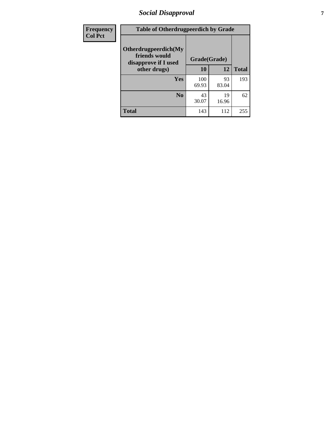# *Social Disapproval* **7**

| Frequency      | <b>Table of Otherdrugpeerdich by Grade</b>                    |              |             |              |  |  |
|----------------|---------------------------------------------------------------|--------------|-------------|--------------|--|--|
| <b>Col Pct</b> | Otherdrugpeerdich(My<br>friends would<br>disapprove if I used | Grade(Grade) |             |              |  |  |
|                | other drugs)                                                  | 10           | 12          | <b>Total</b> |  |  |
|                | Yes                                                           | 100<br>69.93 | 93<br>83.04 | 193          |  |  |
|                | N <sub>0</sub>                                                | 43<br>30.07  | 19<br>16.96 | 62           |  |  |
|                | <b>Total</b>                                                  | 143          | 112         | 255          |  |  |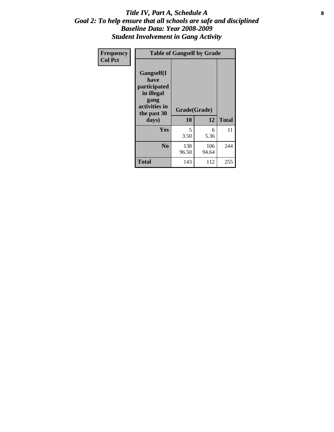#### Title IV, Part A, Schedule A **8** *Goal 2: To help ensure that all schools are safe and disciplined Baseline Data: Year 2008-2009 Student Involvement in Gang Activity*

| Frequency      | <b>Table of Gangself by Grade</b>                                                                 |                    |              |              |
|----------------|---------------------------------------------------------------------------------------------------|--------------------|--------------|--------------|
| <b>Col Pct</b> | Gangself(I<br>have<br>participated<br>in illegal<br>gang<br>activities in<br>the past 30<br>days) | Grade(Grade)<br>10 | 12           | <b>Total</b> |
|                | Yes                                                                                               | 5<br>3.50          | 6<br>5.36    | 11           |
|                | N <sub>0</sub>                                                                                    | 138<br>96.50       | 106<br>94.64 | 244          |
|                | <b>Total</b>                                                                                      | 143                | 112          | 255          |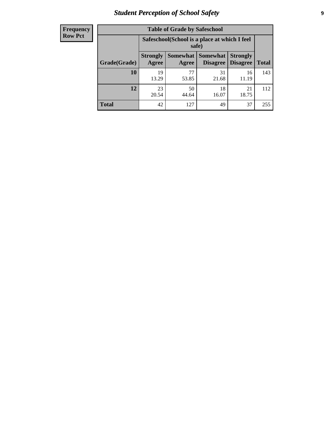# *Student Perception of School Safety* **9**

| <b>Frequency</b><br>Row Pct |
|-----------------------------|
|                             |

| <b>Table of Grade by Safeschool</b> |                                                                                                                          |             |             |             |     |  |
|-------------------------------------|--------------------------------------------------------------------------------------------------------------------------|-------------|-------------|-------------|-----|--|
|                                     | Safeschool (School is a place at which I feel<br>safe)                                                                   |             |             |             |     |  |
| Grade(Grade)                        | Somewhat Somewhat<br><b>Strongly</b><br><b>Strongly</b><br><b>Disagree</b><br>Agree<br>Disagree<br><b>Total</b><br>Agree |             |             |             |     |  |
| 10                                  | 19<br>13.29                                                                                                              | 77<br>53.85 | 31<br>21.68 | 16<br>11.19 | 143 |  |
| 12                                  | 23<br>20.54                                                                                                              | 50<br>44.64 | 18<br>16.07 | 21<br>18.75 | 112 |  |
| <b>Total</b>                        | 42                                                                                                                       | 127         | 49          | 37          | 255 |  |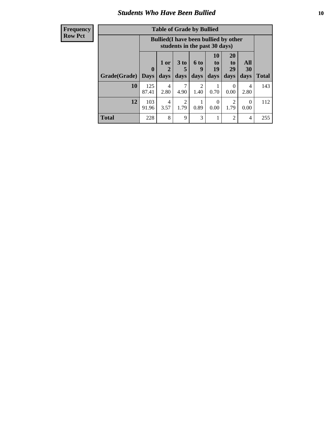### *Students Who Have Been Bullied* **10**

#### **Frequency Row Pct**

| <b>Table of Grade by Bullied</b> |                             |                                                                               |                              |                        |                        |                        |                   |              |
|----------------------------------|-----------------------------|-------------------------------------------------------------------------------|------------------------------|------------------------|------------------------|------------------------|-------------------|--------------|
|                                  |                             | <b>Bullied</b> (I have been bullied by other<br>students in the past 30 days) |                              |                        |                        |                        |                   |              |
| Grade(Grade)                     | $\mathbf{0}$<br><b>Days</b> | 1 or<br>2<br>days                                                             | 3 <sub>to</sub><br>5<br>days | 6 to<br>9<br>days      | 10<br>to<br>19<br>days | 20<br>to<br>29<br>days | All<br>30<br>days | <b>Total</b> |
| 10                               | 125<br>87.41                | 4<br>2.80                                                                     | 7<br>4.90                    | $\overline{2}$<br>1.40 | 0.70                   | $\theta$<br>0.00       | 4<br>2.80         | 143          |
| 12                               | 103<br>91.96                | $\overline{4}$<br>3.57                                                        | $\overline{2}$<br>1.79       | 0.89                   | 0<br>0.00              | $\overline{2}$<br>1.79 | 0<br>0.00         | 112          |
| <b>Total</b>                     | 228                         | 8                                                                             | 9                            | 3                      | 1                      | $\overline{c}$         | 4                 | 255          |

 $\blacksquare$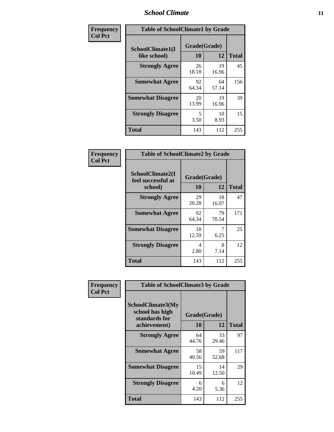#### *School Climate* **11**

| Frequency      | <b>Table of SchoolClimate1 by Grade</b> |                    |             |              |  |  |
|----------------|-----------------------------------------|--------------------|-------------|--------------|--|--|
| <b>Col Pct</b> | SchoolClimate1(I<br>like school)        | Grade(Grade)<br>10 | 12          | <b>Total</b> |  |  |
|                | <b>Strongly Agree</b>                   | 26<br>18.18        | 19<br>16.96 | 45           |  |  |
|                | <b>Somewhat Agree</b>                   | 92<br>64.34        | 64<br>57.14 | 156          |  |  |
|                | <b>Somewhat Disagree</b>                | 20<br>13.99        | 19<br>16.96 | 39           |  |  |
|                | <b>Strongly Disagree</b>                | 5<br>3.50          | 10<br>8.93  | 15           |  |  |
|                | <b>Total</b>                            | 143                | 112         | 255          |  |  |

| Frequency      | <b>Table of SchoolClimate2 by Grade</b>           |                    |             |              |  |  |
|----------------|---------------------------------------------------|--------------------|-------------|--------------|--|--|
| <b>Col Pct</b> | SchoolClimate2(I<br>feel successful at<br>school) | Grade(Grade)<br>10 | 12          | <b>Total</b> |  |  |
|                | <b>Strongly Agree</b>                             | 29<br>20.28        | 18<br>16.07 | 47           |  |  |
|                | <b>Somewhat Agree</b>                             | 92<br>64.34        | 79<br>70.54 | 171          |  |  |
|                | <b>Somewhat Disagree</b>                          | 18<br>12.59        | 6.25        | 25           |  |  |
|                | <b>Strongly Disagree</b>                          | 4<br>2.80          | 8<br>7.14   | 12           |  |  |
|                | <b>Total</b>                                      | 143                | 112         | 255          |  |  |

|                | <b>Table of SchoolClimate3 by Grade</b>                      |              |             |              |
|----------------|--------------------------------------------------------------|--------------|-------------|--------------|
| Frequency      |                                                              |              |             |              |
| <b>Col Pct</b> | <b>SchoolClimate3(My</b><br>school has high<br>standards for | Grade(Grade) | 12          | <b>Total</b> |
|                | achievement)                                                 | <b>10</b>    |             |              |
|                | <b>Strongly Agree</b>                                        | 64<br>44.76  | 33<br>29.46 | 97           |
|                | <b>Somewhat Agree</b>                                        | 58<br>40.56  | 59<br>52.68 | 117          |
|                | <b>Somewhat Disagree</b>                                     | 15<br>10.49  | 14<br>12.50 | 29           |
|                | <b>Strongly Disagree</b>                                     | 6<br>4.20    | 6<br>5.36   | 12           |
|                | Total                                                        | 143          | 112         | 255          |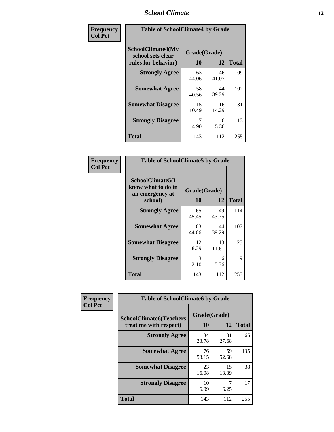#### *School Climate* **12**

| Frequency      | <b>Table of SchoolClimate4 by Grade</b>                       |                    |             |              |
|----------------|---------------------------------------------------------------|--------------------|-------------|--------------|
| <b>Col Pct</b> | SchoolClimate4(My<br>school sets clear<br>rules for behavior) | Grade(Grade)<br>10 | 12          | <b>Total</b> |
|                | <b>Strongly Agree</b>                                         | 63<br>44.06        | 46<br>41.07 | 109          |
|                | <b>Somewhat Agree</b>                                         | 58<br>40.56        | 44<br>39.29 | 102          |
|                | <b>Somewhat Disagree</b>                                      | 15<br>10.49        | 16<br>14.29 | 31           |
|                | <b>Strongly Disagree</b>                                      | 7<br>4.90          | 6<br>5.36   | 13           |
|                | <b>Total</b>                                                  | 143                | 112         | 255          |

| <b>Table of SchoolClimate5 by Grade</b>                              |                    |              |     |  |
|----------------------------------------------------------------------|--------------------|--------------|-----|--|
| SchoolClimate5(I<br>know what to do in<br>an emergency at<br>school) | Grade(Grade)<br>10 | <b>Total</b> |     |  |
| <b>Strongly Agree</b>                                                | 65<br>45.45        | 49<br>43.75  | 114 |  |
| <b>Somewhat Agree</b>                                                | 63<br>44.06        | 44<br>39.29  | 107 |  |
| <b>Somewhat Disagree</b>                                             | 12<br>8.39         | 13<br>11.61  | 25  |  |
| <b>Strongly Disagree</b>                                             | 3<br>2.10          | 6<br>5.36    | 9   |  |
| <b>Total</b>                                                         | 143                | 112          | 255 |  |

| <b>Frequency</b><br><b>Col Pct</b> | <b>Table of SchoolClimate6 by Grade</b>                  |                    |             |              |  |
|------------------------------------|----------------------------------------------------------|--------------------|-------------|--------------|--|
|                                    | <b>SchoolClimate6(Teachers</b><br>treat me with respect) | Grade(Grade)<br>10 | 12          | <b>Total</b> |  |
|                                    | <b>Strongly Agree</b>                                    | 34<br>23.78        | 31<br>27.68 | 65           |  |
|                                    | <b>Somewhat Agree</b>                                    | 76<br>53.15        | 59<br>52.68 | 135          |  |
|                                    | <b>Somewhat Disagree</b>                                 | 23<br>16.08        | 15<br>13.39 | 38           |  |
|                                    | <b>Strongly Disagree</b>                                 | 10<br>6.99         | 6.25        | 17           |  |
|                                    | <b>Total</b>                                             | 143                | 112         | 255          |  |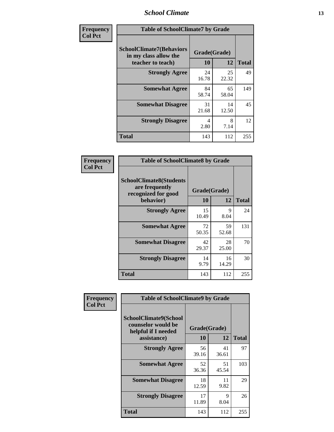#### *School Climate* **13**

| Frequency      | <b>Table of SchoolClimate7 by Grade</b>                                       |                           |             |              |
|----------------|-------------------------------------------------------------------------------|---------------------------|-------------|--------------|
| <b>Col Pct</b> | <b>SchoolClimate7(Behaviors</b><br>in my class allow the<br>teacher to teach) | Grade(Grade)<br><b>10</b> | 12          | <b>Total</b> |
|                | <b>Strongly Agree</b>                                                         | 24<br>16.78               | 25<br>22.32 | 49           |
|                | <b>Somewhat Agree</b>                                                         | 84<br>58.74               | 65<br>58.04 | 149          |
|                | <b>Somewhat Disagree</b>                                                      | 31<br>21.68               | 14<br>12.50 | 45           |
|                | <b>Strongly Disagree</b>                                                      | 4<br>2.80                 | 8<br>7.14   | 12           |
|                | <b>Total</b>                                                                  | 143                       | 112         | 255          |

| Frequency      | <b>Table of SchoolClimate8 by Grade</b>                                              |                    |             |              |
|----------------|--------------------------------------------------------------------------------------|--------------------|-------------|--------------|
| <b>Col Pct</b> | <b>SchoolClimate8(Students</b><br>are frequently<br>recognized for good<br>behavior) | Grade(Grade)<br>10 | 12          | <b>Total</b> |
|                | <b>Strongly Agree</b>                                                                | 15<br>10.49        | 9<br>8.04   | 24           |
|                | <b>Somewhat Agree</b>                                                                | 72<br>50.35        | 59<br>52.68 | 131          |
|                | <b>Somewhat Disagree</b>                                                             | 42<br>29.37        | 28<br>25.00 | 70           |
|                | <b>Strongly Disagree</b>                                                             | 14<br>9.79         | 16<br>14.29 | 30           |
|                | <b>Total</b>                                                                         | 143                | 112         | 255          |

| <b>Frequency</b> | <b>Table of SchoolClimate9 by Grade</b>                                           |                    |             |              |
|------------------|-----------------------------------------------------------------------------------|--------------------|-------------|--------------|
| <b>Col Pct</b>   | SchoolClimate9(School<br>counselor would be<br>helpful if I needed<br>assistance) | Grade(Grade)<br>10 | 12          | <b>Total</b> |
|                  | <b>Strongly Agree</b>                                                             | 56<br>39.16        | 41<br>36.61 | 97           |
|                  | <b>Somewhat Agree</b>                                                             | 52<br>36.36        | 51<br>45.54 | 103          |
|                  | <b>Somewhat Disagree</b>                                                          | 18<br>12.59        | 11<br>9.82  | 29           |
|                  | <b>Strongly Disagree</b>                                                          | 17<br>11.89        | 9<br>8.04   | 26           |
|                  | Total                                                                             | 143                | 112         | 255          |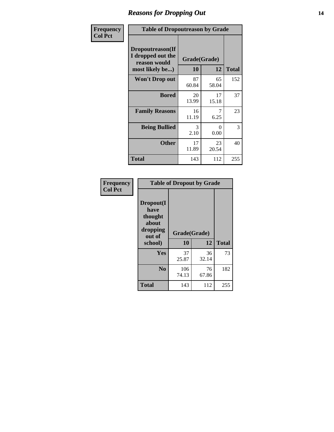### *Reasons for Dropping Out* **14**

| Frequency      | <b>Table of Dropoutreason by Grade</b>                                   |                    |             |              |
|----------------|--------------------------------------------------------------------------|--------------------|-------------|--------------|
| <b>Col Pct</b> | Dropoutreason(If<br>I dropped out the<br>reason would<br>most likely be) | Grade(Grade)<br>10 | 12          | <b>Total</b> |
|                | Won't Drop out                                                           | 87<br>60.84        | 65<br>58.04 | 152          |
|                | <b>Bored</b>                                                             | 20<br>13.99        | 17<br>15.18 | 37           |
|                | <b>Family Reasons</b>                                                    | 16<br>11.19        | 7<br>6.25   | 23           |
|                | <b>Being Bullied</b>                                                     | 3<br>2.10          | 0<br>0.00   | 3            |
|                | <b>Other</b>                                                             | 17<br>11.89        | 23<br>20.54 | 40           |
|                | Total                                                                    | 143                | 112         | 255          |

| Frequency      |                                                                        |              | <b>Table of Dropout by Grade</b> |                    |  |  |
|----------------|------------------------------------------------------------------------|--------------|----------------------------------|--------------------|--|--|
| <b>Col Pct</b> | Dropout(I<br>have<br>thought<br>about<br>dropping<br>out of<br>school) |              | Grade(Grade)<br>10<br>12         |                    |  |  |
|                | Yes                                                                    | 37           | 36                               | <b>Total</b><br>73 |  |  |
|                |                                                                        | 25.87        | 32.14                            |                    |  |  |
|                | N <sub>0</sub>                                                         | 106<br>74.13 | 76<br>67.86                      | 182                |  |  |
|                | <b>Total</b>                                                           | 143          | 112                              | 255                |  |  |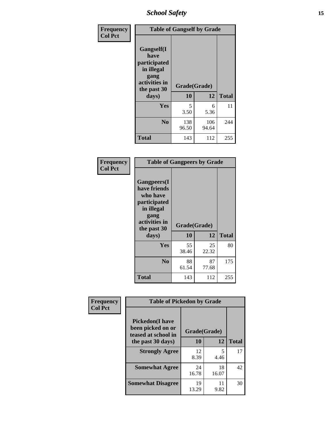*School Safety* **15**

| Frequency      | <b>Table of Gangself by Grade</b>                                                                 |                    |              |              |
|----------------|---------------------------------------------------------------------------------------------------|--------------------|--------------|--------------|
| <b>Col Pct</b> | Gangself(I<br>have<br>participated<br>in illegal<br>gang<br>activities in<br>the past 30<br>days) | Grade(Grade)<br>10 | 12           | <b>Total</b> |
|                |                                                                                                   |                    |              |              |
|                | Yes                                                                                               | 5<br>3.50          | 6<br>5.36    | 11           |
|                | N <sub>0</sub>                                                                                    | 138<br>96.50       | 106<br>94.64 | 244          |
|                | <b>Total</b>                                                                                      | 143                | 112          | 255          |

| Frequency<br><b>Col Pct</b> | <b>Table of Gangpeers by Grade</b>                                                                                             |                    |             |              |
|-----------------------------|--------------------------------------------------------------------------------------------------------------------------------|--------------------|-------------|--------------|
|                             | <b>Gangpeers</b> (I<br>have friends<br>who have<br>participated<br>in illegal<br>gang<br>activities in<br>the past 30<br>days) | Grade(Grade)<br>10 | 12          | <b>Total</b> |
|                             | <b>Yes</b>                                                                                                                     | 55<br>38.46        | 25<br>22.32 | 80           |
|                             | N <sub>0</sub>                                                                                                                 | 88<br>61.54        | 87<br>77.68 | 175          |
|                             | <b>Total</b>                                                                                                                   | 143                | 112         | 255          |

| Frequency      | <b>Table of Pickedon by Grade</b>                                  |              |             |              |
|----------------|--------------------------------------------------------------------|--------------|-------------|--------------|
| <b>Col Pct</b> | <b>Pickedon(I have</b><br>been picked on or<br>teased at school in | Grade(Grade) |             |              |
|                | the past 30 days)                                                  | 10           | 12          | <b>Total</b> |
|                | <b>Strongly Agree</b>                                              | 12<br>8.39   | 5<br>4.46   | 17           |
|                | <b>Somewhat Agree</b>                                              | 24<br>16.78  | 18<br>16.07 | 42           |
|                | <b>Somewhat Disagree</b>                                           | 19<br>13.29  | 11<br>9.82  | 30           |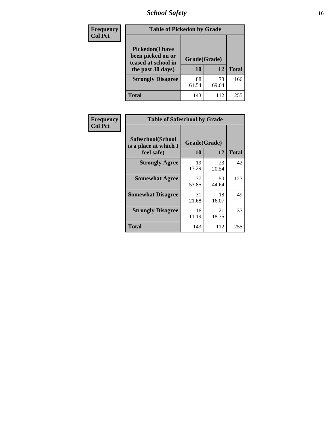# *School Safety* **16**

| <b>Frequency</b> | <b>Table of Pickedon by Grade</b>                                                        |                    |             |              |
|------------------|------------------------------------------------------------------------------------------|--------------------|-------------|--------------|
| <b>Col Pct</b>   | <b>Pickedon</b> (I have<br>been picked on or<br>teased at school in<br>the past 30 days) | Grade(Grade)<br>10 | 12          | <b>Total</b> |
|                  | <b>Strongly Disagree</b>                                                                 | 88<br>61.54        | 78<br>69.64 | 166          |
|                  | Total                                                                                    | 143                | 112         | 255          |

| Frequency      | <b>Table of Safeschool by Grade</b>                      |                    |             |              |
|----------------|----------------------------------------------------------|--------------------|-------------|--------------|
| <b>Col Pct</b> | Safeschool(School<br>is a place at which I<br>feel safe) | Grade(Grade)<br>10 | 12          | <b>Total</b> |
|                | <b>Strongly Agree</b>                                    | 19<br>13.29        | 23<br>20.54 | 42           |
|                | <b>Somewhat Agree</b>                                    | 77<br>53.85        | 50<br>44.64 | 127          |
|                | <b>Somewhat Disagree</b>                                 | 31<br>21.68        | 18<br>16.07 | 49           |
|                | <b>Strongly Disagree</b>                                 | 16<br>11.19        | 21<br>18.75 | 37           |
|                | Total                                                    | 143                | 112         | 255          |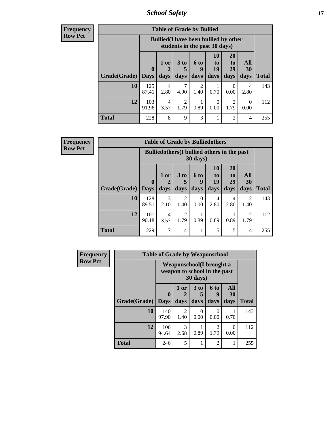*School Safety* **17**

| Frequency      |
|----------------|
| <b>Row Pct</b> |

| <b>Table of Grade by Bullied</b> |                             |                                                                               |                              |                          |                        |                        |                   |              |  |  |  |  |
|----------------------------------|-----------------------------|-------------------------------------------------------------------------------|------------------------------|--------------------------|------------------------|------------------------|-------------------|--------------|--|--|--|--|
|                                  |                             | <b>Bullied</b> (I have been bullied by other<br>students in the past 30 days) |                              |                          |                        |                        |                   |              |  |  |  |  |
| Grade(Grade)                     | $\mathbf{0}$<br><b>Days</b> | $1$ or<br>days                                                                | 3 <sub>to</sub><br>5<br>days | <b>6 to</b><br>9<br>days | 10<br>to<br>19<br>days | 20<br>to<br>29<br>days | All<br>30<br>days | <b>Total</b> |  |  |  |  |
| 10                               | 125<br>87.41                | 4<br>2.80                                                                     | 7<br>4.90                    | 2<br>1.40                | 0.70                   | $\Omega$<br>0.00       | 4<br>2.80         | 143          |  |  |  |  |
| 12                               | 103<br>91.96                | 4<br>3.57                                                                     | $\overline{c}$<br>1.79       | 0.89                     | 0<br>0.00              | $\overline{2}$<br>1.79 | 0<br>0.00         | 112          |  |  |  |  |
| <b>Total</b>                     | 228                         | 8                                                                             | 9                            | 3                        |                        | $\overline{2}$         | 4                 | 255          |  |  |  |  |

| <b>Frequency</b> |
|------------------|
| <b>Row Pct</b>   |

| <b>Table of Grade by Bulliedothers</b> |              |                                                                |                              |                   |                        |                        |                          |              |  |  |  |
|----------------------------------------|--------------|----------------------------------------------------------------|------------------------------|-------------------|------------------------|------------------------|--------------------------|--------------|--|--|--|
|                                        |              | <b>Bulliedothers</b> (I bullied others in the past<br>30 days) |                              |                   |                        |                        |                          |              |  |  |  |
| Grade(Grade)   Days                    | $\mathbf{0}$ | 1 or<br>days                                                   | 3 <sub>to</sub><br>5<br>days | 6 to<br>q<br>days | 10<br>to<br>19<br>days | 20<br>to<br>29<br>days | <b>All</b><br>30<br>days | <b>Total</b> |  |  |  |
| 10                                     | 128<br>89.51 | 3<br>2.10                                                      | $\overline{2}$<br>1.40       | 0<br>0.00         | 4<br>2.80              | 4<br>2.80              | 2<br>1.40                | 143          |  |  |  |
| 12                                     | 101<br>90.18 | 4<br>3.57                                                      | $\overline{2}$<br>1.79       | 0.89              | 0.89                   | 0.89                   | $\overline{c}$<br>1.79   | 112          |  |  |  |
| <b>Total</b>                           | 229          | 7                                                              | 4                            |                   | 5                      | 5                      | 4                        | 255          |  |  |  |

| <b>Frequency</b> | <b>Table of Grade by Weaponschool</b> |                                                          |                   |                              |                   |                   |       |  |  |  |
|------------------|---------------------------------------|----------------------------------------------------------|-------------------|------------------------------|-------------------|-------------------|-------|--|--|--|
| <b>Row Pct</b>   |                                       | Weaponschool(I brought a<br>weapon to school in the past |                   |                              |                   |                   |       |  |  |  |
|                  | Grade(Grade)                          | 0<br><b>Days</b>                                         | 1 or<br>2<br>days | 3 <sub>to</sub><br>5<br>days | 6 to<br>9<br>days | All<br>30<br>days | Total |  |  |  |
|                  | 10                                    | 140<br>97.90                                             | 2<br>1.40         | 0<br>0.00                    | $\Omega$<br>0.00  | 0.70              | 143   |  |  |  |
|                  | 12                                    | 106<br>94.64                                             | 3<br>2.68         | 0.89                         | 2<br>1.79         | 0<br>0.00         | 112   |  |  |  |
|                  | <b>Total</b>                          | 246                                                      | 5                 |                              | $\mathfrak{D}$    |                   | 255   |  |  |  |

÷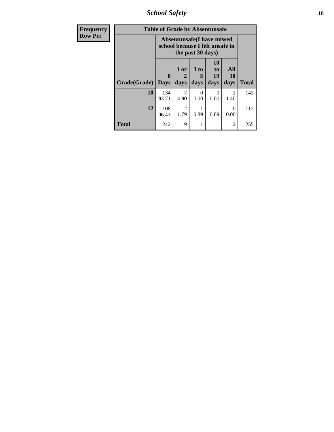*School Safety* **18**

| <b>Frequency</b> | <b>Table of Grade by Absentunsafe</b> |                                                                      |                   |                   |                        |                        |              |  |  |  |
|------------------|---------------------------------------|----------------------------------------------------------------------|-------------------|-------------------|------------------------|------------------------|--------------|--|--|--|
| <b>Row Pct</b>   |                                       | <b>Absentunsafe(I have missed</b><br>school because I felt unsafe in |                   |                   |                        |                        |              |  |  |  |
|                  | Grade(Grade)                          | 0<br><b>Days</b>                                                     | 1 or<br>2<br>days | 3 to<br>5<br>days | 10<br>to<br>19<br>days | All<br>30<br>days      | <b>Total</b> |  |  |  |
|                  | 10                                    | 134<br>93.71                                                         | 7<br>4.90         | 0<br>0.00         | 0<br>0.00              | $\mathfrak{D}$<br>1.40 | 143          |  |  |  |
|                  | 12                                    | 108<br>96.43                                                         | 2<br>1.79         | 0.89              | 0.89                   | ∩<br>0.00              | 112          |  |  |  |
|                  | Total                                 | 242                                                                  | 9                 |                   |                        | 2                      | 255          |  |  |  |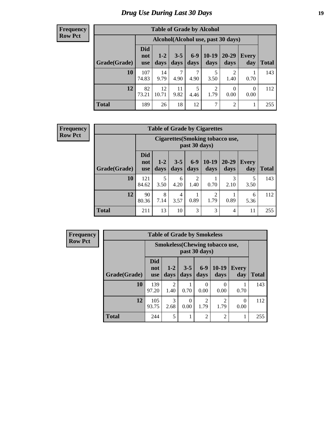# *Drug Use During Last 30 Days* **19**

#### **Frequency Row Pct**

| <b>Table of Grade by Alcohol</b> |                                 |                                    |                 |               |                        |                        |                  |              |  |  |  |
|----------------------------------|---------------------------------|------------------------------------|-----------------|---------------|------------------------|------------------------|------------------|--------------|--|--|--|
|                                  |                                 | Alcohol(Alcohol use, past 30 days) |                 |               |                        |                        |                  |              |  |  |  |
| Grade(Grade)                     | <b>Did</b><br>not<br><b>use</b> | $1 - 2$<br>days                    | $3 - 5$<br>days | $6-9$<br>days | $10-19$<br>days        | $20 - 29$<br>days      | Every<br>day     | <b>Total</b> |  |  |  |
| 10                               | 107<br>74.83                    | 14<br>9.79                         | 7<br>4.90       | 7<br>4.90     | 5<br>3.50              | $\overline{2}$<br>1.40 | 0.70             | 143          |  |  |  |
| 12                               | 82<br>73.21                     | 12<br>10.71                        | 11<br>9.82      | 5<br>4.46     | $\overline{2}$<br>1.79 | $\theta$<br>0.00       | $\theta$<br>0.00 | 112          |  |  |  |
| <b>Total</b>                     | 189                             | 26                                 | 18              | 12            | $\overline{7}$         | $\overline{2}$         | 1                | 255          |  |  |  |

#### **Frequency Row Pct**

| <b>Table of Grade by Cigarettes</b> |                                 |                                                          |                 |                        |                 |                   |                     |              |  |  |  |
|-------------------------------------|---------------------------------|----------------------------------------------------------|-----------------|------------------------|-----------------|-------------------|---------------------|--------------|--|--|--|
|                                     |                                 | <b>Cigarettes</b> (Smoking tobacco use,<br>past 30 days) |                 |                        |                 |                   |                     |              |  |  |  |
| Grade(Grade)                        | <b>Did</b><br>not<br><b>use</b> | $1 - 2$<br>days                                          | $3 - 5$<br>days | $6-9$<br>days          | $10-19$<br>days | $20 - 29$<br>days | <b>Every</b><br>day | <b>Total</b> |  |  |  |
| 10                                  | 121<br>84.62                    | 5<br>3.50                                                | 6<br>4.20       | $\overline{2}$<br>1.40 | 0.70            | 3<br>2.10         | 5<br>3.50           | 143          |  |  |  |
| 12                                  | 90<br>80.36                     | 8<br>7.14                                                | 4<br>3.57       | 0.89                   | 2<br>1.79       | 0.89              | 6<br>5.36           | 112          |  |  |  |
| <b>Total</b>                        | 211                             | 13                                                       | 10              | 3                      | 3               | 4                 | 11                  | 255          |  |  |  |

**Frequency Row Pct**

| <b>Table of Grade by Smokeless</b> |                                 |                                                        |                  |                        |                        |                     |              |  |  |  |  |
|------------------------------------|---------------------------------|--------------------------------------------------------|------------------|------------------------|------------------------|---------------------|--------------|--|--|--|--|
|                                    |                                 | <b>Smokeless</b> (Chewing tobaccouse,<br>past 30 days) |                  |                        |                        |                     |              |  |  |  |  |
| Grade(Grade)                       | <b>Did</b><br>not<br><b>use</b> | $1 - 2$<br>days                                        | $3 - 5$<br>days  | $6-9$<br>days          | $10-19$<br>days        | <b>Every</b><br>day | <b>Total</b> |  |  |  |  |
| 10                                 | 139<br>97.20                    | $\overline{2}$<br>1.40                                 | 0.70             | $\Omega$<br>0.00       | 0.00                   | 0.70                | 143          |  |  |  |  |
| 12                                 | 105<br>93.75                    | 3<br>2.68                                              | $\Omega$<br>0.00 | $\overline{2}$<br>1.79 | $\overline{2}$<br>1.79 | $\Omega$<br>0.00    | 112          |  |  |  |  |
| <b>Total</b>                       | 244                             | 5                                                      |                  | $\overline{2}$         | $\overline{2}$         |                     | 255          |  |  |  |  |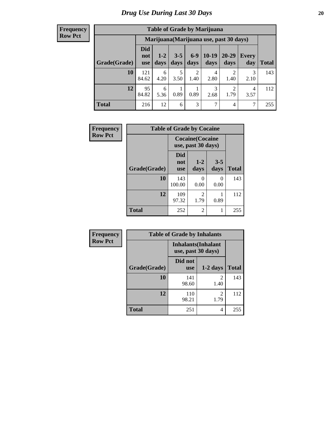#### **Frequency Row Pct**

| <b>Table of Grade by Marijuana</b> |                                 |                                         |                 |                        |                 |                        |              |       |  |  |  |
|------------------------------------|---------------------------------|-----------------------------------------|-----------------|------------------------|-----------------|------------------------|--------------|-------|--|--|--|
|                                    |                                 | Marijuana (Marijuana use, past 30 days) |                 |                        |                 |                        |              |       |  |  |  |
| Grade(Grade)                       | <b>Did</b><br>not<br><b>use</b> | $1 - 2$<br>days                         | $3 - 5$<br>days | $6-9$<br>days          | $10-19$<br>days | $20 - 29$<br>days      | Every<br>day | Total |  |  |  |
| 10                                 | 121<br>84.62                    | 6<br>4.20                               | 5<br>3.50       | $\overline{2}$<br>1.40 | 4<br>2.80       | $\mathfrak{D}$<br>1.40 | 3<br>2.10    | 143   |  |  |  |
| 12                                 | 95<br>84.82                     | 6<br>5.36                               | 0.89            | 0.89                   | 3<br>2.68       | $\mathfrak{D}$<br>1.79 | 4<br>3.57    | 112   |  |  |  |
| <b>Total</b>                       | 216                             | 12                                      | 6               | 3                      | 7               | 4                      | 7            | 255   |  |  |  |

| Frequency      | <b>Table of Grade by Cocaine</b> |                                               |                        |                 |              |  |
|----------------|----------------------------------|-----------------------------------------------|------------------------|-----------------|--------------|--|
| <b>Row Pct</b> |                                  | <b>Cocaine</b> (Cocaine<br>use, past 30 days) |                        |                 |              |  |
|                | Grade(Grade)                     | <b>Did</b><br>not<br><b>use</b>               | $1 - 2$<br>days        | $3 - 5$<br>days | <b>Total</b> |  |
|                | 10                               | 143<br>100.00                                 | 0<br>0.00              | 0<br>0.00       | 143          |  |
|                | 12                               | 109<br>97.32                                  | $\overline{c}$<br>1.79 | 0.89            | 112          |  |
|                | <b>Total</b>                     | 252                                           | $\overline{2}$         | 1               | 255          |  |

| Frequency      | <b>Table of Grade by Inhalants</b> |                                                  |                                                                                                                                                                         |              |  |
|----------------|------------------------------------|--------------------------------------------------|-------------------------------------------------------------------------------------------------------------------------------------------------------------------------|--------------|--|
| <b>Row Pct</b> |                                    | <b>Inhalants</b> (Inhalant<br>use, past 30 days) |                                                                                                                                                                         |              |  |
|                | Grade(Grade)                       | Did not<br><b>use</b>                            | $1-2$ days                                                                                                                                                              | <b>Total</b> |  |
|                | 10                                 | 141<br>98.60                                     | 2<br>1.40                                                                                                                                                               | 143          |  |
|                | 12                                 | 110<br>98.21                                     | $\mathcal{D}_{\mathcal{A}}^{\mathcal{A}}(\mathcal{A})=\mathcal{D}_{\mathcal{A}}^{\mathcal{A}}(\mathcal{A})\mathcal{D}_{\mathcal{A}}^{\mathcal{A}}(\mathcal{A})$<br>1.79 | 112          |  |
|                | <b>Total</b>                       | 251                                              | 4                                                                                                                                                                       | 255          |  |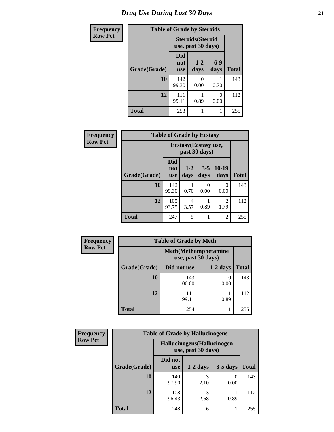| <b>Frequency</b> | <b>Table of Grade by Steroids</b> |                                                |                 |               |              |
|------------------|-----------------------------------|------------------------------------------------|-----------------|---------------|--------------|
| <b>Row Pct</b>   |                                   | <b>Steroids</b> (Steroid<br>use, past 30 days) |                 |               |              |
|                  | Grade(Grade)                      | Did<br>not<br><b>use</b>                       | $1 - 2$<br>days | $6-9$<br>days | <b>Total</b> |
|                  | 10                                | 142<br>99.30                                   | O<br>0.00       | 0.70          | 143          |
|                  | 12                                | 111<br>99.11                                   | 0.89            | 0<br>0.00     | 112          |
|                  | <b>Total</b>                      | 253                                            | 1               |               | 255          |

| Frequency      | <b>Table of Grade by Ecstasy</b> |                                        |                 |                 |                  |              |
|----------------|----------------------------------|----------------------------------------|-----------------|-----------------|------------------|--------------|
| <b>Row Pct</b> |                                  | Ecstasy (Ecstasy use,<br>past 30 days) |                 |                 |                  |              |
|                | Grade(Grade)                     | Did<br>not<br>use                      | $1 - 2$<br>days | $3 - 5$<br>days | $10-19$<br>days  | <b>Total</b> |
|                | 10                               | 142<br>99.30                           | 0.70            | 0<br>0.00       | $\Omega$<br>0.00 | 143          |
|                | 12                               | 105<br>93.75                           | 4<br>3.57       | 0.89            | 2<br>1.79        | 112          |
|                | <b>Total</b>                     | 247                                    | 5               |                 | $\overline{c}$   | 255          |

| <b>Frequency</b> | <b>Table of Grade by Meth</b> |                                                    |                       |              |  |  |
|------------------|-------------------------------|----------------------------------------------------|-----------------------|--------------|--|--|
| <b>Row Pct</b>   |                               | <b>Meth</b> (Methamphetamine<br>use, past 30 days) |                       |              |  |  |
|                  | Grade(Grade)                  | Did not use                                        | $1-2$ days            | <b>Total</b> |  |  |
|                  | 10                            | 143<br>100.00                                      | $\mathcal{O}$<br>0.00 | 143          |  |  |
|                  | 12                            | 111<br>99.11                                       | 0.89                  | 112          |  |  |
|                  | <b>Total</b>                  | 254                                                |                       | 255          |  |  |

| Frequency      | <b>Table of Grade by Hallucinogens</b> |                                                   |            |                          |              |  |
|----------------|----------------------------------------|---------------------------------------------------|------------|--------------------------|--------------|--|
| <b>Row Pct</b> |                                        | Hallucinogens (Hallucinogen<br>use, past 30 days) |            |                          |              |  |
|                | Grade(Grade)                           | Did not<br><b>use</b>                             | $1-2$ days | $3-5$ days               | <b>Total</b> |  |
|                | 10                                     | 140<br>97.90                                      | 2.10       | $\left( \right)$<br>0.00 | 143          |  |
|                | 12                                     | 108<br>96.43                                      | 3<br>2.68  | 0.89                     | 112          |  |
|                | <b>Total</b>                           | 248                                               | 6          |                          | 255          |  |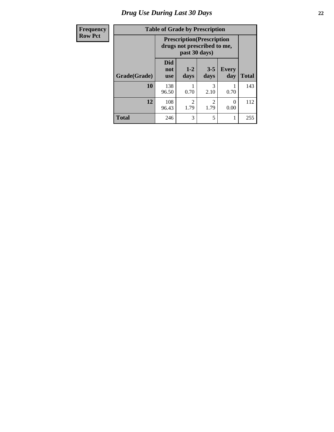# *Drug Use During Last 30 Days* **22**

| Frequency      | <b>Table of Grade by Prescription</b> |                                 |                        |                                                                  |                     |              |
|----------------|---------------------------------------|---------------------------------|------------------------|------------------------------------------------------------------|---------------------|--------------|
| <b>Row Pct</b> |                                       |                                 | past 30 days)          | <b>Prescription</b> (Prescription<br>drugs not prescribed to me, |                     |              |
|                | Grade(Grade)                          | <b>Did</b><br>not<br><b>use</b> | $1-2$<br>days          | $3 - 5$<br>days                                                  | <b>Every</b><br>day | <b>Total</b> |
|                | 10                                    | 138<br>96.50                    | 0.70                   | 3<br>2.10                                                        | 0.70                | 143          |
|                | 12                                    | 108<br>96.43                    | $\mathfrak{D}$<br>1.79 | 2<br>1.79                                                        | 0<br>0.00           | 112          |
|                | <b>Total</b>                          | 246                             | 3                      | 5                                                                |                     | 255          |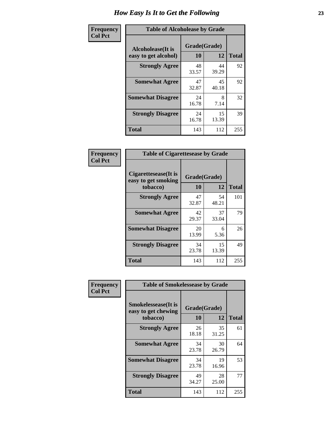| Frequency      | <b>Table of Alcoholease by Grade</b>              |                          |             |              |  |
|----------------|---------------------------------------------------|--------------------------|-------------|--------------|--|
| <b>Col Pct</b> | <b>Alcoholease</b> (It is<br>easy to get alcohol) | Grade(Grade)<br>10<br>12 |             | <b>Total</b> |  |
|                | <b>Strongly Agree</b>                             | 48<br>33.57              | 44<br>39.29 | 92           |  |
|                | <b>Somewhat Agree</b>                             | 47<br>32.87              | 45<br>40.18 | 92           |  |
|                | <b>Somewhat Disagree</b>                          | 24<br>16.78              | 8<br>7.14   | 32           |  |
|                | <b>Strongly Disagree</b>                          | 24<br>16.78              | 15<br>13.39 | 39           |  |
|                | <b>Total</b>                                      | 143                      | 112         | 255          |  |

| Frequency      | <b>Table of Cigarettesease by Grade</b>                  |                    |             |              |  |
|----------------|----------------------------------------------------------|--------------------|-------------|--------------|--|
| <b>Col Pct</b> | Cigarettesease (It is<br>easy to get smoking<br>tobacco) | Grade(Grade)<br>10 | 12          | <b>Total</b> |  |
|                | <b>Strongly Agree</b>                                    | 47<br>32.87        | 54<br>48.21 | 101          |  |
|                | <b>Somewhat Agree</b>                                    | 42<br>29.37        | 37<br>33.04 | 79           |  |
|                | <b>Somewhat Disagree</b>                                 | 20<br>13.99        | 6<br>5.36   | 26           |  |
|                | <b>Strongly Disagree</b>                                 | 34<br>23.78        | 15<br>13.39 | 49           |  |
|                | <b>Total</b>                                             | 143                | 112         | 255          |  |

| Frequency      | <b>Table of Smokelessease by Grade</b>             |              |             |              |  |  |
|----------------|----------------------------------------------------|--------------|-------------|--------------|--|--|
| <b>Col Pct</b> | <b>Smokelessease</b> (It is<br>easy to get chewing | Grade(Grade) |             |              |  |  |
|                | tobacco)                                           | 10           | 12          | <b>Total</b> |  |  |
|                | <b>Strongly Agree</b>                              | 26<br>18.18  | 35<br>31.25 | 61           |  |  |
|                | <b>Somewhat Agree</b>                              | 34<br>23.78  | 30<br>26.79 | 64           |  |  |
|                | <b>Somewhat Disagree</b>                           | 34<br>23.78  | 19<br>16.96 | 53           |  |  |
|                | <b>Strongly Disagree</b>                           | 49<br>34.27  | 28<br>25.00 | 77           |  |  |
|                | <b>Total</b>                                       | 143          | 112         | 255          |  |  |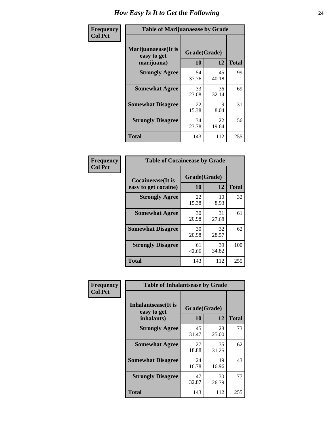| Frequency      | <b>Table of Marijuanaease by Grade</b>           |                    |             |              |  |
|----------------|--------------------------------------------------|--------------------|-------------|--------------|--|
| <b>Col Pct</b> | Marijuanaease(It is<br>easy to get<br>marijuana) | Grade(Grade)<br>10 | 12          | <b>Total</b> |  |
|                | <b>Strongly Agree</b>                            | 54<br>37.76        | 45<br>40.18 | 99           |  |
|                | <b>Somewhat Agree</b>                            | 33<br>23.08        | 36<br>32.14 | 69           |  |
|                | <b>Somewhat Disagree</b>                         | 22<br>15.38        | 9<br>8.04   | 31           |  |
|                | <b>Strongly Disagree</b>                         | 34<br>23.78        | 22<br>19.64 | 56           |  |
|                | <b>Total</b>                                     | 143                | 112         | 255          |  |

| <b>Table of Cocaineease by Grade</b>              |                    |              |     |  |  |  |
|---------------------------------------------------|--------------------|--------------|-----|--|--|--|
| <b>Cocaineease</b> (It is<br>easy to get cocaine) | Grade(Grade)<br>10 | <b>Total</b> |     |  |  |  |
| <b>Strongly Agree</b>                             | 22<br>15.38        | 10<br>8.93   | 32  |  |  |  |
| <b>Somewhat Agree</b>                             | 30<br>20.98        | 31<br>27.68  | 61  |  |  |  |
| <b>Somewhat Disagree</b>                          | 30<br>20.98        | 32<br>28.57  | 62  |  |  |  |
| <b>Strongly Disagree</b>                          | 61<br>42.66        | 39<br>34.82  | 100 |  |  |  |
| <b>Total</b>                                      | 143                | 112          | 255 |  |  |  |

| Frequency      | <b>Table of Inhalantsease by Grade</b>                   |                    |             |              |  |  |  |  |  |  |  |
|----------------|----------------------------------------------------------|--------------------|-------------|--------------|--|--|--|--|--|--|--|
| <b>Col Pct</b> | <b>Inhalantsease</b> (It is<br>easy to get<br>inhalants) | Grade(Grade)<br>10 | 12          | <b>Total</b> |  |  |  |  |  |  |  |
|                | <b>Strongly Agree</b>                                    | 45<br>31.47        | 28<br>25.00 | 73           |  |  |  |  |  |  |  |
|                | <b>Somewhat Agree</b>                                    | 27<br>18.88        | 35<br>31.25 | 62           |  |  |  |  |  |  |  |
|                | <b>Somewhat Disagree</b>                                 | 24<br>16.78        | 19<br>16.96 | 43           |  |  |  |  |  |  |  |
|                | <b>Strongly Disagree</b>                                 | 47<br>32.87        | 30<br>26.79 | 77           |  |  |  |  |  |  |  |
|                | <b>Total</b>                                             | 143                | 112         | 255          |  |  |  |  |  |  |  |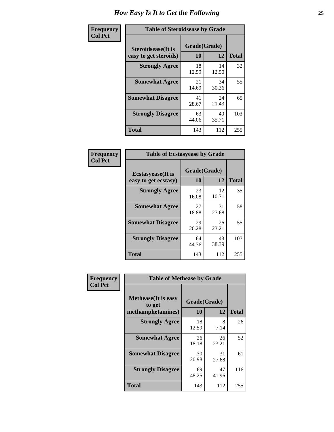| Frequency      | <b>Table of Steroidsease by Grade</b>               |                    |             |              |  |  |  |  |  |  |  |
|----------------|-----------------------------------------------------|--------------------|-------------|--------------|--|--|--|--|--|--|--|
| <b>Col Pct</b> | <b>Steroidsease</b> (It is<br>easy to get steroids) | Grade(Grade)<br>10 | 12          | <b>Total</b> |  |  |  |  |  |  |  |
|                | <b>Strongly Agree</b>                               | 18<br>12.59        | 14<br>12.50 | 32           |  |  |  |  |  |  |  |
|                | <b>Somewhat Agree</b>                               | 21<br>14.69        | 34<br>30.36 | 55           |  |  |  |  |  |  |  |
|                | <b>Somewhat Disagree</b>                            | 41<br>28.67        | 24<br>21.43 | 65           |  |  |  |  |  |  |  |
|                | <b>Strongly Disagree</b>                            | 63<br>44.06        | 40<br>35.71 | 103          |  |  |  |  |  |  |  |
|                | <b>Total</b>                                        | 143                | 112         | 255          |  |  |  |  |  |  |  |

| Frequency      | <b>Table of Ecstasyease by Grade</b>              |                    |             |              |  |  |  |  |  |  |  |
|----------------|---------------------------------------------------|--------------------|-------------|--------------|--|--|--|--|--|--|--|
| <b>Col Pct</b> | <b>Ecstasyease</b> (It is<br>easy to get ecstasy) | Grade(Grade)<br>10 | 12          | <b>Total</b> |  |  |  |  |  |  |  |
|                | <b>Strongly Agree</b>                             | 23<br>16.08        | 12<br>10.71 | 35           |  |  |  |  |  |  |  |
|                | <b>Somewhat Agree</b>                             | 27<br>18.88        | 31<br>27.68 | 58           |  |  |  |  |  |  |  |
|                | <b>Somewhat Disagree</b>                          | 29<br>20.28        | 26<br>23.21 | 55           |  |  |  |  |  |  |  |
|                | <b>Strongly Disagree</b>                          | 64<br>44.76        | 43<br>38.39 | 107          |  |  |  |  |  |  |  |
|                | <b>Total</b>                                      | 143                | 112         | 255          |  |  |  |  |  |  |  |

| Frequency      | <b>Table of Methease by Grade</b>     |              |             |              |
|----------------|---------------------------------------|--------------|-------------|--------------|
| <b>Col Pct</b> | <b>Methease</b> (It is easy<br>to get | Grade(Grade) |             |              |
|                | methamphetamines)                     | 10           | 12          | <b>Total</b> |
|                | <b>Strongly Agree</b>                 | 18<br>12.59  | 8<br>7.14   | 26           |
|                | <b>Somewhat Agree</b>                 | 26<br>18.18  | 26<br>23.21 | 52           |
|                | <b>Somewhat Disagree</b>              | 30<br>20.98  | 31<br>27.68 | 61           |
|                | <b>Strongly Disagree</b>              | 69<br>48.25  | 47<br>41.96 | 116          |
|                | Total                                 | 143          | 112         | 255          |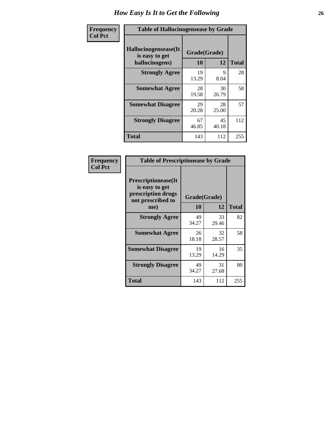| <b>Frequency</b> | <b>Table of Hallucinogensease by Grade</b>               |                    |             |              |  |  |  |  |  |  |  |
|------------------|----------------------------------------------------------|--------------------|-------------|--------------|--|--|--|--|--|--|--|
| <b>Col Pct</b>   | Hallucinogensease(It<br>is easy to get<br>hallucinogens) | Grade(Grade)<br>10 | 12          | <b>Total</b> |  |  |  |  |  |  |  |
|                  | <b>Strongly Agree</b>                                    | 19<br>13.29        | 9<br>8.04   | 28           |  |  |  |  |  |  |  |
|                  | <b>Somewhat Agree</b>                                    | 28<br>19.58        | 30<br>26.79 | 58           |  |  |  |  |  |  |  |
|                  | <b>Somewhat Disagree</b>                                 | 29<br>20.28        | 28<br>25.00 | 57           |  |  |  |  |  |  |  |
|                  | <b>Strongly Disagree</b>                                 | 67<br>46.85        | 45<br>40.18 | 112          |  |  |  |  |  |  |  |
|                  | <b>Total</b>                                             | 143                | 112         | 255          |  |  |  |  |  |  |  |

| Frequency<br>Col Pct |
|----------------------|
|                      |

г

| <b>Table of Prescriptionease by Grade</b>                                                |             |              |              |  |  |  |  |  |  |
|------------------------------------------------------------------------------------------|-------------|--------------|--------------|--|--|--|--|--|--|
| <b>Prescriptionease</b> (It<br>is easy to get<br>prescription drugs<br>not prescribed to |             | Grade(Grade) |              |  |  |  |  |  |  |
| me)                                                                                      | 10          | 12           | <b>Total</b> |  |  |  |  |  |  |
| <b>Strongly Agree</b>                                                                    | 49<br>34.27 | 33<br>29.46  | 82           |  |  |  |  |  |  |
| <b>Somewhat Agree</b>                                                                    | 26<br>18.18 | 32<br>28.57  | 58           |  |  |  |  |  |  |
| <b>Somewhat Disagree</b>                                                                 | 19<br>13.29 | 16<br>14.29  | 35           |  |  |  |  |  |  |
| <b>Strongly Disagree</b>                                                                 | 49<br>34.27 | 31<br>27.68  | 80           |  |  |  |  |  |  |
| Total                                                                                    | 143         | 112          | 255          |  |  |  |  |  |  |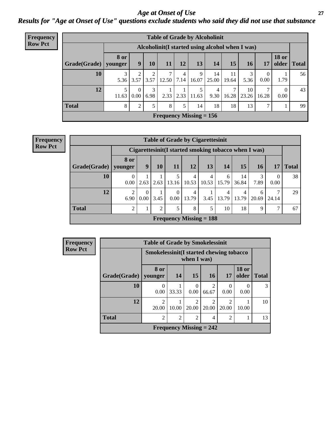*Age at Onset of Use* **27** *Results for "Age at Onset of Use" questions exclude students who said they did not use that substance*

| Frequency      |              |                        |                  |           |       |      |                           | <b>Table of Grade by Alcoholinit</b>             |             |             |                  |                       |              |
|----------------|--------------|------------------------|------------------|-----------|-------|------|---------------------------|--------------------------------------------------|-------------|-------------|------------------|-----------------------|--------------|
| <b>Row Pct</b> |              |                        |                  |           |       |      |                           | Alcoholinit (I started using alcohol when I was) |             |             |                  |                       |              |
|                | Grade(Grade) | <b>8 or</b><br>younger | $\boldsymbol{9}$ | <b>10</b> | 11    | 12   | 13                        | 14                                               | 15          | <b>16</b>   | 17               | <b>18 or</b><br>older | <b>Total</b> |
|                | 10           | 5.36                   | 3.57             | 3.57      | 12.50 | 7.14 | 9<br>16.07                | 14<br>25.00                                      | 11<br>19.64 | 3<br>5.36   | $\theta$<br>0.00 | 1.79                  | 56           |
|                | 12           | 11.63                  | $\Omega$<br>0.00 | 3<br>6.98 | 2.33  | 2.33 | 5<br>11.63                | 4<br>9.30                                        | 7<br>16.28  | 10<br>23.26 | 7<br>16.28       | $\Omega$<br>0.00      | 43           |
|                | <b>Total</b> | 8                      | $\overline{2}$   |           | 8     | 5    | 14                        | 18                                               | 18          | 13          | 7                |                       | 99           |
|                |              |                        |                  |           |       |      | Frequency Missing $= 156$ |                                                  |             |             |                  |                       |              |

| <b>Frequency</b> |
|------------------|
| <b>Row Pct</b>   |

| <b>Table of Grade by Cigarettesinit</b> |                                                                                                                   |                  |      |                                |            |            |            |             |            |       |    |  |
|-----------------------------------------|-------------------------------------------------------------------------------------------------------------------|------------------|------|--------------------------------|------------|------------|------------|-------------|------------|-------|----|--|
|                                         | Cigarettesinit (I started smoking tobacco when I was)                                                             |                  |      |                                |            |            |            |             |            |       |    |  |
|                                         | 8 or<br>13<br><b>15</b><br>Grade(Grade)   younger<br>9<br>12<br>11<br>14<br><b>16</b><br><b>Total</b><br>10<br>17 |                  |      |                                |            |            |            |             |            |       |    |  |
| 10                                      | $\Omega$<br>$0.00\,$                                                                                              | 2.63             | 2.63 | 13.16                          | 4<br>10.53 | 4<br>10.53 | 6<br>15.79 | 14<br>36.84 | 3<br>7.89  | 0.00  | 38 |  |
| 12                                      | 2<br>6.90                                                                                                         | $\theta$<br>0.00 | 3.45 | $\Omega$<br>0.00               | 4<br>13.79 | 3.45       | 4<br>13.79 | 4<br>13.79  | 6<br>20.69 | 24.14 | 29 |  |
| <b>Total</b>                            | 5<br>$\mathfrak{D}$<br>8<br>5<br>10<br>18<br>9<br>67<br>2<br>7                                                    |                  |      |                                |            |            |            |             |            |       |    |  |
|                                         |                                                                                                                   |                  |      | <b>Frequency Missing = 188</b> |            |            |            |             |            |       |    |  |

| Frequency      |                        | <b>Table of Grade by Smokelessinit</b> |                                                           |                           |                                                                                                                                                                          |                |                       |              |  |  |  |  |
|----------------|------------------------|----------------------------------------|-----------------------------------------------------------|---------------------------|--------------------------------------------------------------------------------------------------------------------------------------------------------------------------|----------------|-----------------------|--------------|--|--|--|--|
| <b>Row Pct</b> |                        |                                        | Smokelessinit (I started chewing tobacco<br>when $I$ was) |                           |                                                                                                                                                                          |                |                       |              |  |  |  |  |
|                | Grade(Grade)   younger | 8 or                                   | <b>14</b>                                                 | <b>15</b>                 | 16 <sup>1</sup>                                                                                                                                                          | 17             | <b>18 or</b><br>older | <b>Total</b> |  |  |  |  |
|                | 10                     | 0.00                                   | 33.33                                                     | $\Omega$<br>0.00          | $\mathcal{D}_{\mathcal{A}}^{\mathcal{A}}(\mathcal{A})=\mathcal{D}_{\mathcal{A}}^{\mathcal{A}}(\mathcal{A})\mathcal{D}_{\mathcal{A}}^{\mathcal{A}}(\mathcal{A})$<br>66.67 | 0.00           | 0<br>0.00             | 3            |  |  |  |  |
|                | 12                     | $\mathfrak{D}$<br>20.00                | 10.00                                                     | ↑<br>20.00                | 20.00                                                                                                                                                                    | ∍<br>20.00     | 10.00                 | 10           |  |  |  |  |
|                | <b>Total</b>           | $\mathfrak{D}$                         | $\mathfrak{D}$                                            | $\mathfrak{D}$            | 4                                                                                                                                                                        | $\mathfrak{D}$ |                       | 13           |  |  |  |  |
|                |                        |                                        |                                                           | Frequency Missing $= 242$ |                                                                                                                                                                          |                |                       |              |  |  |  |  |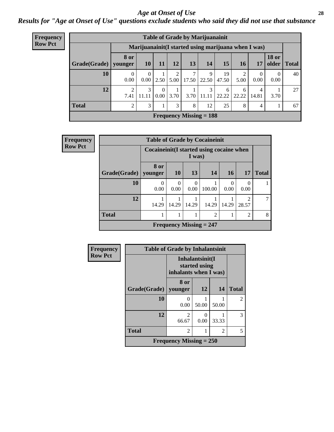#### *Age at Onset of Use* **28**

*Results for "Age at Onset of Use" questions exclude students who said they did not use that substance*

| <b>Frequency</b> | <b>Table of Grade by Marijuanainit</b> |                        |                                                      |                            |           |       |                           |             |            |                  |                       |              |
|------------------|----------------------------------------|------------------------|------------------------------------------------------|----------------------------|-----------|-------|---------------------------|-------------|------------|------------------|-----------------------|--------------|
| <b>Row Pct</b>   |                                        |                        | Marijuanainit (I started using marijuana when I was) |                            |           |       |                           |             |            |                  |                       |              |
|                  | Grade(Grade)                           | <b>8 or</b><br>younger | 10                                                   | 11                         | <b>12</b> | 13    | 14                        | 15          | <b>16</b>  | 17               | <b>18 or</b><br>older | <b>Total</b> |
|                  | 10                                     | $\theta$<br>0.00       | $\Omega$<br>0.00                                     | 2.50                       | 2<br>5.00 | 17.50 | 9<br>22.50                | 19<br>47.50 | 5.00       | $\Omega$<br>0.00 | $\Omega$<br>0.00      | 40           |
|                  | 12                                     | ◠<br>7.41              | 3<br>11.11                                           | $\theta$<br>$0.00^{\circ}$ | 3.70      |       | 3<br>$3.70$   11.11       | 6<br>22.22  | 6<br>22.22 | 4<br>14.81       | 3.70                  | 27           |
|                  | <b>Total</b>                           | $\gamma$               | 3                                                    |                            | 3         | 8     | 12                        | 25          | 8          | 4                |                       | 67           |
|                  |                                        |                        |                                                      |                            |           |       | Frequency Missing $= 188$ |             |            |                  |                       |              |

| Frequency      | <b>Table of Grade by Cocaineinit</b> |                  |                                                     |                  |                           |                  |                                      |              |  |
|----------------|--------------------------------------|------------------|-----------------------------------------------------|------------------|---------------------------|------------------|--------------------------------------|--------------|--|
| <b>Row Pct</b> |                                      |                  | Cocaineinit (I started using cocaine when<br>I was) |                  |                           |                  |                                      |              |  |
|                | Grade(Grade)                         | 8 or<br>younger  | <b>10</b>                                           | 13               | 14                        | 16               | 17                                   | <b>Total</b> |  |
|                | 10                                   | $\Omega$<br>0.00 | $\theta$<br>0.00                                    | $\Omega$<br>0.00 | 100.00                    | $\Omega$<br>0.00 | $\Omega$<br>0.00                     |              |  |
|                | 12                                   | 14.29            | 14.29                                               | 14.29            | 14.29                     | 14.29            | $\mathcal{D}_{\mathcal{A}}$<br>28.57 | 7            |  |
|                | <b>Total</b>                         |                  |                                                     |                  | $\overline{c}$            |                  | $\overline{2}$                       | 8            |  |
|                |                                      |                  |                                                     |                  | Frequency Missing $= 247$ |                  |                                      |              |  |

| Frequency      | <b>Table of Grade by Inhalantsinit</b> |                           |                                  |       |                |  |  |  |
|----------------|----------------------------------------|---------------------------|----------------------------------|-------|----------------|--|--|--|
| <b>Row Pct</b> |                                        | inhalants when I was)     | Inhalantsinit(I<br>started using |       |                |  |  |  |
|                | Grade(Grade)                           | 8 or<br>younger           | <b>12</b>                        | 14    | <b>Total</b>   |  |  |  |
|                | 10                                     | 0.00                      | 50.00                            | 50.00 | $\overline{2}$ |  |  |  |
|                | 12                                     | $\mathfrak{D}$<br>66.67   | 0<br>0.00                        | 33.33 | 3              |  |  |  |
|                | <b>Total</b>                           | 2                         |                                  | 2     | 5              |  |  |  |
|                |                                        | Frequency Missing $= 250$ |                                  |       |                |  |  |  |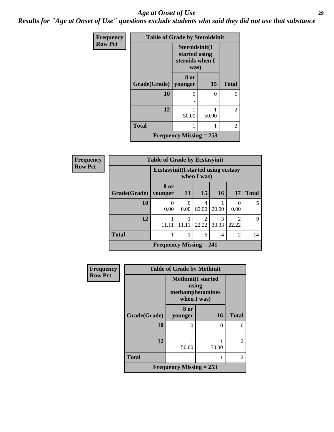#### *Age at Onset of Use* **29**

*Results for "Age at Onset of Use" questions exclude students who said they did not use that substance*

| Frequency      | <b>Table of Grade by Steroidsinit</b> |                                                            |           |              |  |
|----------------|---------------------------------------|------------------------------------------------------------|-----------|--------------|--|
| <b>Row Pct</b> |                                       | Steroidsinit(I<br>started using<br>steroids when I<br>was) |           |              |  |
|                | Grade(Grade)                          | 8 or<br>younger                                            | <b>15</b> | <b>Total</b> |  |
|                | 10                                    | 0                                                          | ∩         | 0            |  |
|                | 12                                    | 50.00                                                      | 50.00     | 2            |  |
|                | <b>Total</b>                          |                                                            |           | 2            |  |
|                |                                       | Frequency Missing $= 253$                                  |           |              |  |

| Frequency      | <b>Table of Grade by Ecstasyinit</b> |                                                           |                  |            |            |                |              |  |
|----------------|--------------------------------------|-----------------------------------------------------------|------------------|------------|------------|----------------|--------------|--|
| <b>Row Pct</b> |                                      | <b>Ecstasyinit(I started using ecstasy</b><br>when I was) |                  |            |            |                |              |  |
|                | Grade(Grade)                         | 8 or<br>vounger                                           | 13               | 15         | 16         | 17             | <b>Total</b> |  |
|                | 10                                   | $\Omega$<br>0.00                                          | $\theta$<br>0.00 | 4<br>80.00 | 20.00      | 0<br>0.00      | 5            |  |
|                | 12                                   | 11.11                                                     | 11.11            | 2<br>22.22 | 3<br>33.33 | 22.22          | $\mathbf Q$  |  |
|                | <b>Total</b>                         |                                                           |                  | 6          | 4          | $\overline{2}$ | 14           |  |
|                |                                      | <b>Frequency Missing = 241</b>                            |                  |            |            |                |              |  |

| <b>Frequency</b> | <b>Table of Grade by Methinit</b> |                                                                       |           |                |  |  |
|------------------|-----------------------------------|-----------------------------------------------------------------------|-----------|----------------|--|--|
| <b>Row Pct</b>   |                                   | <b>Methinit(I started</b><br>using<br>methamphetamines<br>when I was) |           |                |  |  |
|                  | <b>Grade</b> (Grade)              | 8 or<br>younger                                                       | <b>16</b> | <b>Total</b>   |  |  |
|                  | 10                                | $\Omega$                                                              | 0         | 0              |  |  |
|                  | 12                                | 50.00                                                                 | 50.00     | $\overline{c}$ |  |  |
|                  | <b>Total</b>                      | 1                                                                     |           | $\mathfrak{D}$ |  |  |
|                  |                                   | Frequency Missing $= 253$                                             |           |                |  |  |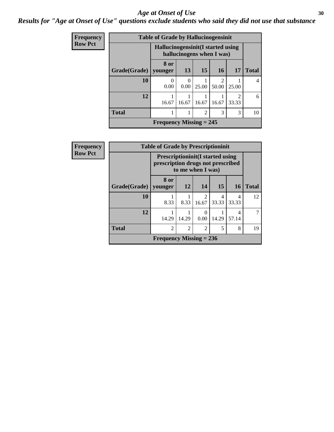#### Age at Onset of Use **30**

#### *Results for "Age at Onset of Use" questions exclude students who said they did not use that substance*

| Frequency      |              | <b>Table of Grade by Hallucinogensinit</b>                      |           |                |                         |                         |              |
|----------------|--------------|-----------------------------------------------------------------|-----------|----------------|-------------------------|-------------------------|--------------|
| <b>Row Pct</b> |              | Hallucinogensinit (I started using<br>hallucinogens when I was) |           |                |                         |                         |              |
|                | Grade(Grade) | 8 or<br>younger                                                 | 13        | 15             | 16                      | <b>17</b>               | <b>Total</b> |
|                | 10           | $\Omega$<br>0.00                                                | 0<br>0.00 | 25.00          | $\mathfrak{D}$<br>50.00 | 25.00                   | 4            |
|                | 12           | 16.67                                                           | 16.67     | 16.67          | 16.67                   | $\mathfrak{D}$<br>33.33 | 6            |
|                | <b>Total</b> |                                                                 |           | $\overline{2}$ | 3                       | 3                       | 10           |
|                |              | Frequency Missing $= 245$                                       |           |                |                         |                         |              |

| Frequency      | <b>Table of Grade by Prescriptioninit</b> |                                                                               |                   |                          |            |            |              |
|----------------|-------------------------------------------|-------------------------------------------------------------------------------|-------------------|--------------------------|------------|------------|--------------|
| <b>Row Pct</b> |                                           | <b>Prescriptioninit (I started using</b><br>prescription drugs not prescribed | to me when I was) |                          |            |            |              |
|                |                                           | 8 or                                                                          | 12                | 14                       | 15         |            |              |
|                | Grade(Grade)   younger                    |                                                                               |                   |                          |            | <b>16</b>  | <b>Total</b> |
|                | 10                                        | 8.33                                                                          | 8.33              | $\overline{2}$<br>16.67  | 4<br>33.33 | 4<br>33.33 | 12           |
|                | 12                                        | 14.29                                                                         | 14.29             | $\left( \right)$<br>0.00 | 14.29      | 4<br>57.14 |              |
|                | <b>Total</b>                              | $\mathfrak{D}$                                                                | $\overline{2}$    | $\overline{2}$           | 5          | 8          | 19           |
|                |                                           | Frequency Missing $= 236$                                                     |                   |                          |            |            |              |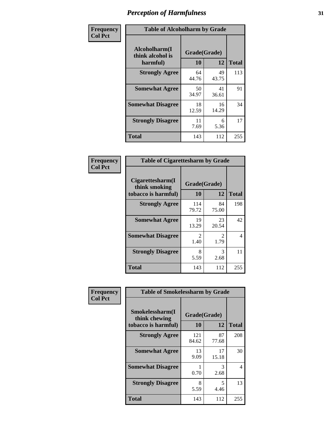| Frequency      | <b>Table of Alcoholharm by Grade</b>          |                    |             |              |  |
|----------------|-----------------------------------------------|--------------------|-------------|--------------|--|
| <b>Col Pct</b> | Alcoholharm(I<br>think alcohol is<br>harmful) | Grade(Grade)<br>10 | 12          | <b>Total</b> |  |
|                | <b>Strongly Agree</b>                         | 64<br>44.76        | 49<br>43.75 | 113          |  |
|                | <b>Somewhat Agree</b>                         | 50<br>34.97        | 41<br>36.61 | 91           |  |
|                | <b>Somewhat Disagree</b>                      | 18<br>12.59        | 16<br>14.29 | 34           |  |
|                | <b>Strongly Disagree</b>                      | 11<br>7.69         | 6<br>5.36   | 17           |  |
|                | <b>Total</b>                                  | 143                | 112         | 255          |  |

| <b>Table of Cigarettesharm by Grade</b>                  |                        |                        |              |  |  |  |  |
|----------------------------------------------------------|------------------------|------------------------|--------------|--|--|--|--|
| Cigarettesharm(I<br>think smoking<br>tobacco is harmful) | Grade(Grade)<br>10     | 12                     | <b>Total</b> |  |  |  |  |
| <b>Strongly Agree</b>                                    | 114<br>79.72           | 84<br>75.00            | 198          |  |  |  |  |
| <b>Somewhat Agree</b>                                    | 19<br>13.29            | 23<br>20.54            | 42           |  |  |  |  |
| <b>Somewhat Disagree</b>                                 | $\mathfrak{D}$<br>1.40 | $\mathfrak{D}$<br>1.79 | 4            |  |  |  |  |
| <b>Strongly Disagree</b>                                 | 8<br>5.59              | 3<br>2.68              | 11           |  |  |  |  |
| <b>Total</b>                                             | 143                    | 112                    | 255          |  |  |  |  |

| Frequency      | <b>Table of Smokelessharm by Grade</b>                  |                    |             |              |
|----------------|---------------------------------------------------------|--------------------|-------------|--------------|
| <b>Col Pct</b> | Smokelessharm(I<br>think chewing<br>tobacco is harmful) | Grade(Grade)<br>10 | 12          | <b>Total</b> |
|                | <b>Strongly Agree</b>                                   | 121<br>84.62       | 87<br>77.68 | 208          |
|                | <b>Somewhat Agree</b>                                   | 13<br>9.09         | 17<br>15.18 | 30           |
|                | <b>Somewhat Disagree</b>                                | 0.70               | 3<br>2.68   | 4            |
|                | <b>Strongly Disagree</b>                                | 8<br>5.59          | 5<br>4.46   | 13           |
|                | <b>Total</b>                                            | 143                | 112         | 255          |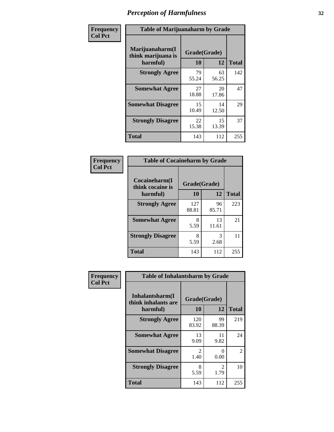| Frequency      | <b>Table of Marijuanaharm by Grade</b>            |                    |             |              |  |  |
|----------------|---------------------------------------------------|--------------------|-------------|--------------|--|--|
| <b>Col Pct</b> | Marijuanaharm(I<br>think marijuana is<br>harmful) | Grade(Grade)<br>10 | 12          | <b>Total</b> |  |  |
|                | <b>Strongly Agree</b>                             | 79<br>55.24        | 63<br>56.25 | 142          |  |  |
|                | <b>Somewhat Agree</b>                             | 27<br>18.88        | 20<br>17.86 | 47           |  |  |
|                | <b>Somewhat Disagree</b>                          | 15<br>10.49        | 14<br>12.50 | 29           |  |  |
|                | <b>Strongly Disagree</b>                          | 22<br>15.38        | 15<br>13.39 | 37           |  |  |
|                | <b>Total</b>                                      | 143                | 112         | 255          |  |  |

| <b>Table of Cocaineharm by Grade</b> |              |             |              |  |  |  |  |
|--------------------------------------|--------------|-------------|--------------|--|--|--|--|
| Cocaineharm(I<br>think cocaine is    | Grade(Grade) |             |              |  |  |  |  |
| harmful)                             | 10           | 12          | <b>Total</b> |  |  |  |  |
| <b>Strongly Agree</b>                | 127<br>88.81 | 96<br>85.71 | 223          |  |  |  |  |
| <b>Somewhat Agree</b>                | 8<br>5.59    | 13<br>11.61 | 21           |  |  |  |  |
| <b>Strongly Disagree</b>             | 8<br>5.59    | 3<br>2.68   | 11           |  |  |  |  |
| Total                                | 143          | 112         | 255          |  |  |  |  |

| <b>Frequency</b><br>Col Pet |
|-----------------------------|
|-----------------------------|

| <b>Table of Inhalantsharm by Grade</b>             |                       |                       |                |  |  |
|----------------------------------------------------|-----------------------|-----------------------|----------------|--|--|
| Inhalantsharm(I<br>think inhalants are<br>harmful) | Grade(Grade)<br>10    | 12                    | <b>Total</b>   |  |  |
| <b>Strongly Agree</b>                              | 120<br>83.92          | 99<br>88.39           | 219            |  |  |
| <b>Somewhat Agree</b>                              | 13<br>9.09            | 11<br>9.82            | 24             |  |  |
| <b>Somewhat Disagree</b>                           | $\mathcal{L}$<br>1.40 | 0.00                  | $\mathfrak{D}$ |  |  |
| <b>Strongly Disagree</b>                           | 8<br>5.59             | $\mathcal{L}$<br>1.79 | 10             |  |  |
| <b>Total</b>                                       | 143                   | 112                   | 255            |  |  |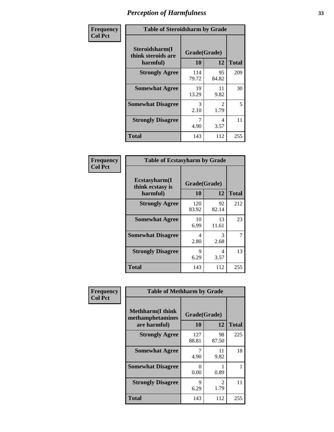| Frequency      | <b>Table of Steroidsharm by Grade</b>            |                    |                        |              |
|----------------|--------------------------------------------------|--------------------|------------------------|--------------|
| <b>Col Pct</b> | Steroidsharm(I<br>think steroids are<br>harmful) | Grade(Grade)<br>10 | 12                     | <b>Total</b> |
|                | <b>Strongly Agree</b>                            | 114<br>79.72       | 95<br>84.82            | 209          |
|                | <b>Somewhat Agree</b>                            | 19<br>13.29        | 11<br>9.82             | 30           |
|                | <b>Somewhat Disagree</b>                         | 3<br>2.10          | $\mathfrak{D}$<br>1.79 | 5            |
|                | <b>Strongly Disagree</b>                         | 4.90               | 4<br>3.57              | 11           |
|                | <b>Total</b>                                     | 143                | 112                    | 255          |

| <b>Table of Ecstasyharm by Grade</b>                |                    |             |              |  |  |  |
|-----------------------------------------------------|--------------------|-------------|--------------|--|--|--|
| $E$ cstasyharm $(I$<br>think ecstasy is<br>harmful) | Grade(Grade)<br>10 | 12          | <b>Total</b> |  |  |  |
| <b>Strongly Agree</b>                               | 120<br>83.92       | 92<br>82.14 | 212          |  |  |  |
| <b>Somewhat Agree</b>                               | 10<br>6.99         | 13<br>11.61 | 23           |  |  |  |
| <b>Somewhat Disagree</b>                            | 4<br>2.80          | 3<br>2.68   | 7            |  |  |  |
| <b>Strongly Disagree</b>                            | 9<br>6.29          | 4<br>3.57   | 13           |  |  |  |
| Total                                               | 143                | 112         | 255          |  |  |  |

| Frequency      | <b>Table of Methharm by Grade</b>                           |                      |                        |              |  |
|----------------|-------------------------------------------------------------|----------------------|------------------------|--------------|--|
| <b>Col Pct</b> | <b>Methharm(I think</b><br>methamphetamines<br>are harmful) | Grade(Grade)<br>10   | 12                     | <b>Total</b> |  |
|                | <b>Strongly Agree</b>                                       | 127<br>88.81         | 98<br>87.50            | 225          |  |
|                | <b>Somewhat Agree</b>                                       | 4.90                 | 11<br>9.82             | 18           |  |
|                | <b>Somewhat Disagree</b>                                    | $\mathbf{0}$<br>0.00 | 0.89                   |              |  |
|                | <b>Strongly Disagree</b>                                    | $\mathbf Q$<br>6.29  | $\mathfrak{D}$<br>1.79 | 11           |  |
|                | <b>Total</b>                                                | 143                  | 112                    | 255          |  |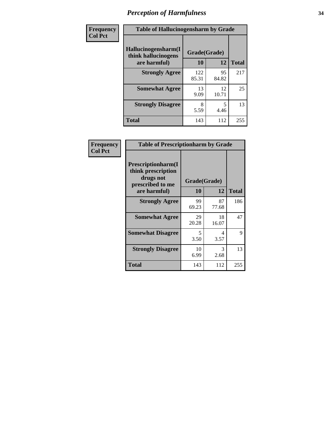| Frequency      | <b>Table of Hallucinogensharm by Grade</b> |              |             |              |  |
|----------------|--------------------------------------------|--------------|-------------|--------------|--|
| <b>Col Pct</b> | Hallucinogensharm(I<br>think hallucinogens | Grade(Grade) |             |              |  |
|                | are harmful)                               | 10           | 12          | <b>Total</b> |  |
|                | <b>Strongly Agree</b>                      | 122<br>85.31 | 95<br>84.82 | 217          |  |
|                | <b>Somewhat Agree</b>                      | 13<br>9.09   | 12<br>10.71 | 25           |  |
|                | <b>Strongly Disagree</b>                   | 8<br>5.59    | 5<br>4.46   | 13           |  |
|                | <b>Total</b>                               | 143          | 112         | 255          |  |

| Frequency      | <b>Table of Prescriptionharm by Grade</b>                                 |              |             |              |
|----------------|---------------------------------------------------------------------------|--------------|-------------|--------------|
| <b>Col Pct</b> | Prescriptionharm(I<br>think prescription<br>drugs not<br>prescribed to me | Grade(Grade) |             |              |
|                | are harmful)                                                              | 10           | 12          | <b>Total</b> |
|                | <b>Strongly Agree</b>                                                     | 99<br>69.23  | 87<br>77.68 | 186          |
|                | <b>Somewhat Agree</b>                                                     | 29<br>20.28  | 18<br>16.07 | 47           |
|                | <b>Somewhat Disagree</b>                                                  | 5<br>3.50    | 4<br>3.57   | 9            |
|                | <b>Strongly Disagree</b>                                                  | 10<br>6.99   | 3<br>2.68   | 13           |
|                | Total                                                                     | 143          | 112         | 255          |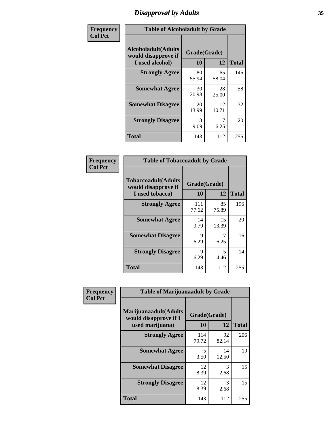# *Disapproval by Adults* **35**

| Frequency      | <b>Table of Alcoholadult by Grade</b>                                 |                    |             |              |
|----------------|-----------------------------------------------------------------------|--------------------|-------------|--------------|
| <b>Col Pct</b> | <b>Alcoholadult</b> (Adults<br>would disapprove if<br>I used alcohol) | Grade(Grade)<br>10 | 12          | <b>Total</b> |
|                | <b>Strongly Agree</b>                                                 | 80<br>55.94        | 65<br>58.04 | 145          |
|                | <b>Somewhat Agree</b>                                                 | 30<br>20.98        | 28<br>25.00 | 58           |
|                | <b>Somewhat Disagree</b>                                              | 20<br>13.99        | 12<br>10.71 | 32           |
|                | <b>Strongly Disagree</b>                                              | 13<br>9.09         | 6.25        | 20           |
|                | <b>Total</b>                                                          | 143                | 112         | 255          |

| <b>Table of Tobaccoadult by Grade</b>                                 |                    |             |              |  |  |
|-----------------------------------------------------------------------|--------------------|-------------|--------------|--|--|
| <b>Tobaccoadult</b> (Adults<br>would disapprove if<br>I used tobacco) | Grade(Grade)<br>10 | 12          | <b>Total</b> |  |  |
| <b>Strongly Agree</b>                                                 | 111<br>77.62       | 85<br>75.89 | 196          |  |  |
| <b>Somewhat Agree</b>                                                 | 14<br>9.79         | 15<br>13.39 | 29           |  |  |
| <b>Somewhat Disagree</b>                                              | 9<br>6.29          | 6.25        | 16           |  |  |
| <b>Strongly Disagree</b>                                              | 9<br>6.29          | 5<br>4.46   | 14           |  |  |
| Total                                                                 | 143                | 112         | 255          |  |  |

| Frequency      | <b>Table of Marijuanaadult by Grade</b>                           |                    |             |              |  |
|----------------|-------------------------------------------------------------------|--------------------|-------------|--------------|--|
| <b>Col Pct</b> | Marijuanaadult(Adults<br>would disapprove if I<br>used marijuana) | Grade(Grade)<br>10 | 12          | <b>Total</b> |  |
|                | <b>Strongly Agree</b>                                             | 114<br>79.72       | 92<br>82.14 | 206          |  |
|                | <b>Somewhat Agree</b>                                             | 5<br>3.50          | 14<br>12.50 | 19           |  |
|                | <b>Somewhat Disagree</b>                                          | 12<br>8.39         | 3<br>2.68   | 15           |  |
|                | <b>Strongly Disagree</b>                                          | 12<br>8.39         | 3<br>2.68   | 15           |  |
|                | <b>Total</b>                                                      | 143                | 112         | 255          |  |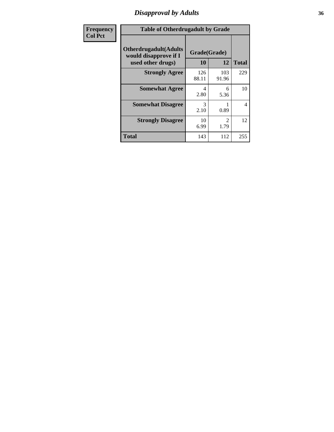# *Disapproval by Adults* **36**

| Frequency      | <b>Table of Otherdrugadult by Grade</b>                                     |                    |              |                          |
|----------------|-----------------------------------------------------------------------------|--------------------|--------------|--------------------------|
| <b>Col Pct</b> | <b>Otherdrugadult</b> (Adults<br>would disapprove if I<br>used other drugs) | Grade(Grade)<br>10 | 12           | <b>Total</b>             |
|                | <b>Strongly Agree</b>                                                       | 126<br>88.11       | 103<br>91.96 | 229                      |
|                | <b>Somewhat Agree</b>                                                       | 4<br>2.80          | 6<br>5.36    | 10                       |
|                | <b>Somewhat Disagree</b>                                                    | 3<br>2.10          | 0.89         | $\overline{\mathcal{A}}$ |
|                | <b>Strongly Disagree</b>                                                    | 10<br>6.99         | 2<br>1.79    | 12                       |
|                | <b>Total</b>                                                                | 143                | 112          | 255                      |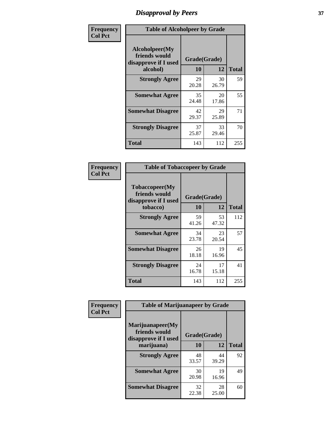# *Disapproval by Peers* **37**

| Frequency      | <b>Table of Alcoholpeer by Grade</b>                    |              |             |              |  |
|----------------|---------------------------------------------------------|--------------|-------------|--------------|--|
| <b>Col Pct</b> | Alcoholpeer(My<br>friends would<br>disapprove if I used | Grade(Grade) |             |              |  |
|                | alcohol)                                                | 10           | 12          | <b>Total</b> |  |
|                | <b>Strongly Agree</b>                                   | 29<br>20.28  | 30<br>26.79 | 59           |  |
|                | <b>Somewhat Agree</b>                                   | 35<br>24.48  | 20<br>17.86 | 55           |  |
|                | <b>Somewhat Disagree</b>                                | 42<br>29.37  | 29<br>25.89 | 71           |  |
|                | <b>Strongly Disagree</b>                                | 37<br>25.87  | 33<br>29.46 | 70           |  |
|                | Total                                                   | 143          | 112         | 255          |  |

| Frequency      | <b>Table of Tobaccopeer by Grade</b>                                |                    |             |              |
|----------------|---------------------------------------------------------------------|--------------------|-------------|--------------|
| <b>Col Pct</b> | Tobaccopeer(My<br>friends would<br>disapprove if I used<br>tobacco) | Grade(Grade)<br>10 | 12          | <b>Total</b> |
|                | <b>Strongly Agree</b>                                               | 59<br>41.26        | 53<br>47.32 | 112          |
|                | <b>Somewhat Agree</b>                                               | 34<br>23.78        | 23<br>20.54 | 57           |
|                | <b>Somewhat Disagree</b>                                            | 26<br>18.18        | 19<br>16.96 | 45           |
|                | <b>Strongly Disagree</b>                                            | 24<br>16.78        | 17<br>15.18 | 41           |
|                | Total                                                               | 143                | 112         | 255          |

| Frequency<br><b>Col Pct</b> | <b>Table of Marijuanapeer by Grade</b>                    |              |             |              |
|-----------------------------|-----------------------------------------------------------|--------------|-------------|--------------|
|                             | Marijuanapeer(My<br>friends would<br>disapprove if I used | Grade(Grade) |             |              |
|                             | marijuana)                                                | 10           | 12          | <b>Total</b> |
|                             | <b>Strongly Agree</b>                                     | 48<br>33.57  | 44<br>39.29 | 92           |
|                             | <b>Somewhat Agree</b>                                     | 30<br>20.98  | 19<br>16.96 | 49           |
|                             | <b>Somewhat Disagree</b>                                  | 32<br>22.38  | 28<br>25.00 | 60           |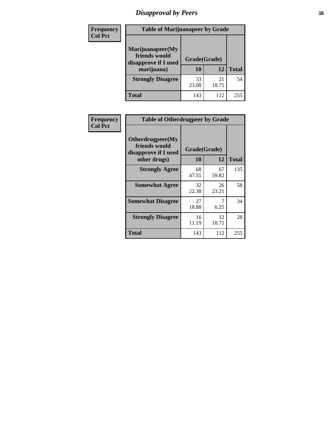# *Disapproval by Peers* **38**

| <b>Frequency</b> | <b>Table of Marijuanapeer by Grade</b>                                  |                           |             |              |  |
|------------------|-------------------------------------------------------------------------|---------------------------|-------------|--------------|--|
| <b>Col Pct</b>   | Marijuanapeer(My<br>friends would<br>disapprove if I used<br>marijuana) | Grade(Grade)<br><b>10</b> | 12          | <b>Total</b> |  |
|                  | <b>Strongly Disagree</b>                                                | 33<br>23.08               | 21<br>18.75 | 54           |  |
|                  | <b>Total</b>                                                            | 143                       | 112         | 255          |  |

| <b>Frequency</b> | <b>Table of Otherdrugpeer by Grade</b>                                    |                    |             |              |
|------------------|---------------------------------------------------------------------------|--------------------|-------------|--------------|
| <b>Col Pct</b>   | Otherdrugpeer(My<br>friends would<br>disapprove if I used<br>other drugs) | Grade(Grade)<br>10 | 12          | <b>Total</b> |
|                  |                                                                           |                    |             |              |
|                  | <b>Strongly Agree</b>                                                     | 68<br>47.55        | 67<br>59.82 | 135          |
|                  | <b>Somewhat Agree</b>                                                     | 32<br>22.38        | 26<br>23.21 | 58           |
|                  | <b>Somewhat Disagree</b>                                                  | 27<br>18.88        | 7<br>6.25   | 34           |
|                  | <b>Strongly Disagree</b>                                                  | 16<br>11.19        | 12<br>10.71 | 28           |
|                  | Total                                                                     | 143                | 112         | 255          |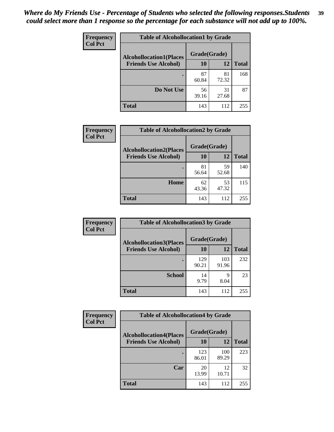| Frequency      | <b>Table of Alcohollocation1 by Grade</b> |              |             |              |
|----------------|-------------------------------------------|--------------|-------------|--------------|
| <b>Col Pct</b> | <b>Alcohollocation1(Places</b>            | Grade(Grade) |             |              |
|                | <b>Friends Use Alcohol)</b>               | 10           | 12          | <b>Total</b> |
|                |                                           | 87<br>60.84  | 81<br>72.32 | 168          |
|                | Do Not Use                                | 56<br>39.16  | 31<br>27.68 | 87           |
|                | <b>Total</b>                              | 143          | 112         | 255          |

| Frequency      | <b>Table of Alcohollocation2 by Grade</b>                     |                    |             |              |
|----------------|---------------------------------------------------------------|--------------------|-------------|--------------|
| <b>Col Pct</b> | <b>Alcohollocation2(Places</b><br><b>Friends Use Alcohol)</b> | Grade(Grade)<br>10 | <b>12</b>   | <b>Total</b> |
|                |                                                               | 81<br>56.64        | 59<br>52.68 | 140          |
|                | Home                                                          | 62<br>43.36        | 53<br>47.32 | 115          |
|                | <b>Total</b>                                                  | 143                | 112         | 255          |

| Frequency<br><b>Col Pct</b> | <b>Table of Alcohollocation 3 by Grade</b>                    |                    |              |              |
|-----------------------------|---------------------------------------------------------------|--------------------|--------------|--------------|
|                             | <b>Alcohollocation3(Places</b><br><b>Friends Use Alcohol)</b> | Grade(Grade)<br>10 | 12           | <b>Total</b> |
|                             |                                                               | 129<br>90.21       | 103<br>91.96 | 232          |
|                             | <b>School</b>                                                 | 14<br>9.79         | q<br>8.04    | 23           |
|                             | <b>Total</b>                                                  | 143                | 112          | 255          |

| <b>Frequency</b> | <b>Table of Alcohollocation4 by Grade</b> |              |              |              |  |
|------------------|-------------------------------------------|--------------|--------------|--------------|--|
| <b>Col Pct</b>   | <b>Alcohollocation4(Places</b>            | Grade(Grade) |              |              |  |
|                  | <b>Friends Use Alcohol)</b>               | 10           | 12           | <b>Total</b> |  |
|                  |                                           | 123<br>86.01 | 100<br>89.29 | 223          |  |
|                  | Car                                       | 20<br>13.99  | 12<br>10.71  | 32           |  |
|                  | Total                                     | 143          | 112          | 255          |  |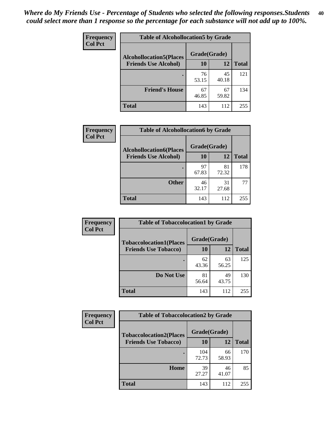| Frequency<br><b>Col Pct</b> | <b>Table of Alcohollocation5 by Grade</b> |              |             |              |
|-----------------------------|-------------------------------------------|--------------|-------------|--------------|
|                             | <b>Alcohollocation5(Places</b>            | Grade(Grade) |             |              |
|                             | <b>Friends Use Alcohol)</b>               | 10           | 12          | <b>Total</b> |
|                             |                                           | 76<br>53.15  | 45<br>40.18 | 121          |
|                             | <b>Friend's House</b>                     | 67<br>46.85  | 67<br>59.82 | 134          |
|                             | <b>Total</b>                              | 143          | 112         | 255          |

| <b>Frequency</b> | <b>Table of Alcohollocation6 by Grade</b>                     |                    |             |              |
|------------------|---------------------------------------------------------------|--------------------|-------------|--------------|
| <b>Col Pct</b>   | <b>Alcohollocation6(Places</b><br><b>Friends Use Alcohol)</b> | Grade(Grade)<br>10 | 12          | <b>Total</b> |
|                  |                                                               |                    |             |              |
|                  |                                                               | 97<br>67.83        | 81<br>72.32 | 178          |
|                  | <b>Other</b>                                                  | 46<br>32.17        | 31<br>27.68 | 77           |
|                  | Total                                                         | 143                | 112         | 255          |

| Frequency      | <b>Table of Tobaccolocation1 by Grade</b> |              |             |              |
|----------------|-------------------------------------------|--------------|-------------|--------------|
| <b>Col Pct</b> | <b>Tobaccolocation1(Places</b>            | Grade(Grade) |             |              |
|                | <b>Friends Use Tobacco)</b>               | 10           | 12          | <b>Total</b> |
|                |                                           | 62<br>43.36  | 63<br>56.25 | 125          |
|                | Do Not Use                                | 81<br>56.64  | 49<br>43.75 | 130          |
|                | <b>Total</b>                              | 143          | 112         | 255          |

| <b>Frequency</b> | <b>Table of Tobaccolocation2 by Grade</b> |              |             |              |
|------------------|-------------------------------------------|--------------|-------------|--------------|
| <b>Col Pct</b>   | <b>Tobaccolocation2(Places</b>            | Grade(Grade) |             |              |
|                  | <b>Friends Use Tobacco)</b>               | 10           | 12          | <b>Total</b> |
|                  |                                           | 104<br>72.73 | 66<br>58.93 | 170          |
|                  | Home                                      | 39<br>27.27  | 46<br>41.07 | 85           |
|                  | <b>Total</b>                              | 143          | 112         | 255          |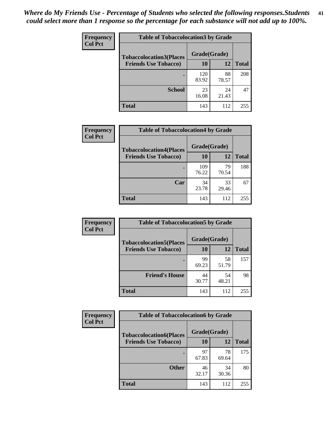| Frequency      | <b>Table of Tobaccolocation 3 by Grade</b> |              |             |              |
|----------------|--------------------------------------------|--------------|-------------|--------------|
| <b>Col Pct</b> | <b>Tobaccolocation3(Places</b>             | Grade(Grade) |             |              |
|                | <b>Friends Use Tobacco)</b>                | 10           | 12          | <b>Total</b> |
|                |                                            | 120<br>83.92 | 88<br>78.57 | 208          |
|                | <b>School</b>                              | 23<br>16.08  | 24<br>21.43 | 47           |
|                | <b>Total</b>                               | 143          | 112         | 255          |

| Frequency      | <b>Table of Tobaccolocation4 by Grade</b>                     |                           |             |              |
|----------------|---------------------------------------------------------------|---------------------------|-------------|--------------|
| <b>Col Pct</b> | <b>Tobaccolocation4(Places</b><br><b>Friends Use Tobacco)</b> | Grade(Grade)<br><b>10</b> | 12          | <b>Total</b> |
|                |                                                               | 109<br>76.22              | 79<br>70.54 | 188          |
|                | Car                                                           | 34<br>23.78               | 33<br>29.46 | 67           |
|                | <b>Total</b>                                                  | 143                       | 112         | 255          |

| Frequency<br><b>Col Pct</b> | <b>Table of Tobaccolocation5 by Grade</b> |              |             |              |
|-----------------------------|-------------------------------------------|--------------|-------------|--------------|
|                             | <b>Tobaccolocation5(Places</b>            | Grade(Grade) |             |              |
|                             | <b>Friends Use Tobacco)</b>               | 10           | <b>12</b>   | <b>Total</b> |
|                             |                                           | 99<br>69.23  | 58<br>51.79 | 157          |
|                             | <b>Friend's House</b>                     | 44<br>30.77  | 54<br>48.21 | 98           |
|                             | <b>Total</b>                              | 143          | 112         | 255          |

| Frequency      | <b>Table of Tobaccolocation6 by Grade</b> |              |             |              |  |
|----------------|-------------------------------------------|--------------|-------------|--------------|--|
| <b>Col Pct</b> | <b>Tobaccolocation6(Places</b>            | Grade(Grade) |             |              |  |
|                | <b>Friends Use Tobacco)</b>               | 10           | 12          | <b>Total</b> |  |
|                |                                           | 97<br>67.83  | 78<br>69.64 | 175          |  |
|                | <b>Other</b>                              | 46<br>32.17  | 34<br>30.36 | 80           |  |
|                | <b>Total</b>                              | 143          | 112         | 255          |  |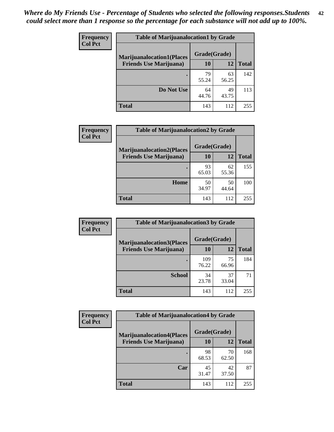| <b>Frequency</b> | <b>Table of Marijuanalocation1 by Grade</b> |              |             |              |
|------------------|---------------------------------------------|--------------|-------------|--------------|
| <b>Col Pct</b>   | <b>Marijuanalocation1(Places</b>            | Grade(Grade) |             |              |
|                  | <b>Friends Use Marijuana</b> )              | 10           | 12          | <b>Total</b> |
|                  |                                             | 79<br>55.24  | 63<br>56.25 | 142          |
|                  | Do Not Use                                  | 64<br>44.76  | 49<br>43.75 | 113          |
|                  | Total                                       | 143          | 112         | 255          |

| <b>Frequency</b> | <b>Table of Marijuanalocation2 by Grade</b>                        |                    |             |              |
|------------------|--------------------------------------------------------------------|--------------------|-------------|--------------|
| <b>Col Pct</b>   | <b>Marijuanalocation2(Places</b><br><b>Friends Use Marijuana</b> ) | Grade(Grade)<br>10 | 12          | <b>Total</b> |
|                  |                                                                    | 93<br>65.03        | 62<br>55.36 | 155          |
|                  | <b>Home</b>                                                        | 50<br>34.97        | 50<br>44.64 | 100          |
|                  | <b>Total</b>                                                       | 143                | 112         | 255          |

| <b>Frequency</b><br><b>Col Pct</b> | <b>Table of Marijuanalocation3 by Grade</b> |              |             |              |
|------------------------------------|---------------------------------------------|--------------|-------------|--------------|
|                                    | <b>Marijuanalocation3</b> (Places           | Grade(Grade) |             |              |
|                                    | <b>Friends Use Marijuana</b> )              | <b>10</b>    | 12          | <b>Total</b> |
|                                    |                                             | 109<br>76.22 | 75<br>66.96 | 184          |
|                                    | <b>School</b>                               | 34<br>23.78  | 37<br>33.04 | 71           |
|                                    | <b>Total</b>                                | 143          | 112         | 255          |

| <b>Frequency</b> | <b>Table of Marijuanalocation4 by Grade</b> |              |             |              |  |
|------------------|---------------------------------------------|--------------|-------------|--------------|--|
| <b>Col Pct</b>   | <b>Marijuanalocation4(Places</b>            | Grade(Grade) |             |              |  |
|                  | <b>Friends Use Marijuana</b> )              | <b>10</b>    | 12          | <b>Total</b> |  |
|                  |                                             | 98<br>68.53  | 70<br>62.50 | 168          |  |
|                  | Car                                         | 45<br>31.47  | 42<br>37.50 | 87           |  |
|                  | <b>Total</b>                                | 143          | 112         | 255          |  |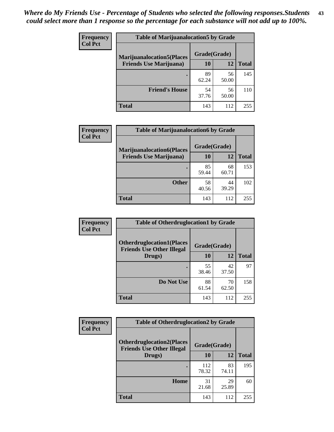| <b>Frequency</b> | <b>Table of Marijuanalocation5 by Grade</b> |              |             |              |
|------------------|---------------------------------------------|--------------|-------------|--------------|
| <b>Col Pct</b>   | <b>Marijuanalocation5</b> (Places           | Grade(Grade) |             |              |
|                  | <b>Friends Use Marijuana</b> )              | 10           | 12          | <b>Total</b> |
|                  |                                             | 89<br>62.24  | 56<br>50.00 | 145          |
|                  | <b>Friend's House</b>                       | 54<br>37.76  | 56<br>50.00 | 110          |
|                  | <b>Total</b>                                | 143          | 112         | 255          |

| <b>Frequency</b> | <b>Table of Marijuanalocation6 by Grade</b>                        |                    |             |              |
|------------------|--------------------------------------------------------------------|--------------------|-------------|--------------|
| <b>Col Pct</b>   | <b>Marijuanalocation6(Places</b><br><b>Friends Use Marijuana</b> ) | Grade(Grade)<br>10 | 12          | <b>Total</b> |
|                  |                                                                    | 85<br>59.44        | 68<br>60.71 | 153          |
|                  | <b>Other</b>                                                       | 58<br>40.56        | 44<br>39.29 | 102          |
|                  | <b>Total</b>                                                       | 143                | 112         | 255          |

| Frequency      | <b>Table of Otherdruglocation1 by Grade</b>                          |              |             |              |
|----------------|----------------------------------------------------------------------|--------------|-------------|--------------|
| <b>Col Pct</b> | <b>Otherdruglocation1(Places</b><br><b>Friends Use Other Illegal</b> | Grade(Grade) |             |              |
|                | Drugs)                                                               | 10           | 12          | <b>Total</b> |
|                |                                                                      | 55<br>38.46  | 42<br>37.50 | 97           |
|                | Do Not Use                                                           | 88<br>61.54  | 70<br>62.50 | 158          |
|                | <b>Total</b>                                                         | 143          | 112         | 255          |

| <b>Frequency</b> | <b>Table of Otherdruglocation2 by Grade</b>                          |              |             |              |
|------------------|----------------------------------------------------------------------|--------------|-------------|--------------|
| <b>Col Pct</b>   | <b>Otherdruglocation2(Places</b><br><b>Friends Use Other Illegal</b> | Grade(Grade) |             |              |
|                  | Drugs)                                                               | 10           | 12          | <b>Total</b> |
|                  |                                                                      | 112<br>78.32 | 83<br>74.11 | 195          |
|                  | Home                                                                 | 31<br>21.68  | 29<br>25.89 | 60           |
|                  | <b>Total</b>                                                         | 143          | 112         | 255          |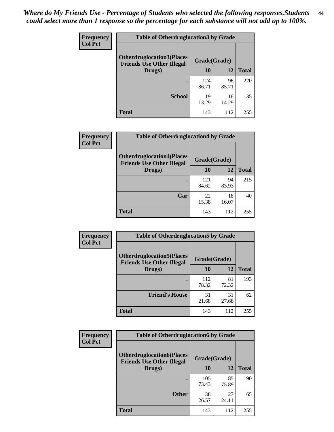| <b>Frequency</b> | <b>Table of Otherdruglocation3 by Grade</b>                          |              |             |              |
|------------------|----------------------------------------------------------------------|--------------|-------------|--------------|
| <b>Col Pct</b>   | <b>Otherdruglocation3(Places</b><br><b>Friends Use Other Illegal</b> | Grade(Grade) |             |              |
|                  | Drugs)                                                               | 10           | 12          | <b>Total</b> |
|                  |                                                                      | 124<br>86.71 | 96<br>85.71 | 220          |
|                  | <b>School</b>                                                        | 19<br>13.29  | 16<br>14.29 | 35           |
|                  | <b>Total</b>                                                         | 143          | 112         | 255          |

| <b>Frequency</b> | <b>Table of Otherdruglocation4 by Grade</b>                          |              |             |              |
|------------------|----------------------------------------------------------------------|--------------|-------------|--------------|
| <b>Col Pct</b>   | <b>Otherdruglocation4(Places</b><br><b>Friends Use Other Illegal</b> | Grade(Grade) |             |              |
|                  | Drugs)                                                               | 10           | 12          | <b>Total</b> |
|                  |                                                                      | 121<br>84.62 | 94<br>83.93 | 215          |
|                  | Car                                                                  | 22<br>15.38  | 18<br>16.07 | 40           |
|                  | <b>Total</b>                                                         | 143          | 112         | 255          |

| Frequency      | <b>Table of Otherdruglocation5 by Grade</b>                          |              |             |              |
|----------------|----------------------------------------------------------------------|--------------|-------------|--------------|
| <b>Col Pct</b> | <b>Otherdruglocation5(Places</b><br><b>Friends Use Other Illegal</b> | Grade(Grade) |             |              |
|                | Drugs)                                                               | 10           | 12          | <b>Total</b> |
|                |                                                                      | 112<br>78.32 | 81<br>72.32 | 193          |
|                | <b>Friend's House</b>                                                | 31<br>21.68  | 31<br>27.68 | 62           |
|                | <b>Total</b>                                                         | 143          | 112         | 255          |

| Frequency      | <b>Table of Otherdruglocation6 by Grade</b>                          |              |             |              |
|----------------|----------------------------------------------------------------------|--------------|-------------|--------------|
| <b>Col Pct</b> | <b>Otherdruglocation6(Places</b><br><b>Friends Use Other Illegal</b> | Grade(Grade) |             |              |
|                | Drugs)                                                               | <b>10</b>    | 12          | <b>Total</b> |
|                |                                                                      | 105<br>73.43 | 85<br>75.89 | 190          |
|                | <b>Other</b>                                                         | 38<br>26.57  | 27<br>24.11 | 65           |
|                | <b>Total</b>                                                         | 143          | 112         | 255          |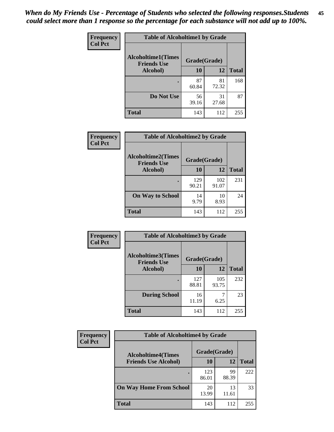| Frequency      | <b>Table of Alcoholtime1 by Grade</b>                           |             |             |              |
|----------------|-----------------------------------------------------------------|-------------|-------------|--------------|
| <b>Col Pct</b> | <b>Alcoholtime1(Times</b><br>Grade(Grade)<br><b>Friends Use</b> |             |             |              |
|                | Alcohol)                                                        | 10          | 12          | <b>Total</b> |
|                |                                                                 | 87<br>60.84 | 81<br>72.32 | 168          |
|                | Do Not Use                                                      | 56<br>39.16 | 31<br>27.68 | 87           |
|                | <b>Total</b>                                                    | 143         | 112         | 255          |

| Frequency      | <b>Table of Alcoholtime2 by Grade</b>           |              |              |              |
|----------------|-------------------------------------------------|--------------|--------------|--------------|
| <b>Col Pct</b> | <b>Alcoholtime2(Times</b><br><b>Friends Use</b> | Grade(Grade) |              |              |
|                | Alcohol)                                        | 10           | 12           | <b>Total</b> |
|                |                                                 | 129<br>90.21 | 102<br>91.07 | 231          |
|                | <b>On Way to School</b>                         | 14<br>9.79   | 10<br>8.93   | 24           |
|                | <b>Total</b>                                    | 143          | 112          | 255          |

| Frequency<br><b>Col Pct</b> | <b>Table of Alcoholtime3 by Grade</b>                           |              |              |              |
|-----------------------------|-----------------------------------------------------------------|--------------|--------------|--------------|
|                             | <b>Alcoholtime3(Times</b><br>Grade(Grade)<br><b>Friends Use</b> |              |              |              |
|                             | Alcohol)                                                        | 10           | 12           | <b>Total</b> |
|                             |                                                                 | 127<br>88.81 | 105<br>93.75 | 232          |
|                             | <b>During School</b>                                            | 16<br>11.19  | 6.25         | 23           |
|                             | <b>Total</b>                                                    | 143          | 112          | 255          |

| <b>Frequency</b> | <b>Table of Alcoholtime4 by Grade</b> |              |             |              |  |
|------------------|---------------------------------------|--------------|-------------|--------------|--|
| <b>Col Pct</b>   | <b>Alcoholtime4(Times</b>             | Grade(Grade) |             |              |  |
|                  | <b>Friends Use Alcohol)</b>           | 10           | 12          | <b>Total</b> |  |
|                  | ٠                                     | 123<br>86.01 | 99<br>88.39 | 222          |  |
|                  | <b>On Way Home From School</b>        | 20<br>13.99  | 13<br>11.61 | 33           |  |
|                  | <b>Total</b>                          | 143          | 112         | 255          |  |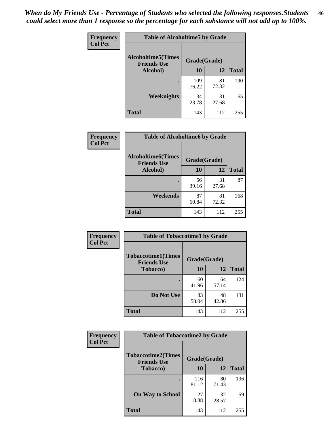*When do My Friends Use - Percentage of Students who selected the following responses.Students could select more than 1 response so the percentage for each substance will not add up to 100%.* **46**

| Frequency      | <b>Table of Alcoholtime5 by Grade</b>           |              |             |              |
|----------------|-------------------------------------------------|--------------|-------------|--------------|
| <b>Col Pct</b> | <b>Alcoholtime5(Times</b><br><b>Friends Use</b> | Grade(Grade) |             |              |
|                | Alcohol)                                        | 10           | 12          | <b>Total</b> |
|                |                                                 | 109<br>76.22 | 81<br>72.32 | 190          |
|                | <b>Weeknights</b>                               | 34<br>23.78  | 31<br>27.68 | 65           |
|                | <b>Total</b>                                    | 143          | 112         | 255          |

| <b>Frequency</b> |                                                 | <b>Table of Alcoholtime6 by Grade</b> |             |              |  |
|------------------|-------------------------------------------------|---------------------------------------|-------------|--------------|--|
| <b>Col Pct</b>   | <b>Alcoholtime6(Times</b><br><b>Friends Use</b> | Grade(Grade)                          |             |              |  |
|                  | Alcohol)                                        | 10                                    | 12          | <b>Total</b> |  |
|                  |                                                 | 56<br>39.16                           | 31<br>27.68 | 87           |  |
|                  | Weekends                                        | 87<br>60.84                           | 81<br>72.32 | 168          |  |
|                  | <b>Total</b>                                    | 143                                   | 112         | 255          |  |

| <b>Frequency</b> | <b>Table of Tobaccotime1 by Grade</b>           |              |             |              |
|------------------|-------------------------------------------------|--------------|-------------|--------------|
| <b>Col Pct</b>   | <b>Tobaccotime1(Times</b><br><b>Friends Use</b> | Grade(Grade) |             |              |
|                  | <b>Tobacco</b> )                                | 10           | 12          | <b>Total</b> |
|                  | ٠                                               | 60<br>41.96  | 64<br>57.14 | 124          |
|                  | Do Not Use                                      | 83<br>58.04  | 48<br>42.86 | 131          |
|                  | <b>Total</b>                                    | 143          | 112         | 255          |

| <b>Frequency</b> | <b>Table of Tobaccotime2 by Grade</b>           |              |             |              |
|------------------|-------------------------------------------------|--------------|-------------|--------------|
| <b>Col Pct</b>   | <b>Tobaccotime2(Times</b><br><b>Friends Use</b> | Grade(Grade) |             |              |
|                  | <b>Tobacco</b> )                                | 10           | 12          | <b>Total</b> |
|                  |                                                 | 116<br>81.12 | 80<br>71.43 | 196          |
|                  | <b>On Way to School</b>                         | 27<br>18.88  | 32<br>28.57 | 59           |
|                  | <b>Total</b>                                    | 143          | 112         | 255          |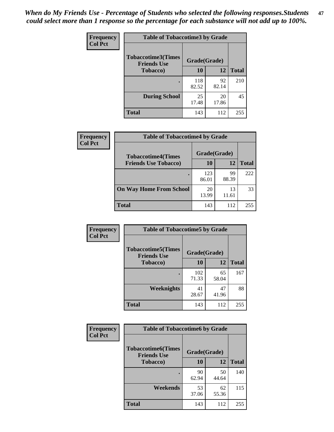*When do My Friends Use - Percentage of Students who selected the following responses.Students could select more than 1 response so the percentage for each substance will not add up to 100%.* **47**

| <b>Frequency</b> | <b>Table of Tobaccotime3 by Grade</b>           |              |             |              |  |
|------------------|-------------------------------------------------|--------------|-------------|--------------|--|
| <b>Col Pct</b>   | <b>Tobaccotime3(Times</b><br><b>Friends Use</b> | Grade(Grade) |             |              |  |
|                  | <b>Tobacco</b> )                                | 10           | 12          | <b>Total</b> |  |
|                  |                                                 | 118<br>82.52 | 92<br>82.14 | 210          |  |
|                  | <b>During School</b>                            | 25<br>17.48  | 20<br>17.86 | 45           |  |
|                  | <b>Total</b>                                    | 143          | 112         | 255          |  |

| Frequency<br><b>Col Pct</b> | <b>Table of Tobaccotime4 by Grade</b> |              |             |              |
|-----------------------------|---------------------------------------|--------------|-------------|--------------|
|                             | <b>Tobaccotime4(Times</b>             | Grade(Grade) |             |              |
|                             | <b>Friends Use Tobacco)</b>           | 10           | 12          | <b>Total</b> |
|                             |                                       | 123<br>86.01 | 99<br>88.39 | 222          |
|                             | <b>On Way Home From School</b>        | 20<br>13.99  | 13<br>11.61 | 33           |
|                             | Total                                 | 143          | 112         | 255          |

| Frequency      | <b>Table of Tobaccotime5 by Grade</b>            |              |             |              |
|----------------|--------------------------------------------------|--------------|-------------|--------------|
| <b>Col Pct</b> | <b>Tobaccotime5</b> (Times<br><b>Friends Use</b> | Grade(Grade) |             |              |
|                | <b>Tobacco</b> )                                 | 10           | 12          | <b>Total</b> |
|                |                                                  | 102<br>71.33 | 65<br>58.04 | 167          |
|                | Weeknights                                       | 41<br>28.67  | 47<br>41.96 | 88           |
|                | <b>Total</b>                                     | 143          | 112         | 255          |

| Frequency<br><b>Col Pct</b> | <b>Table of Tobaccotime6 by Grade</b>                           |             |             |              |  |
|-----------------------------|-----------------------------------------------------------------|-------------|-------------|--------------|--|
|                             | <b>Tobaccotime6(Times</b><br>Grade(Grade)<br><b>Friends Use</b> |             |             |              |  |
|                             | <b>Tobacco</b> )                                                | 10          | 12          | <b>Total</b> |  |
|                             | ٠                                                               | 90<br>62.94 | 50<br>44.64 | 140          |  |
|                             | Weekends                                                        | 53<br>37.06 | 62<br>55.36 | 115          |  |
|                             | <b>Total</b>                                                    | 143         | 112         | 255          |  |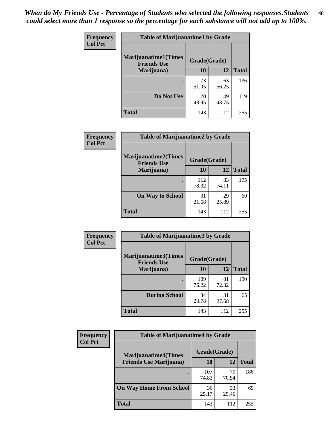| Frequency      | <b>Table of Marijuanatime1 by Grade</b>           |              |             |              |
|----------------|---------------------------------------------------|--------------|-------------|--------------|
| <b>Col Pct</b> | <b>Marijuanatime1(Times</b><br><b>Friends Use</b> | Grade(Grade) |             |              |
|                | Marijuana)                                        | 10           | 12          | <b>Total</b> |
|                |                                                   | 73<br>51.05  | 63<br>56.25 | 136          |
|                | Do Not Use                                        | 70<br>48.95  | 49<br>43.75 | 119          |
|                | <b>Total</b>                                      | 143          | 112         | 255          |

| Frequency      | <b>Table of Marijuanatime2 by Grade</b>           |              |             |              |
|----------------|---------------------------------------------------|--------------|-------------|--------------|
| <b>Col Pct</b> | <b>Marijuanatime2(Times</b><br><b>Friends Use</b> | Grade(Grade) |             |              |
|                | Marijuana)                                        | 10           | 12          | <b>Total</b> |
|                | $\bullet$                                         | 112<br>78.32 | 83<br>74.11 | 195          |
|                | <b>On Way to School</b>                           | 31<br>21.68  | 29<br>25.89 | 60           |
|                | <b>Total</b>                                      | 143          | 112         | 255          |

| Frequency<br><b>Col Pct</b> | <b>Table of Marijuanatime3 by Grade</b>    |              |             |              |
|-----------------------------|--------------------------------------------|--------------|-------------|--------------|
|                             | Marijuanatime3(Times<br><b>Friends Use</b> | Grade(Grade) |             |              |
|                             | Marijuana)                                 | 10           | 12          | <b>Total</b> |
|                             |                                            | 109<br>76.22 | 81<br>72.32 | 190          |
|                             | <b>During School</b>                       | 34<br>23.78  | 31<br>27.68 | 65           |
|                             | <b>Total</b>                               | 143          | 112         | 255          |

| <b>Frequency</b> | <b>Table of Marijuanatime4 by Grade</b> |              |             |              |
|------------------|-----------------------------------------|--------------|-------------|--------------|
| <b>Col Pct</b>   | <b>Marijuanatime4(Times</b>             | Grade(Grade) |             |              |
|                  | <b>Friends Use Marijuana</b> )          | 10           | 12          | <b>Total</b> |
|                  |                                         | 107<br>74.83 | 79<br>70.54 | 186          |
|                  | <b>On Way Home From School</b>          | 36<br>25.17  | 33<br>29.46 | 69           |
|                  | <b>Total</b>                            | 143          | 112         | 255          |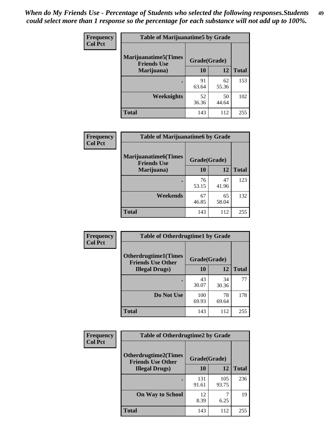| Frequency      | <b>Table of Marijuanatime5 by Grade</b>            |              |             |              |  |
|----------------|----------------------------------------------------|--------------|-------------|--------------|--|
| <b>Col Pct</b> | <b>Marijuanatime5</b> (Times<br><b>Friends Use</b> | Grade(Grade) |             |              |  |
|                | Marijuana)                                         | 10           | 12          | <b>Total</b> |  |
|                |                                                    | 91<br>63.64  | 62<br>55.36 | 153          |  |
|                | Weeknights                                         | 52<br>36.36  | 50<br>44.64 | 102          |  |
|                | <b>Total</b>                                       | 143          | 112         | 255          |  |

| Frequency      | <b>Table of Marijuanatime6 by Grade</b>    |              |             |              |
|----------------|--------------------------------------------|--------------|-------------|--------------|
| <b>Col Pct</b> | Marijuanatime6(Times<br><b>Friends Use</b> | Grade(Grade) |             |              |
|                | Marijuana)                                 | 10           | 12          | <b>Total</b> |
|                |                                            | 76<br>53.15  | 47<br>41.96 | 123          |
|                | Weekends                                   | 67<br>46.85  | 65<br>58.04 | 132          |
|                | <b>Total</b>                               | 143          | 112         | 255          |

| <b>Frequency</b> | <b>Table of Otherdrugtime1 by Grade</b>                 |              |             |              |
|------------------|---------------------------------------------------------|--------------|-------------|--------------|
| <b>Col Pct</b>   | <b>Otherdrugtime1(Times</b><br><b>Friends Use Other</b> | Grade(Grade) |             |              |
|                  | <b>Illegal Drugs</b> )                                  | 10           | 12          | <b>Total</b> |
|                  |                                                         | 43<br>30.07  | 34<br>30.36 | 77           |
|                  | Do Not Use                                              | 100<br>69.93 | 78<br>69.64 | 178          |
|                  | Total                                                   | 143          | 112         | 255          |

| Frequency      | <b>Table of Otherdrugtime2 by Grade</b>                 |              |              |              |  |  |
|----------------|---------------------------------------------------------|--------------|--------------|--------------|--|--|
| <b>Col Pct</b> | <b>Otherdrugtime2(Times</b><br><b>Friends Use Other</b> | Grade(Grade) |              |              |  |  |
|                | <b>Illegal Drugs</b> )                                  | 10           | 12           | <b>Total</b> |  |  |
|                |                                                         | 131<br>91.61 | 105<br>93.75 | 236          |  |  |
|                | <b>On Way to School</b>                                 | 12<br>8.39   | 6.25         | 19           |  |  |
|                | Total                                                   | 143          | 112          | 255          |  |  |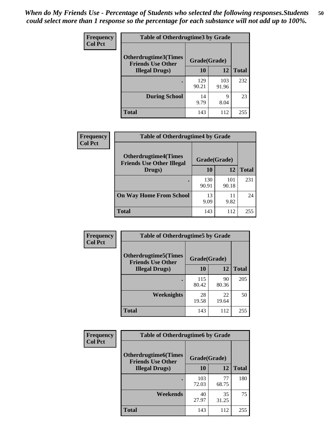| <b>Frequency</b> | <b>Table of Otherdrugtime3 by Grade</b>          |              |              |              |  |  |
|------------------|--------------------------------------------------|--------------|--------------|--------------|--|--|
| <b>Col Pct</b>   | Otherdrugtime3(Times<br><b>Friends Use Other</b> | Grade(Grade) |              |              |  |  |
|                  | <b>Illegal Drugs</b> )                           | 10           | 12           | <b>Total</b> |  |  |
|                  |                                                  | 129<br>90.21 | 103<br>91.96 | 232          |  |  |
|                  | <b>During School</b>                             | 14<br>9.79   | 9<br>8.04    | 23           |  |  |
|                  | Total                                            | 143          | 112          | 255          |  |  |

| Frequency      | <b>Table of Otherdrugtime4 by Grade</b>                         |              |              |              |  |  |
|----------------|-----------------------------------------------------------------|--------------|--------------|--------------|--|--|
| <b>Col Pct</b> | <b>Otherdrugtime4(Times</b><br><b>Friends Use Other Illegal</b> | Grade(Grade) |              |              |  |  |
|                | Drugs)                                                          | 10           | 12           | <b>Total</b> |  |  |
|                | ٠                                                               | 130<br>90.91 | 101<br>90.18 | 231          |  |  |
|                | <b>On Way Home From School</b>                                  | 13<br>9.09   | 11<br>9.82   | 24           |  |  |
|                | <b>Total</b>                                                    | 143          | 112          | 255          |  |  |

| Frequency      | <b>Table of Otherdrugtime5 by Grade</b>                  |              |             |              |  |  |
|----------------|----------------------------------------------------------|--------------|-------------|--------------|--|--|
| <b>Col Pct</b> | <b>Otherdrugtime5</b> (Times<br><b>Friends Use Other</b> | Grade(Grade) |             |              |  |  |
|                | <b>Illegal Drugs</b> )                                   | 10           | 12          | <b>Total</b> |  |  |
|                |                                                          | 115<br>80.42 | 90<br>80.36 | 205          |  |  |
|                | Weeknights                                               | 28<br>19.58  | 22<br>19.64 | 50           |  |  |
|                | Total                                                    | 143          | 112         | 255          |  |  |

| <b>Frequency</b> | <b>Table of Otherdrugtime6 by Grade</b>                 |              |             |              |  |  |
|------------------|---------------------------------------------------------|--------------|-------------|--------------|--|--|
| <b>Col Pct</b>   | <b>Otherdrugtime6(Times</b><br><b>Friends Use Other</b> | Grade(Grade) |             |              |  |  |
|                  | <b>Illegal Drugs</b> )                                  | 10           | 12          | <b>Total</b> |  |  |
|                  |                                                         | 103<br>72.03 | 77<br>68.75 | 180          |  |  |
|                  | Weekends                                                | 40<br>27.97  | 35<br>31.25 | 75           |  |  |
|                  | <b>Total</b>                                            | 143          | 112         | 255          |  |  |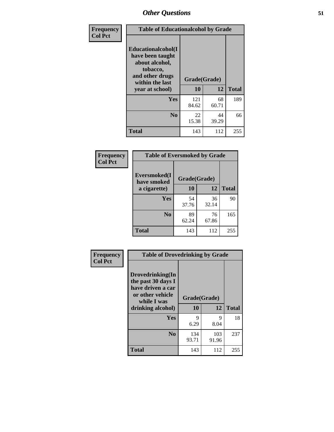| Frequency      | <b>Table of Educationalcohol by Grade</b>                                                                  |              |             |              |  |
|----------------|------------------------------------------------------------------------------------------------------------|--------------|-------------|--------------|--|
| <b>Col Pct</b> | Educationalcohol(I<br>have been taught<br>about alcohol,<br>tobacco,<br>and other drugs<br>within the last | Grade(Grade) |             |              |  |
|                | year at school)                                                                                            | 10           | 12          | <b>Total</b> |  |
|                | <b>Yes</b>                                                                                                 | 121<br>84.62 | 68<br>60.71 | 189          |  |
|                | N <sub>0</sub>                                                                                             | 22<br>15.38  | 44<br>39.29 | 66           |  |
|                | <b>Total</b>                                                                                               | 143          | 112         | 255          |  |

| Frequency      | <b>Table of Eversmoked by Grade</b> |              |             |              |  |  |
|----------------|-------------------------------------|--------------|-------------|--------------|--|--|
| <b>Col Pct</b> | Eversmoked(I<br>have smoked         | Grade(Grade) |             |              |  |  |
|                | a cigarette)                        | 10           | 12          | <b>Total</b> |  |  |
|                | Yes                                 | 54<br>37.76  | 36<br>32.14 | 90           |  |  |
|                | N <sub>0</sub>                      | 89<br>62.24  | 76<br>67.86 | 165          |  |  |
|                | <b>Total</b>                        | 143          | 112         | 255          |  |  |

| Frequency      | <b>Table of Drovedrinking by Grade</b>                                                                              |                    |              |              |  |  |
|----------------|---------------------------------------------------------------------------------------------------------------------|--------------------|--------------|--------------|--|--|
| <b>Col Pct</b> | Drovedrinking(In<br>the past 30 days I<br>have driven a car<br>or other vehicle<br>while I was<br>drinking alcohol) | Grade(Grade)<br>10 | 12           | <b>Total</b> |  |  |
|                | <b>Yes</b>                                                                                                          | 9<br>6.29          | 9<br>8.04    | 18           |  |  |
|                | N <sub>0</sub>                                                                                                      | 134<br>93.71       | 103<br>91.96 | 237          |  |  |
|                | <b>Total</b>                                                                                                        | 143                | 112          | 255          |  |  |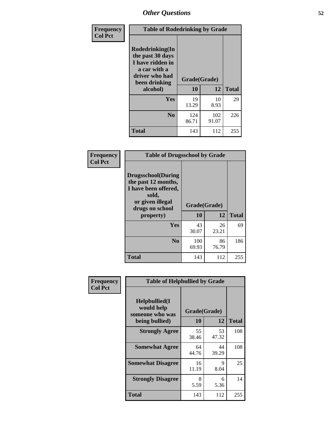| Frequency<br><b>Col Pct</b> | <b>Table of Rodedrinking by Grade</b>                                                                      |              |              |              |  |  |
|-----------------------------|------------------------------------------------------------------------------------------------------------|--------------|--------------|--------------|--|--|
|                             | Rodedrinking(In<br>the past 30 days<br>I have ridden in<br>a car with a<br>driver who had<br>been drinking | Grade(Grade) |              |              |  |  |
|                             | alcohol)                                                                                                   | 10           | 12           | <b>Total</b> |  |  |
|                             | Yes                                                                                                        | 19<br>13.29  | 10<br>8.93   | 29           |  |  |
|                             | N <sub>0</sub>                                                                                             | 124<br>86.71 | 102<br>91.07 | 226          |  |  |
|                             | <b>Total</b>                                                                                               | 143          | 112          | 255          |  |  |

#### **Frequency Col Pct**

| <b>Table of Drugsschool by Grade</b>                                                                                      |              |             |              |  |  |  |
|---------------------------------------------------------------------------------------------------------------------------|--------------|-------------|--------------|--|--|--|
| <b>Drugsschool</b> (During<br>the past 12 months,<br>I have been offered,<br>sold,<br>or given illegal<br>drugs on school | Grade(Grade) |             |              |  |  |  |
| property)                                                                                                                 | 10           | 12          | <b>Total</b> |  |  |  |
| Yes                                                                                                                       | 43<br>30.07  | 26<br>23.21 | 69           |  |  |  |
| N <sub>0</sub>                                                                                                            | 100<br>69.93 | 86<br>76.79 | 186          |  |  |  |
|                                                                                                                           |              |             |              |  |  |  |

| Frequency      | <b>Table of Helpbullied by Grade</b>                                   |                    |             |              |  |  |  |
|----------------|------------------------------------------------------------------------|--------------------|-------------|--------------|--|--|--|
| <b>Col Pct</b> | $Helpb$ ullied $(I$<br>would help<br>someone who was<br>being bullied) | Grade(Grade)<br>10 | 12          | <b>Total</b> |  |  |  |
|                |                                                                        |                    |             |              |  |  |  |
|                | <b>Strongly Agree</b>                                                  | 55<br>38.46        | 53<br>47.32 | 108          |  |  |  |
|                | <b>Somewhat Agree</b>                                                  | 64<br>44.76        | 44<br>39.29 | 108          |  |  |  |
|                | <b>Somewhat Disagree</b>                                               | 16<br>11.19        | 9<br>8.04   | 25           |  |  |  |
|                | <b>Strongly Disagree</b>                                               | 8<br>5.59          | 6<br>5.36   | 14           |  |  |  |
|                | <b>Total</b>                                                           | 143                | 112         | 255          |  |  |  |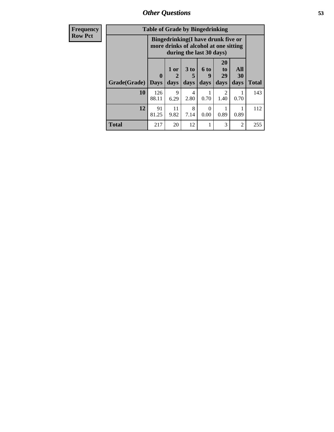*Other Questions* **53**

| <b>Frequency</b> | <b>Table of Grade by Bingedrinking</b> |                             |                                                                             |                              |                     |                               |                   |              |
|------------------|----------------------------------------|-----------------------------|-----------------------------------------------------------------------------|------------------------------|---------------------|-------------------------------|-------------------|--------------|
| <b>Row Pct</b>   |                                        |                             | Bingedrinking(I have drunk five or<br>more drinks of alcohol at one sitting | during the last 30 days)     |                     |                               |                   |              |
|                  | Grade(Grade)                           | $\mathbf{0}$<br><b>Days</b> | $1$ or<br>days                                                              | 3 <sub>to</sub><br>5<br>days | $6$ to<br>9<br>days | <b>20</b><br>to<br>29<br>days | All<br>30<br>days | <b>Total</b> |
|                  | 10                                     | 126<br>88.11                | 9<br>6.29                                                                   | 4<br>2.80                    | 0.70                | 2<br>1.40                     | 0.70              | 143          |
|                  | 12                                     | 91<br>81.25                 | 11<br>9.82                                                                  | 8<br>7.14                    | $\Omega$<br>0.00    | 0.89                          | 0.89              | 112          |
|                  | <b>Total</b>                           | 217                         | 20                                                                          | 12                           | 1                   | 3                             | 2                 | 255          |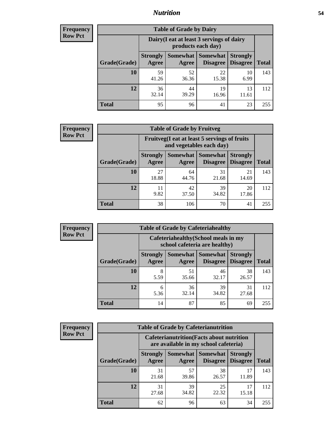### *Nutrition* **54**

| <b>Frequency</b><br>Row Pct |
|-----------------------------|
|                             |

| <b>Table of Grade by Dairy</b> |                          |                                                                 |                             |                                    |              |  |  |  |
|--------------------------------|--------------------------|-----------------------------------------------------------------|-----------------------------|------------------------------------|--------------|--|--|--|
|                                |                          | Dairy (I eat at least 3 servings of dairy<br>products each day) |                             |                                    |              |  |  |  |
| Grade(Grade)                   | <b>Strongly</b><br>Agree | Somewhat  <br>Agree                                             | <b>Somewhat</b><br>Disagree | <b>Strongly</b><br><b>Disagree</b> | <b>Total</b> |  |  |  |
| 10                             | 59<br>41.26              | 52<br>36.36                                                     | 22<br>15.38                 | 10<br>6.99                         | 143          |  |  |  |
| 12                             | 36<br>32.14              | 44<br>39.29                                                     | 19<br>16.96                 | 13<br>11.61                        | 112          |  |  |  |
| <b>Total</b>                   | 95                       | 96                                                              | 41                          | 23                                 | 255          |  |  |  |

| <b>Frequency</b> |  |
|------------------|--|
| <b>Row Pct</b>   |  |

| <b>Table of Grade by Fruitveg</b>                                        |                          |             |                               |                                    |              |  |  |  |
|--------------------------------------------------------------------------|--------------------------|-------------|-------------------------------|------------------------------------|--------------|--|--|--|
| Fruitveg(I eat at least 5 servings of fruits<br>and vegetables each day) |                          |             |                               |                                    |              |  |  |  |
| Grade(Grade)                                                             | <b>Strongly</b><br>Agree | Agree       | Somewhat Somewhat<br>Disagree | <b>Strongly</b><br><b>Disagree</b> | <b>Total</b> |  |  |  |
| 10                                                                       | 27<br>18.88              | 64<br>44.76 | 31<br>21.68                   | 21<br>14.69                        | 143          |  |  |  |
| 12                                                                       | 11<br>9.82               | 42<br>37.50 | 39<br>34.82                   | 20<br>17.86                        | 112          |  |  |  |
| <b>Total</b>                                                             | 38                       | 106         | 70                            | 41                                 | 255          |  |  |  |

| <b>Frequency</b> | <b>Table of Grade by Cafeteriahealthy</b> |                                                                       |             |                                          |                                    |              |  |  |
|------------------|-------------------------------------------|-----------------------------------------------------------------------|-------------|------------------------------------------|------------------------------------|--------------|--|--|
| <b>Row Pct</b>   |                                           | Cafeteriahealthy (School meals in my<br>school cafeteria are healthy) |             |                                          |                                    |              |  |  |
|                  | Grade(Grade)                              | <b>Strongly</b><br>Agree                                              | Agree       | Somewhat   Somewhat  <br><b>Disagree</b> | <b>Strongly</b><br><b>Disagree</b> | <b>Total</b> |  |  |
|                  | 10                                        | 8<br>5.59                                                             | 51<br>35.66 | 46<br>32.17                              | 38<br>26.57                        | 143          |  |  |
|                  | 12                                        | 6<br>5.36                                                             | 36<br>32.14 | 39<br>34.82                              | 31<br>27.68                        | 112          |  |  |
|                  | Total                                     | 14                                                                    | 87          | 85                                       | 69                                 | 255          |  |  |

| <b>Frequency</b> |
|------------------|
| <b>Row Pct</b>   |

| <b>Table of Grade by Cafeterianutrition</b>                                               |                          |                     |                                    |                                    |              |  |
|-------------------------------------------------------------------------------------------|--------------------------|---------------------|------------------------------------|------------------------------------|--------------|--|
| <b>Cafeterianutrition</b> (Facts about nutrition<br>are available in my school cafeteria) |                          |                     |                                    |                                    |              |  |
| Grade(Grade)                                                                              | <b>Strongly</b><br>Agree | Somewhat  <br>Agree | <b>Somewhat</b><br><b>Disagree</b> | <b>Strongly</b><br><b>Disagree</b> | <b>Total</b> |  |
| 10                                                                                        | 31<br>21.68              | 57<br>39.86         | 38<br>26.57                        | 17<br>11.89                        | 143          |  |
| 12                                                                                        | 31<br>27.68              | 39<br>34.82         | 25<br>22.32                        | 17<br>15.18                        | 112          |  |
| <b>Total</b>                                                                              | 62                       | 96                  | 63                                 | 34                                 | 255          |  |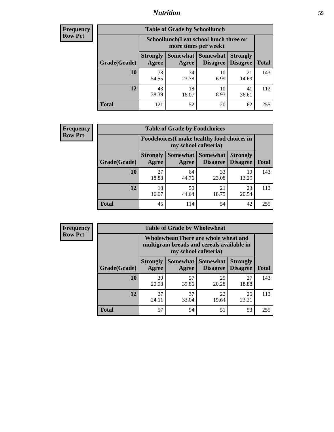### *Nutrition* **55**

| <b>Frequency</b> |
|------------------|
| Row Pct          |

| <b>Table of Grade by Schoollunch</b> |                                                                                                                      |                                                                 |            |             |     |  |  |  |
|--------------------------------------|----------------------------------------------------------------------------------------------------------------------|-----------------------------------------------------------------|------------|-------------|-----|--|--|--|
|                                      |                                                                                                                      | Schoollunch(I eat school lunch three or<br>more times per week) |            |             |     |  |  |  |
| Grade(Grade)                         | Somewhat  <br><b>Somewhat</b><br><b>Strongly</b><br><b>Strongly</b><br><b>Disagree</b><br>Disagree<br>Agree<br>Agree |                                                                 |            |             |     |  |  |  |
| 10                                   | 78<br>54.55                                                                                                          | 34<br>23.78                                                     | 10<br>6.99 | 21<br>14.69 | 143 |  |  |  |
| 12                                   | 43<br>38.39                                                                                                          | 18<br>16.07                                                     | 10<br>8.93 | 41<br>36.61 | 112 |  |  |  |
| <b>Total</b>                         | 121                                                                                                                  | 52                                                              | 20         | 62          | 255 |  |  |  |

| <b>Frequency</b> |  |
|------------------|--|
| <b>Row Pct</b>   |  |

| <b>Table of Grade by Foodchoices</b>                                |                          |             |                                        |                                    |              |  |  |  |
|---------------------------------------------------------------------|--------------------------|-------------|----------------------------------------|------------------------------------|--------------|--|--|--|
| Foodchoices (I make healthy food choices in<br>my school cafeteria) |                          |             |                                        |                                    |              |  |  |  |
| Grade(Grade)                                                        | <b>Strongly</b><br>Agree | Agree       | <b>Somewhat   Somewhat</b><br>Disagree | <b>Strongly</b><br><b>Disagree</b> | <b>Total</b> |  |  |  |
| 10                                                                  | 27<br>18.88              | 64<br>44.76 | 33<br>23.08                            | 19<br>13.29                        | 143          |  |  |  |
| 12                                                                  | 18<br>16.07              | 50<br>44.64 | 21<br>18.75                            | 23<br>20.54                        | 112          |  |  |  |
| <b>Total</b>                                                        | 45                       | 114         | 54                                     | 42                                 | 255          |  |  |  |

| Frequency      | <b>Table of Grade by Wholewheat</b> |                                                                                                             |             |                                        |                                    |              |  |  |  |
|----------------|-------------------------------------|-------------------------------------------------------------------------------------------------------------|-------------|----------------------------------------|------------------------------------|--------------|--|--|--|
| <b>Row Pct</b> |                                     | Wholewheat (There are whole wheat and<br>multigrain breads and cereals available in<br>my school cafeteria) |             |                                        |                                    |              |  |  |  |
|                | Grade(Grade)                        | <b>Strongly</b><br>Agree                                                                                    | Agree       | Somewhat   Somewhat<br><b>Disagree</b> | <b>Strongly</b><br><b>Disagree</b> | <b>Total</b> |  |  |  |
|                | 10                                  | 30<br>20.98                                                                                                 | 57<br>39.86 | 29<br>20.28                            | 27<br>18.88                        | 143          |  |  |  |
|                | 12                                  | 27<br>24.11                                                                                                 | 37<br>33.04 | 22<br>19.64                            | 26<br>23.21                        | 112          |  |  |  |
|                | <b>Total</b>                        | 57                                                                                                          | 94          | 51                                     | 53                                 | 255          |  |  |  |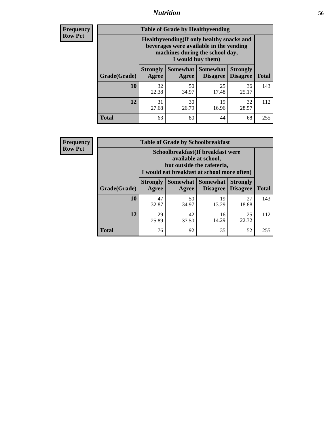### *Nutrition* **56**

**Frequency Row Pct**

| <b>Table of Grade by Healthyvending</b> |                                                                                                                                               |                     |                                    |                                    |              |
|-----------------------------------------|-----------------------------------------------------------------------------------------------------------------------------------------------|---------------------|------------------------------------|------------------------------------|--------------|
|                                         | Healthyvending (If only healthy snacks and<br>beverages were available in the vending<br>machines during the school day,<br>I would buy them) |                     |                                    |                                    |              |
| Grade(Grade)                            | <b>Strongly</b><br>Agree                                                                                                                      | Somewhat  <br>Agree | <b>Somewhat</b><br><b>Disagree</b> | <b>Strongly</b><br><b>Disagree</b> | <b>Total</b> |
| 10                                      | 32<br>22.38                                                                                                                                   | 50<br>34.97         | 25<br>17.48                        | 36<br>25.17                        | 143          |
| 12                                      | 31<br>27.68                                                                                                                                   | 30<br>26.79         | 19<br>16.96                        | 32<br>28.57                        | 112          |
| <b>Total</b>                            | 63                                                                                                                                            | 80                  | 44                                 | 68                                 | 255          |

**Frequency Row Pct**

| <b>Table of Grade by Schoolbreakfast</b> |                                                                                                                                         |             |                     |                                        |              |  |
|------------------------------------------|-----------------------------------------------------------------------------------------------------------------------------------------|-------------|---------------------|----------------------------------------|--------------|--|
|                                          | Schoolbreakfast (If breakfast were<br>available at school,<br>but outside the cafeteria,<br>I would eat breakfast at school more often) |             |                     |                                        |              |  |
| Grade(Grade)                             | <b>Strongly</b><br>Agree                                                                                                                | Agree       | Somewhat   Somewhat | <b>Strongly</b><br>Disagree   Disagree | <b>Total</b> |  |
| 10                                       | 47<br>32.87                                                                                                                             | 50<br>34.97 | 19<br>13.29         | 27<br>18.88                            | 143          |  |
| 12                                       | 29<br>25.89                                                                                                                             | 42<br>37.50 | 16<br>14.29         | 25<br>22.32                            | 112          |  |
| <b>Total</b>                             | 76                                                                                                                                      | 92          | 35                  | 52                                     | 255          |  |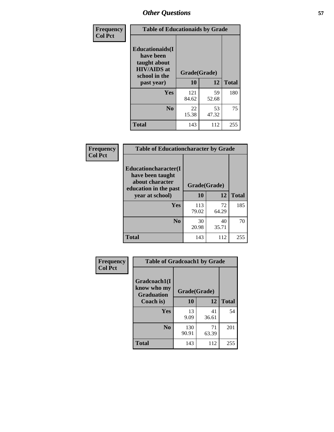| Frequency<br><b>Col Pct</b> | <b>Table of Educationaids by Grade</b>                                                                    |                    |             |              |
|-----------------------------|-----------------------------------------------------------------------------------------------------------|--------------------|-------------|--------------|
|                             | <b>Educationaids</b> (I<br>have been<br>taught about<br><b>HIV/AIDS</b> at<br>school in the<br>past year) | Grade(Grade)<br>10 | 12          | <b>Total</b> |
|                             | Yes                                                                                                       | 121<br>84.62       | 59<br>52.68 | 180          |
|                             | N <sub>0</sub>                                                                                            | 22<br>15.38        | 53<br>47.32 | 75           |
|                             | <b>Total</b>                                                                                              | 143                | 112         | 255          |

| <b>Frequency</b> | <b>Table of Educationcharacter by Grade</b>                                          |              |             |              |
|------------------|--------------------------------------------------------------------------------------|--------------|-------------|--------------|
| <b>Col Pct</b>   | Educationcharacter(I<br>have been taught<br>about character<br>education in the past | Grade(Grade) |             |              |
|                  | year at school)                                                                      | 10           | 12          | <b>Total</b> |
|                  | <b>Yes</b>                                                                           | 113<br>79.02 | 72<br>64.29 | 185          |
|                  | N <sub>0</sub>                                                                       | 30<br>20.98  | 40<br>35.71 | 70           |
|                  | <b>Total</b>                                                                         | 143          | 112         | 255          |

| Frequency      | <b>Table of Gradcoach1 by Grade</b>              |              |             |              |
|----------------|--------------------------------------------------|--------------|-------------|--------------|
| <b>Col Pct</b> | Gradcoach1(I<br>know who my<br><b>Graduation</b> | Grade(Grade) |             |              |
|                | Coach is)                                        | 10           | 12          | <b>Total</b> |
|                | Yes                                              | 13<br>9.09   | 41<br>36.61 | 54           |
|                | N <sub>0</sub>                                   | 130<br>90.91 | 71<br>63.39 | 201          |
|                | <b>Total</b>                                     | 143          | 112         | 255          |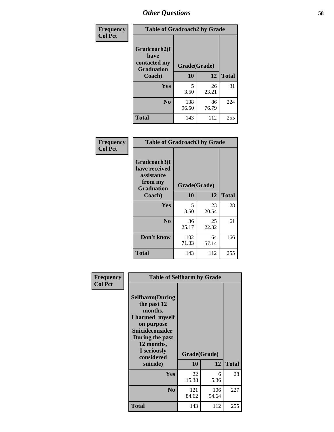| Frequency      | <b>Table of Gradcoach2 by Grade</b> |              |       |              |  |  |
|----------------|-------------------------------------|--------------|-------|--------------|--|--|
| <b>Col Pct</b> | Gradcoach2(I                        |              |       |              |  |  |
|                | have<br>contacted my                | Grade(Grade) |       |              |  |  |
|                | <b>Graduation</b>                   |              |       |              |  |  |
|                | Coach)                              | 10           | 12    | <b>Total</b> |  |  |
|                | Yes                                 | 5            | 26    | 31           |  |  |
|                |                                     | 3.50         | 23.21 |              |  |  |
|                | N <sub>0</sub>                      | 138          | 86    | 224          |  |  |
|                |                                     | 96.50        | 76.79 |              |  |  |
|                | Total                               | 143          | 112   | 255          |  |  |

| Frequency<br><b>Col Pct</b> | <b>Table of Gradcoach3 by Grade</b>                                         |              |             |              |
|-----------------------------|-----------------------------------------------------------------------------|--------------|-------------|--------------|
|                             | Gradcoach3(I<br>have received<br>assistance<br>from my<br><b>Graduation</b> | Grade(Grade) |             |              |
|                             | Coach)                                                                      | 10           | 12          | <b>Total</b> |
|                             | Yes                                                                         | 5            | 23          | 28           |
|                             |                                                                             | 3.50         | 20.54       |              |
|                             | N <sub>0</sub>                                                              | 36<br>25.17  | 25<br>22.32 | 61           |
|                             | Don't know                                                                  | 102<br>71.33 | 64<br>57.14 | 166          |
|                             | <b>Total</b>                                                                | 143          | 112         | 255          |

| Frequency      | <b>Table of Selfharm by Grade</b>                                                                                                                            |              |              |              |
|----------------|--------------------------------------------------------------------------------------------------------------------------------------------------------------|--------------|--------------|--------------|
| <b>Col Pct</b> | <b>Selfharm</b> (During<br>the past 12<br>months,<br>I harmed myself<br>on purpose<br><b>Suicideconsider</b><br>During the past<br>12 months,<br>I seriously |              | Grade(Grade) |              |
|                | considered                                                                                                                                                   |              |              |              |
|                | suicide)                                                                                                                                                     | 10           | 12           | <b>Total</b> |
|                | Yes                                                                                                                                                          | 22<br>15.38  | 6<br>5.36    | 28           |
|                | N <sub>0</sub>                                                                                                                                               | 121<br>84.62 | 106<br>94.64 | 227          |
|                | Total                                                                                                                                                        | 143          | 112          | 255          |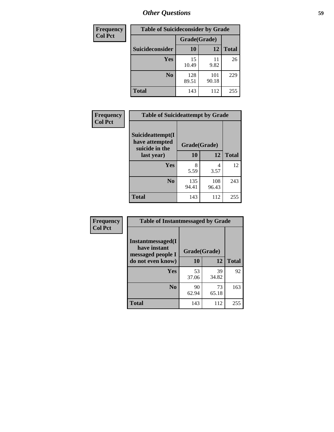| <b>Frequency</b> | <b>Table of Suicideconsider by Grade</b> |              |              |              |
|------------------|------------------------------------------|--------------|--------------|--------------|
| <b>Col Pct</b>   |                                          | Grade(Grade) |              |              |
|                  | Suicideconsider                          | <b>10</b>    | 12           | <b>Total</b> |
|                  | <b>Yes</b>                               | 15<br>10.49  | 11<br>9.82   | 26           |
|                  | N <sub>0</sub>                           | 128<br>89.51 | 101<br>90.18 | 229          |
|                  | <b>Total</b>                             | 143          | 112          | 255          |

| Frequency      | <b>Table of Suicideattempt by Grade</b>              |              |              |              |
|----------------|------------------------------------------------------|--------------|--------------|--------------|
| <b>Col Pct</b> | Suicideattempt(I<br>have attempted<br>suicide in the | Grade(Grade) |              |              |
|                | last year)                                           | 10           | 12           | <b>Total</b> |
|                | Yes                                                  | 8<br>5.59    | 4<br>3.57    | 12           |
|                | $\bf No$                                             | 135<br>94.41 | 108<br>96.43 | 243          |
|                | <b>Total</b>                                         | 143          | 112          | 255          |

| Frequency      | <b>Table of Instantmessaged by Grade</b>                       |              |             |              |
|----------------|----------------------------------------------------------------|--------------|-------------|--------------|
| <b>Col Pct</b> | <b>Instantmessaged</b> (I<br>have instant<br>messaged people I | Grade(Grade) |             |              |
|                | do not even know)                                              | 10           | 12          | <b>Total</b> |
|                | Yes                                                            | 53<br>37.06  | 39<br>34.82 | 92           |
|                | N <sub>0</sub>                                                 | 90<br>62.94  | 73<br>65.18 | 163          |
|                | <b>Total</b>                                                   | 143          | 112         | 255          |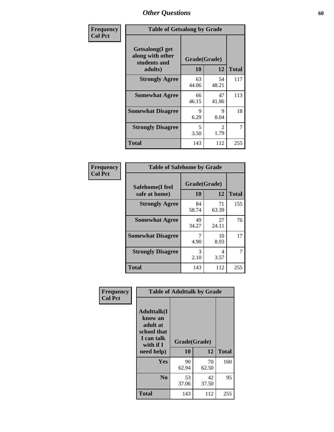| Frequency      | <b>Table of Getsalong by Grade</b>                          |              |                        |              |
|----------------|-------------------------------------------------------------|--------------|------------------------|--------------|
| <b>Col Pct</b> | <b>Getsalong</b> (I get<br>along with other<br>students and | Grade(Grade) |                        |              |
|                | adults)                                                     | 10           | 12                     | <b>Total</b> |
|                | <b>Strongly Agree</b>                                       | 63<br>44.06  | 54<br>48.21            | 117          |
|                | <b>Somewhat Agree</b>                                       | 66<br>46.15  | 47<br>41.96            | 113          |
|                | <b>Somewhat Disagree</b>                                    | 9<br>6.29    | 9<br>8.04              | 18           |
|                | <b>Strongly Disagree</b>                                    | 5<br>3.50    | $\mathfrak{D}$<br>1.79 | 7            |
|                | <b>Total</b>                                                | 143          | 112                    | 255          |

| Frequency      | <b>Table of Safehome by Grade</b> |                    |             |              |
|----------------|-----------------------------------|--------------------|-------------|--------------|
| <b>Col Pct</b> | Safehome(I feel<br>safe at home)  | Grade(Grade)<br>10 | 12          | <b>Total</b> |
|                | <b>Strongly Agree</b>             | 84<br>58.74        | 71<br>63.39 | 155          |
|                | <b>Somewhat Agree</b>             | 49<br>34.27        | 27<br>24.11 | 76           |
|                | <b>Somewhat Disagree</b>          | 4.90               | 10<br>8.93  | 17           |
|                | <b>Strongly Disagree</b>          | 3<br>2.10          | 4<br>3.57   | 7            |
|                | <b>Total</b>                      | 143                | 112         | 255          |

| Frequency      |                                                                                                    | <b>Table of Adulttalk by Grade</b> |             |              |
|----------------|----------------------------------------------------------------------------------------------------|------------------------------------|-------------|--------------|
| <b>Col Pct</b> | <b>Adulttalk</b> (I<br>know an<br>adult at<br>school that<br>I can talk<br>with if I<br>need help) | Grade(Grade)<br>10                 | 12          | <b>Total</b> |
|                | <b>Yes</b>                                                                                         | 90<br>62.94                        | 70<br>62.50 | 160          |
|                | N <sub>0</sub>                                                                                     | 53<br>37.06                        | 42<br>37.50 | 95           |
|                | <b>Total</b>                                                                                       | 143                                | 112         | 255          |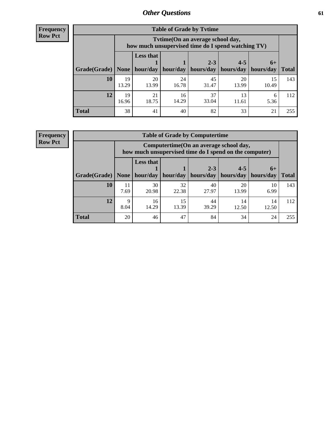**Frequency Row Pct**

| <b>Table of Grade by Tytime</b> |             |                                                                                         |             |             |             |             |              |  |  |
|---------------------------------|-------------|-----------------------------------------------------------------------------------------|-------------|-------------|-------------|-------------|--------------|--|--|
|                                 |             | Tytime (On an average school day,<br>how much unsupervised time do I spend watching TV) |             |             |             |             |              |  |  |
|                                 |             | <b>Less that</b>                                                                        |             | $2 - 3$     | $4 - 5$     | $6+$        |              |  |  |
| Grade(Grade)                    | None        | hour/day                                                                                | hour/day    | hours/day   | hours/day   | hours/day   | <b>Total</b> |  |  |
| 10                              | 19<br>13.29 | 20<br>13.99                                                                             | 24<br>16.78 | 45<br>31.47 | 20<br>13.99 | 15<br>10.49 | 143          |  |  |
| 12                              | 19<br>16.96 | 21<br>18.75                                                                             | 16<br>14.29 | 37<br>33.04 | 13<br>11.61 | 6<br>5.36   | 112          |  |  |
| <b>Total</b>                    | 38          | 41                                                                                      | 40          | 82          | 33          | 21          | 255          |  |  |

**Frequency Row Pct**

| <b>Table of Grade by Computertime</b> |            |                                                                                                                               |             |             |             |            |     |  |  |
|---------------------------------------|------------|-------------------------------------------------------------------------------------------------------------------------------|-------------|-------------|-------------|------------|-----|--|--|
|                                       |            | Computertime (On an average school day,<br>how much unsupervised time do I spend on the computer)                             |             |             |             |            |     |  |  |
| Grade(Grade)                          | None $ $   | <b>Less that</b><br>$2 - 3$<br>$4 - 5$<br>$6+$<br>hour/day<br>hours/day<br>hours/day<br>hour/day<br>hours/day<br><b>Total</b> |             |             |             |            |     |  |  |
| 10                                    | 11<br>7.69 | 30<br>20.98                                                                                                                   | 32<br>22.38 | 40<br>27.97 | 20<br>13.99 | 10<br>6.99 | 143 |  |  |
| 12                                    | Q<br>8.04  | 15<br>16<br>44<br>14<br>14<br>13.39<br>14.29<br>39.29<br>12.50<br>12.50                                                       |             |             |             |            |     |  |  |
| <b>Total</b>                          | 20         | 46                                                                                                                            | 47          | 84          | 34          | 24         | 255 |  |  |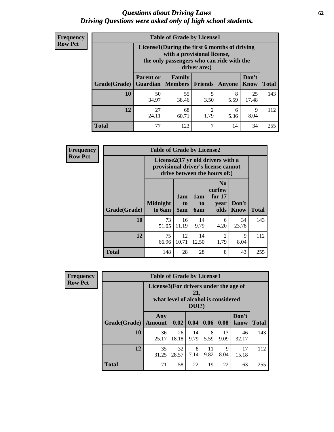#### *Questions about Driving Laws* **62** *Driving Questions were asked only of high school students.*

| <b>Frequency</b> |
|------------------|
| <b>Row Pct</b>   |

| <b>Table of Grade by License1</b> |                                                                                |                                                                                                                                           |                |           |               |              |  |  |  |
|-----------------------------------|--------------------------------------------------------------------------------|-------------------------------------------------------------------------------------------------------------------------------------------|----------------|-----------|---------------|--------------|--|--|--|
|                                   |                                                                                | License1(During the first 6 months of driving<br>with a provisional license,<br>the only passengers who can ride with the<br>driver are:) |                |           |               |              |  |  |  |
| Grade(Grade)                      | <b>Parent or</b><br><b>Guardian</b>                                            | Family<br><b>Members</b>                                                                                                                  | <b>Friends</b> | Anyone    | Don't<br>Know | <b>Total</b> |  |  |  |
| 10                                | 50<br>34.97                                                                    | 55<br>38.46                                                                                                                               | 5<br>3.50      | 8<br>5.59 | 25<br>17.48   | 143          |  |  |  |
| 12                                | 27<br>68<br>$\overline{c}$<br>9<br>6<br>24.11<br>1.79<br>8.04<br>5.36<br>60.71 |                                                                                                                                           |                |           |               |              |  |  |  |
| <b>Total</b>                      | 77                                                                             | 123                                                                                                                                       | 7              | 14        | 34            | 255          |  |  |  |

| <b>Frequency</b> | <b>Table of Grade by License2</b>                                                                        |                           |                  |                  |                                                      |               |              |  |
|------------------|----------------------------------------------------------------------------------------------------------|---------------------------|------------------|------------------|------------------------------------------------------|---------------|--------------|--|
| <b>Row Pct</b>   | License2(17 yr old drivers with a<br>provisional driver's license cannot<br>drive between the hours of:) |                           |                  |                  |                                                      |               |              |  |
|                  | Grade(Grade)                                                                                             | <b>Midnight</b><br>to 6am | 1am<br>to<br>5am | 1am<br>to<br>6am | N <sub>0</sub><br>curfew<br>for $17$<br>year<br>olds | Don't<br>Know | <b>Total</b> |  |
|                  | 10                                                                                                       | 73<br>51.05               | 16<br>11.19      | 14<br>9.79       | 6<br>4.20                                            | 34<br>23.78   | 143          |  |
|                  | 12                                                                                                       | 75<br>66.96               | 12<br>10.71      | 14<br>12.50      | $\mathfrak{D}$<br>1.79                               | 9<br>8.04     | 112          |  |
|                  | <b>Total</b>                                                                                             | 148                       | 28               | 28               | 8                                                    | 43            | 255          |  |

| <b>Frequency</b> | <b>Table of Grade by License3</b> |                                       |                                     |              |            |            |               |              |
|------------------|-----------------------------------|---------------------------------------|-------------------------------------|--------------|------------|------------|---------------|--------------|
| <b>Row Pct</b>   |                                   | License3(For drivers under the age of | what level of alcohol is considered | 21,<br>DUI?) |            |            |               |              |
|                  | Grade(Grade)                      | Any<br><b>Amount</b>                  | 0.02                                | 0.04         | 0.06       | 0.08       | Don't<br>know | <b>Total</b> |
|                  | 10                                | 36<br>25.17                           | 26<br>18.18                         | 14<br>9.79   | 8<br>5.59  | 13<br>9.09 | 46<br>32.17   | 143          |
|                  | 12                                | 35<br>31.25                           | 32<br>28.57                         | 8<br>7.14    | 11<br>9.82 | 9<br>8.04  | 17<br>15.18   | 112          |
|                  | <b>Total</b>                      | 71                                    | 58                                  | 22           | 19         | 22         | 63            | 255          |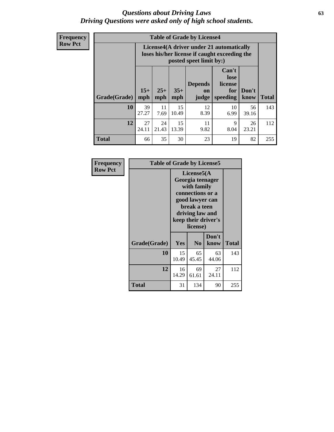#### *Questions about Driving Laws* **63** *Driving Questions were asked only of high school students.*

**Frequency Row Pct**

| <b>Table of Grade by License4</b> |             |                                                                                                                                                                                                                                                                                       |             |            |            |             |     |  |
|-----------------------------------|-------------|---------------------------------------------------------------------------------------------------------------------------------------------------------------------------------------------------------------------------------------------------------------------------------------|-------------|------------|------------|-------------|-----|--|
|                                   |             | License4(A driver under 21 automatically<br>loses his/her license if caught exceeding the<br>posted speet limit by:)<br>Can't<br>lose<br><b>Depends</b><br>license<br>$15+$<br>$25+$<br>$35+$<br>Don't<br>for<br><b>on</b><br><b>Total</b><br>mph<br>speeding<br>know<br>mph<br>judge |             |            |            |             |     |  |
| Grade(Grade)                      | mph         |                                                                                                                                                                                                                                                                                       |             |            |            |             |     |  |
| 10                                | 39<br>27.27 | 11<br>7.69                                                                                                                                                                                                                                                                            | 15<br>10.49 | 12<br>8.39 | 10<br>6.99 | 56<br>39.16 | 143 |  |
| 12                                | 27<br>24.11 | 24<br>21.43                                                                                                                                                                                                                                                                           | 15<br>13.39 | 11<br>9.82 | 9<br>8.04  | 26<br>23.21 | 112 |  |
| <b>Total</b>                      | 66          | 35                                                                                                                                                                                                                                                                                    | 30          | 23         | 19         | 82          | 255 |  |

| Frequency      |              | <b>Table of Grade by License5</b>                                                                                                                           |                |               |       |  |
|----------------|--------------|-------------------------------------------------------------------------------------------------------------------------------------------------------------|----------------|---------------|-------|--|
| <b>Row Pct</b> |              | License5(A)<br>Georgia teenager<br>with family<br>connections or a<br>good lawyer can<br>break a teen<br>driving law and<br>keep their driver's<br>license) |                |               |       |  |
|                | Grade(Grade) | <b>Yes</b>                                                                                                                                                  | N <sub>0</sub> | Don't<br>know | Total |  |
|                | 10           | 15<br>10.49                                                                                                                                                 | 65<br>45.45    | 63<br>44.06   | 143   |  |
|                | 12           | 16<br>14.29                                                                                                                                                 | 69<br>61.61    | 27<br>24.11   | 112   |  |
|                | Total        | 31                                                                                                                                                          | 134            | 90            | 255   |  |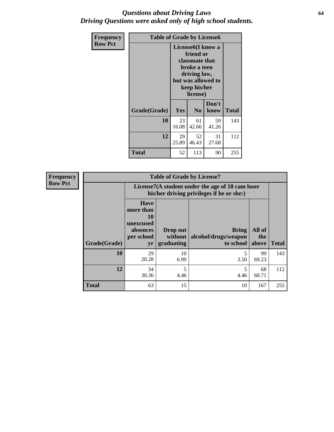#### *Questions about Driving Laws* **64** *Driving Questions were asked only of high school students.*

| <b>Frequency</b> | <b>Table of Grade by License6</b> |             |                                                                                                                           |                    |              |  |
|------------------|-----------------------------------|-------------|---------------------------------------------------------------------------------------------------------------------------|--------------------|--------------|--|
| <b>Row Pct</b>   |                                   |             | License <sub>6</sub> (I know a<br>friend or<br>classmate that<br>broke a teen<br>driving law,<br>keep his/her<br>license) | but was allowed to |              |  |
|                  | Grade(Grade)                      | <b>Yes</b>  | N <sub>0</sub>                                                                                                            | Don't<br>know      | <b>Total</b> |  |
|                  | 10                                | 23<br>16.08 | 61<br>42.66                                                                                                               | 59<br>41.26        | 143          |  |
|                  | 12                                | 29<br>25.89 | 52<br>46.43                                                                                                               | 31<br>27.68        | 112          |  |
|                  | <b>Total</b>                      | 52          | 113                                                                                                                       | 90                 | 255          |  |

| <b>Frequency</b> | <b>Table of Grade by License7</b> |                                                                             |                                                                                               |                                                   |                        |              |  |  |  |  |
|------------------|-----------------------------------|-----------------------------------------------------------------------------|-----------------------------------------------------------------------------------------------|---------------------------------------------------|------------------------|--------------|--|--|--|--|
| <b>Row Pct</b>   |                                   |                                                                             | License7(A student under the age of 18 cam loser<br>his/her driving privileges if he or she:) |                                                   |                        |              |  |  |  |  |
|                  | Grade(Grade)                      | <b>Have</b><br>more than<br>10<br>unexcused<br>absences<br>per school<br>yr | Drop out<br>without  <br>graduating                                                           | <b>Bring</b><br>alcohol/drugs/weapon<br>to school | All of<br>the<br>above | <b>Total</b> |  |  |  |  |
|                  | 10                                | 29<br>20.28                                                                 | 10<br>6.99                                                                                    | 3.50                                              | 99<br>69.23            | 143          |  |  |  |  |
|                  | 12                                | 34<br>30.36                                                                 | 5<br>4.46                                                                                     | 4.46                                              | 68<br>60.71            | 112          |  |  |  |  |
|                  | <b>Total</b>                      | 63                                                                          | 15                                                                                            | 10                                                | 167                    | 255          |  |  |  |  |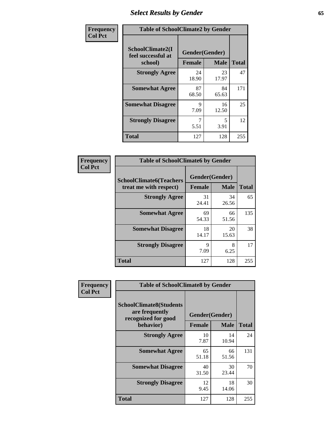# *Select Results by Gender* **65**

| Frequency      | <b>Table of SchoolClimate2 by Gender</b>          |                                 |             |              |  |
|----------------|---------------------------------------------------|---------------------------------|-------------|--------------|--|
| <b>Col Pct</b> | SchoolClimate2(I<br>feel successful at<br>school) | Gender(Gender)<br><b>Female</b> | <b>Male</b> | <b>Total</b> |  |
|                | <b>Strongly Agree</b>                             | 24<br>18.90                     | 23<br>17.97 | 47           |  |
|                | <b>Somewhat Agree</b>                             | 87<br>68.50                     | 84<br>65.63 | 171          |  |
|                | <b>Somewhat Disagree</b>                          | 9<br>7.09                       | 16<br>12.50 | 25           |  |
|                | <b>Strongly Disagree</b>                          | 7<br>5.51                       | 5<br>3.91   | 12           |  |
|                | <b>Total</b>                                      | 127                             | 128         | 255          |  |

| Frequency      | <b>Table of SchoolClimate6 by Gender</b>                 |                                 |             |              |  |
|----------------|----------------------------------------------------------|---------------------------------|-------------|--------------|--|
| <b>Col Pct</b> | <b>SchoolClimate6(Teachers</b><br>treat me with respect) | Gender(Gender)<br><b>Female</b> | <b>Male</b> | <b>Total</b> |  |
|                | <b>Strongly Agree</b>                                    | 31<br>24.41                     | 34<br>26.56 | 65           |  |
|                | <b>Somewhat Agree</b>                                    | 69<br>54.33                     | 66<br>51.56 | 135          |  |
|                | <b>Somewhat Disagree</b>                                 | 18<br>14.17                     | 20<br>15.63 | 38           |  |
|                | <b>Strongly Disagree</b>                                 | 9<br>7.09                       | 8<br>6.25   | 17           |  |
|                | Total                                                    | 127                             | 128         | 255          |  |

| Frequency      | <b>Table of SchoolClimate8 by Gender</b>                                             |                                 |             |              |  |
|----------------|--------------------------------------------------------------------------------------|---------------------------------|-------------|--------------|--|
| <b>Col Pct</b> | <b>SchoolClimate8(Students</b><br>are frequently<br>recognized for good<br>behavior) | Gender(Gender)<br><b>Female</b> | <b>Male</b> | <b>Total</b> |  |
|                | <b>Strongly Agree</b>                                                                | 10                              | 14          | 24           |  |
|                |                                                                                      | 7.87                            | 10.94       |              |  |
|                | <b>Somewhat Agree</b>                                                                | 65<br>51.18                     | 66<br>51.56 | 131          |  |
|                | <b>Somewhat Disagree</b>                                                             | 40<br>31.50                     | 30<br>23.44 | 70           |  |
|                | <b>Strongly Disagree</b>                                                             | 12<br>9.45                      | 18<br>14.06 | 30           |  |
|                | Total                                                                                | 127                             | 128         | 255          |  |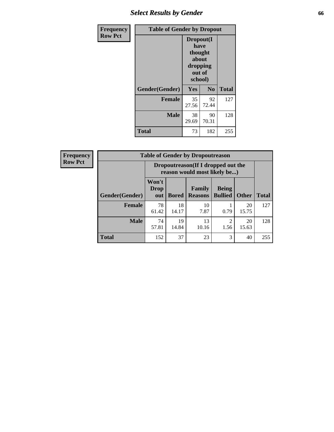# *Select Results by Gender* **66**

| <b>Frequency</b> | <b>Table of Gender by Dropout</b> |                                                                        |                |              |
|------------------|-----------------------------------|------------------------------------------------------------------------|----------------|--------------|
| <b>Row Pct</b>   |                                   | Dropout(I<br>have<br>thought<br>about<br>dropping<br>out of<br>school) |                |              |
|                  | Gender(Gender)                    | <b>Yes</b>                                                             | N <sub>0</sub> | <b>Total</b> |
|                  | <b>Female</b>                     | 35<br>27.56                                                            | 92<br>72.44    | 127          |
|                  | <b>Male</b>                       | 38<br>29.69                                                            | 90<br>70.31    | 128          |
|                  | <b>Total</b>                      | 73                                                                     | 182            | 255          |

| <b>Frequency</b> |                        | <b>Table of Gender by Dropoutreason</b> |              |                                                                    |                                |              |              |  |
|------------------|------------------------|-----------------------------------------|--------------|--------------------------------------------------------------------|--------------------------------|--------------|--------------|--|
| <b>Row Pct</b>   |                        |                                         |              | Dropoutreason(If I dropped out the<br>reason would most likely be) |                                |              |              |  |
|                  | <b>Gender</b> (Gender) | Won't<br>Drop<br>out                    | <b>Bored</b> | Family<br><b>Reasons</b>                                           | <b>Being</b><br><b>Bullied</b> | <b>Other</b> | <b>Total</b> |  |
|                  | <b>Female</b>          | 78<br>61.42                             | 18<br>14.17  | 10<br>7.87                                                         | 0.79                           | 20<br>15.75  | 127          |  |
|                  | <b>Male</b>            | 74<br>57.81                             | 19<br>14.84  | 13<br>10.16                                                        | $\overline{2}$<br>1.56         | 20<br>15.63  | 128          |  |
|                  | <b>Total</b>           | 152                                     | 37           | 23                                                                 | 3                              | 40           | 255          |  |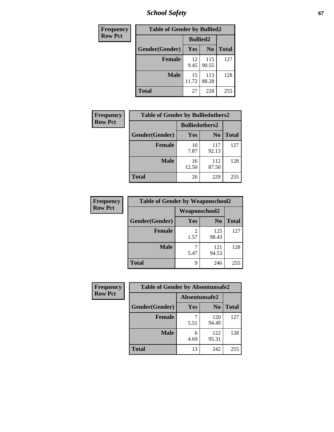*School Safety* **67**

| Frequency      | <b>Table of Gender by Bullied2</b> |                 |                |              |
|----------------|------------------------------------|-----------------|----------------|--------------|
| <b>Row Pct</b> |                                    | <b>Bullied2</b> |                |              |
|                | Gender(Gender)                     | Yes             | N <sub>0</sub> | <b>Total</b> |
|                | <b>Female</b>                      | 12<br>9.45      | 115<br>90.55   | 127          |
|                | <b>Male</b>                        | 15<br>11.72     | 113<br>88.28   | 128          |
|                | <b>Total</b>                       | 27              | 228            | 255          |

| Frequency      | <b>Table of Gender by Bulliedothers2</b> |                       |                |              |
|----------------|------------------------------------------|-----------------------|----------------|--------------|
| <b>Row Pct</b> |                                          | <b>Bulliedothers2</b> |                |              |
|                | Gender(Gender)                           | Yes                   | N <sub>0</sub> | <b>Total</b> |
|                | <b>Female</b>                            | 10<br>7.87            | 117<br>92.13   | 127          |
|                | <b>Male</b>                              | 16<br>12.50           | 112<br>87.50   | 128          |
|                | <b>Total</b>                             | 26                    | 229            | 255          |

| <b>Frequency</b> | <b>Table of Gender by Weaponschool2</b> |               |                |              |
|------------------|-----------------------------------------|---------------|----------------|--------------|
| <b>Row Pct</b>   |                                         | Weaponschool2 |                |              |
|                  | Gender(Gender)                          | Yes           | N <sub>0</sub> | <b>Total</b> |
|                  | Female                                  | 2<br>1.57     | 125<br>98.43   | 127          |
|                  | <b>Male</b>                             | 5.47          | 121<br>94.53   | 128          |
|                  | <b>Total</b>                            | 9             | 246            | 255          |

| Frequency      | <b>Table of Gender by Absentunsafe2</b> |               |                |              |
|----------------|-----------------------------------------|---------------|----------------|--------------|
| <b>Row Pct</b> |                                         | Absentunsafe2 |                |              |
|                | Gender(Gender)                          | Yes           | N <sub>0</sub> | <b>Total</b> |
|                | <b>Female</b>                           | 5.51          | 120<br>94.49   | 127          |
|                | <b>Male</b>                             | 6<br>4.69     | 122<br>95.31   | 128          |
|                | <b>Total</b>                            | 13            | 242            | 255          |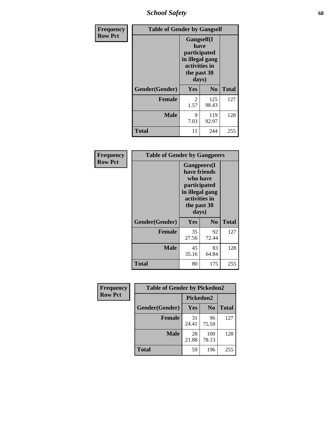*School Safety* **68**

| Frequency      | <b>Table of Gender by Gangself</b> |                                                                                                |                |              |
|----------------|------------------------------------|------------------------------------------------------------------------------------------------|----------------|--------------|
| <b>Row Pct</b> |                                    | Gangself(I<br>have<br>participated<br>in illegal gang<br>activities in<br>the past 30<br>days) |                |              |
|                | Gender(Gender)                     | Yes                                                                                            | N <sub>0</sub> | <b>Total</b> |
|                | <b>Female</b>                      | 2<br>1.57                                                                                      | 125<br>98.43   | 127          |
|                | <b>Male</b>                        | 9<br>7.03                                                                                      | 119<br>92.97   | 128          |
|                | <b>Total</b>                       | 11                                                                                             | 244            | 255          |

| Frequency      | <b>Table of Gender by Gangpeers</b> |                                                                                                                             |                |              |
|----------------|-------------------------------------|-----------------------------------------------------------------------------------------------------------------------------|----------------|--------------|
| <b>Row Pct</b> |                                     | <b>Gangpeers</b> (I<br>have friends<br>who have<br>participated<br>in illegal gang<br>activities in<br>the past 30<br>days) |                |              |
|                | Gender(Gender)                      | <b>Yes</b>                                                                                                                  | N <sub>0</sub> | <b>Total</b> |
|                | <b>Female</b>                       | 35<br>27.56                                                                                                                 | 92<br>72.44    | 127          |
|                | <b>Male</b>                         | 45<br>35.16                                                                                                                 | 83<br>64.84    | 128          |
|                | <b>Total</b>                        | 80                                                                                                                          | 175            | 255          |

| <b>Frequency</b> | <b>Table of Gender by Pickedon2</b> |             |                |              |
|------------------|-------------------------------------|-------------|----------------|--------------|
| <b>Row Pct</b>   |                                     | Pickedon2   |                |              |
|                  | Gender(Gender)                      | Yes         | N <sub>0</sub> | <b>Total</b> |
|                  | <b>Female</b>                       | 31<br>24.41 | 96<br>75.59    | 127          |
|                  | <b>Male</b>                         | 28<br>21.88 | 100<br>78.13   | 128          |
|                  | <b>Total</b>                        | 59          | 196            | 255          |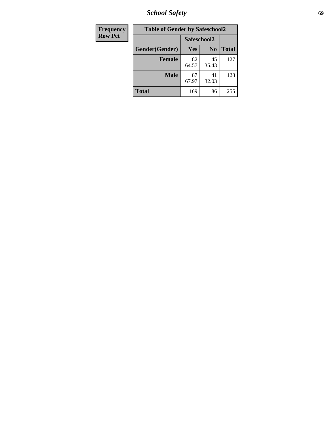*School Safety* **69**

| Frequency      | <b>Table of Gender by Safeschool2</b> |             |                |              |  |
|----------------|---------------------------------------|-------------|----------------|--------------|--|
| <b>Row Pct</b> |                                       | Safeschool2 |                |              |  |
|                | Gender(Gender)                        | Yes         | N <sub>0</sub> | <b>Total</b> |  |
|                | <b>Female</b>                         | 82<br>64.57 | 45<br>35.43    | 127          |  |
|                | <b>Male</b>                           | 87<br>67.97 | 41<br>32.03    | 128          |  |
|                | <b>Total</b>                          | 169         | 86             | 255          |  |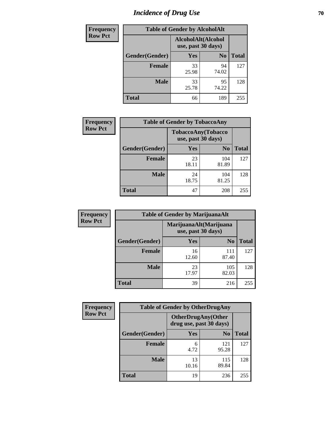# *Incidence of Drug Use* **70**

| <b>Frequency</b> | <b>Table of Gender by AlcoholAlt</b> |                                          |                |              |  |
|------------------|--------------------------------------|------------------------------------------|----------------|--------------|--|
| <b>Row Pct</b>   |                                      | AlcoholAlt(Alcohol<br>use, past 30 days) |                |              |  |
|                  | Gender(Gender)                       | <b>Yes</b>                               | N <sub>0</sub> | <b>Total</b> |  |
|                  | <b>Female</b>                        | 33<br>25.98                              | 94<br>74.02    | 127          |  |
|                  | <b>Male</b>                          | 33<br>25.78                              | 95<br>74.22    | 128          |  |
|                  | <b>Total</b>                         | 66                                       | 189            | 255          |  |

| Frequency      | <b>Table of Gender by TobaccoAny</b> |                                          |                |              |  |
|----------------|--------------------------------------|------------------------------------------|----------------|--------------|--|
| <b>Row Pct</b> |                                      | TobaccoAny(Tobacco<br>use, past 30 days) |                |              |  |
|                | Gender(Gender)                       | Yes                                      | N <sub>0</sub> | <b>Total</b> |  |
|                | <b>Female</b>                        | 23<br>18.11                              | 104<br>81.89   | 127          |  |
|                | <b>Male</b>                          | 24<br>18.75                              | 104<br>81.25   | 128          |  |
|                | <b>Total</b>                         | 47                                       | 208            | 255          |  |

| <b>Frequency</b> | <b>Table of Gender by MarijuanaAlt</b>       |             |                |              |  |
|------------------|----------------------------------------------|-------------|----------------|--------------|--|
| <b>Row Pct</b>   | MarijuanaAlt(Marijuana<br>use, past 30 days) |             |                |              |  |
|                  | Gender(Gender)                               | <b>Yes</b>  | N <sub>0</sub> | <b>Total</b> |  |
|                  | <b>Female</b>                                | 16<br>12.60 | 111<br>87.40   | 127          |  |
|                  | <b>Male</b>                                  | 23<br>17.97 | 105<br>82.03   | 128          |  |
|                  | <b>Total</b>                                 | 39          | 216            | 255          |  |

| <b>Frequency</b> | <b>Table of Gender by OtherDrugAny</b> |                         |                           |              |  |
|------------------|----------------------------------------|-------------------------|---------------------------|--------------|--|
| <b>Row Pct</b>   |                                        | drug use, past 30 days) | <b>OtherDrugAny(Other</b> |              |  |
|                  | Gender(Gender)                         | <b>Yes</b>              | N <sub>0</sub>            | <b>Total</b> |  |
|                  | <b>Female</b>                          | 6<br>4.72               | 121<br>95.28              | 127          |  |
|                  | <b>Male</b>                            | 13<br>10.16             | 115<br>89.84              | 128          |  |
|                  | <b>Total</b>                           | 19                      | 236                       | 255          |  |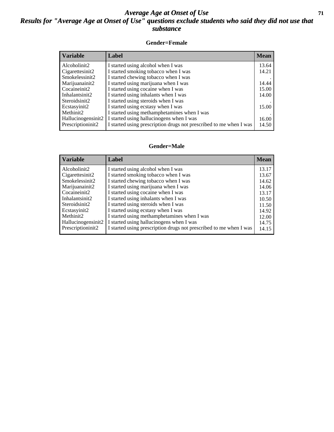#### *Average Age at Onset of Use* **71** *Results for "Average Age at Onset of Use" questions exclude students who said they did not use that substance*

#### **Gender=Female**

| <b>Variable</b>    | Label                                                              | <b>Mean</b> |
|--------------------|--------------------------------------------------------------------|-------------|
| Alcoholinit2       | I started using alcohol when I was                                 | 13.64       |
| Cigarettesinit2    | I started smoking tobacco when I was                               | 14.21       |
| Smokelessinit2     | I started chewing tobacco when I was                               |             |
| Marijuanainit2     | I started using marijuana when I was                               | 14.44       |
| Cocaineinit2       | I started using cocaine when I was                                 | 15.00       |
| Inhalantsinit2     | I started using inhalants when I was                               | 14.00       |
| Steroidsinit2      | I started using steroids when I was                                |             |
| Ecstasyinit2       | I started using ecstasy when I was                                 | 15.00       |
| Methinit2          | I started using methamphetamines when I was                        |             |
| Hallucinogensinit2 | I started using hallucinogens when I was                           | 16.00       |
| Prescription in t2 | I started using prescription drugs not prescribed to me when I was | 14.50       |

#### **Gender=Male**

| <b>Variable</b>    | Label                                                              | <b>Mean</b> |
|--------------------|--------------------------------------------------------------------|-------------|
| Alcoholinit2       | I started using alcohol when I was                                 | 13.17       |
| Cigarettesinit2    | I started smoking tobacco when I was                               | 13.67       |
| Smokelessinit2     | I started chewing tobacco when I was                               | 14.62       |
| Marijuanainit2     | I started using marijuana when I was                               | 14.06       |
| Cocaineinit2       | I started using cocaine when I was                                 | 13.17       |
| Inhalantsinit2     | I started using inhalants when I was                               | 10.50       |
| Steroidsinit2      | I started using steroids when I was                                | 11.50       |
| Ecstasyinit2       | I started using ecstasy when I was                                 | 14.92       |
| Methinit2          | I started using methamphetamines when I was                        | 12.00       |
| Hallucinogensinit2 | I started using hallucinogens when I was                           | 14.75       |
| Prescriptioninit2  | I started using prescription drugs not prescribed to me when I was | 14.15       |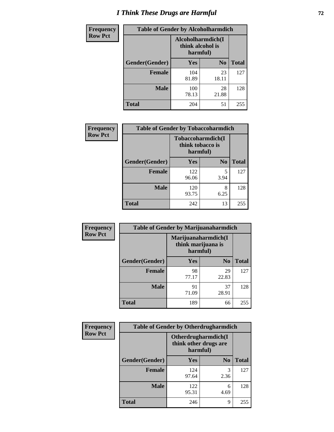# *I Think These Drugs are Harmful* **72**

| <b>Frequency</b> | <b>Table of Gender by Alcoholharmdich</b> |                                                   |                |              |
|------------------|-------------------------------------------|---------------------------------------------------|----------------|--------------|
| <b>Row Pct</b>   |                                           | Alcoholharmdich(I<br>think alcohol is<br>harmful) |                |              |
|                  | Gender(Gender)                            | Yes                                               | N <sub>0</sub> | <b>Total</b> |
|                  | <b>Female</b>                             | 104<br>81.89                                      | 23<br>18.11    | 127          |
|                  | <b>Male</b>                               | 100<br>78.13                                      | 28<br>21.88    | 128          |
|                  | <b>Total</b>                              | 204                                               | 51             | 255          |

| Frequency      | <b>Table of Gender by Tobaccoharmdich</b> |                  |                               |              |  |
|----------------|-------------------------------------------|------------------|-------------------------------|--------------|--|
| <b>Row Pct</b> |                                           | think tobacco is | Tobaccoharmdich(I<br>harmful) |              |  |
|                | Gender(Gender)                            | Yes              | N <sub>0</sub>                | <b>Total</b> |  |
|                | <b>Female</b>                             | 122<br>96.06     | 5<br>3.94                     | 127          |  |
|                | <b>Male</b>                               | 120<br>93.75     | 8<br>6.25                     | 128          |  |
|                | <b>Total</b>                              | 242              | 13                            | 255          |  |

| Frequency      | <b>Table of Gender by Marijuanaharmdich</b> |                                                       |                |              |  |
|----------------|---------------------------------------------|-------------------------------------------------------|----------------|--------------|--|
| <b>Row Pct</b> |                                             | Marijuanaharmdich(I<br>think marijuana is<br>harmful) |                |              |  |
|                | Gender(Gender)                              | <b>Yes</b>                                            | N <sub>0</sub> | <b>Total</b> |  |
|                | <b>Female</b>                               | 98<br>77.17                                           | 29<br>22.83    | 127          |  |
|                | <b>Male</b>                                 | 91<br>71.09                                           | 37<br>28.91    | 128          |  |
|                | <b>Total</b>                                | 189                                                   | 66             | 255          |  |

| Frequency      | <b>Table of Gender by Otherdrugharmdich</b> |                                                          |                |              |  |
|----------------|---------------------------------------------|----------------------------------------------------------|----------------|--------------|--|
| <b>Row Pct</b> |                                             | Otherdrugharmdich(I<br>think other drugs are<br>harmful) |                |              |  |
|                | Gender(Gender)                              | <b>Yes</b>                                               | N <sub>0</sub> | <b>Total</b> |  |
|                | <b>Female</b>                               | 124<br>97.64                                             | 3<br>2.36      | 127          |  |
|                | <b>Male</b>                                 | 122<br>95.31                                             | 6<br>4.69      | 128          |  |
|                | <b>Total</b>                                | 246                                                      | 9              | 255          |  |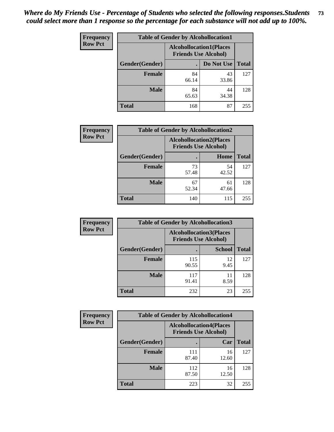| <b>Frequency</b> | <b>Table of Gender by Alcohollocation1</b> |                                                               |             |              |
|------------------|--------------------------------------------|---------------------------------------------------------------|-------------|--------------|
| <b>Row Pct</b>   |                                            | <b>Alcohollocation1(Places</b><br><b>Friends Use Alcohol)</b> |             |              |
|                  | Gender(Gender)                             |                                                               | Do Not Use  | <b>Total</b> |
|                  | <b>Female</b>                              | 84<br>66.14                                                   | 43<br>33.86 | 127          |
|                  | <b>Male</b>                                | 84<br>65.63                                                   | 44<br>34.38 | 128          |
|                  | <b>Total</b>                               | 168                                                           | 87          | 255          |

| <b>Frequency</b> | <b>Table of Gender by Alcohollocation2</b> |                                |                             |              |
|------------------|--------------------------------------------|--------------------------------|-----------------------------|--------------|
| <b>Row Pct</b>   |                                            | <b>Alcohollocation2(Places</b> | <b>Friends Use Alcohol)</b> |              |
|                  | Gender(Gender)                             |                                | Home                        | <b>Total</b> |
|                  | <b>Female</b>                              | 73<br>57.48                    | 54<br>42.52                 | 127          |
|                  | <b>Male</b>                                | 67<br>52.34                    | 61<br>47.66                 | 128          |
|                  | <b>Total</b>                               | 140                            | 115                         | 255          |

| Frequency      | <b>Table of Gender by Alcohollocation3</b> |                                                               |               |              |
|----------------|--------------------------------------------|---------------------------------------------------------------|---------------|--------------|
| <b>Row Pct</b> |                                            | <b>Alcohollocation3(Places</b><br><b>Friends Use Alcohol)</b> |               |              |
|                | Gender(Gender)                             |                                                               | <b>School</b> | <b>Total</b> |
|                | <b>Female</b>                              | 115<br>90.55                                                  | 12<br>9.45    | 127          |
|                | <b>Male</b>                                | 117<br>91.41                                                  | 11<br>8.59    | 128          |
|                | <b>Total</b>                               | 232                                                           | 23            | 255          |

| <b>Frequency</b> | <b>Table of Gender by Alcohollocation4</b> |                             |                                |              |  |
|------------------|--------------------------------------------|-----------------------------|--------------------------------|--------------|--|
| <b>Row Pct</b>   |                                            | <b>Friends Use Alcohol)</b> | <b>Alcohollocation4(Places</b> |              |  |
|                  | Gender(Gender)                             |                             | Car                            | <b>Total</b> |  |
|                  | Female                                     | 111<br>87.40                | 16<br>12.60                    | 127          |  |
|                  | <b>Male</b>                                | 112<br>87.50                | 16<br>12.50                    | 128          |  |
|                  | <b>Total</b>                               | 223                         | 32                             | 255          |  |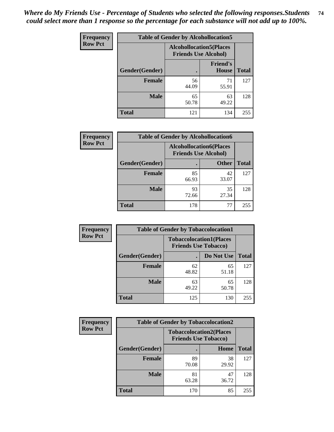| <b>Frequency</b> | <b>Table of Gender by Alcohollocation5</b> |                                                               |                                 |              |
|------------------|--------------------------------------------|---------------------------------------------------------------|---------------------------------|--------------|
| <b>Row Pct</b>   |                                            | <b>Alcohollocation5(Places</b><br><b>Friends Use Alcohol)</b> |                                 |              |
|                  | Gender(Gender)                             | $\bullet$                                                     | <b>Friend's</b><br><b>House</b> | <b>Total</b> |
|                  | <b>Female</b>                              | 56<br>44.09                                                   | 71<br>55.91                     | 127          |
|                  | <b>Male</b>                                | 65<br>50.78                                                   | 63<br>49.22                     | 128          |
|                  | <b>Total</b>                               | 121                                                           | 134                             | 255          |

| Frequency      | <b>Table of Gender by Alcohollocation6</b> |                                                               |              |              |  |
|----------------|--------------------------------------------|---------------------------------------------------------------|--------------|--------------|--|
| <b>Row Pct</b> |                                            | <b>Alcohollocation6(Places</b><br><b>Friends Use Alcohol)</b> |              |              |  |
|                | <b>Gender</b> (Gender)                     |                                                               | <b>Other</b> | <b>Total</b> |  |
|                | <b>Female</b>                              | 85<br>66.93                                                   | 42<br>33.07  | 127          |  |
|                | <b>Male</b>                                | 93<br>72.66                                                   | 35<br>27.34  | 128          |  |
|                | <b>Total</b>                               | 178                                                           | 77           | 255          |  |

| Frequency      | <b>Table of Gender by Tobaccolocation1</b> |                                                               |             |              |  |
|----------------|--------------------------------------------|---------------------------------------------------------------|-------------|--------------|--|
| <b>Row Pct</b> |                                            | <b>Tobaccolocation1(Places</b><br><b>Friends Use Tobacco)</b> |             |              |  |
|                | Gender(Gender)                             |                                                               | Do Not Use  | <b>Total</b> |  |
|                | Female                                     | 62<br>48.82                                                   | 65<br>51.18 | 127          |  |
|                | <b>Male</b>                                | 63<br>49.22                                                   | 65<br>50.78 | 128          |  |
|                | <b>Total</b>                               | 125                                                           | 130         | 255          |  |

| <b>Frequency</b> |                | <b>Table of Gender by Tobaccolocation2</b>                    |             |              |
|------------------|----------------|---------------------------------------------------------------|-------------|--------------|
| <b>Row Pct</b>   |                | <b>Tobaccolocation2(Places</b><br><b>Friends Use Tobacco)</b> |             |              |
|                  | Gender(Gender) |                                                               | Home        | <b>Total</b> |
|                  | Female         | 89<br>70.08                                                   | 38<br>29.92 | 127          |
|                  | <b>Male</b>    | 81<br>63.28                                                   | 47<br>36.72 | 128          |
|                  | <b>Total</b>   | 170                                                           | 85          | 255          |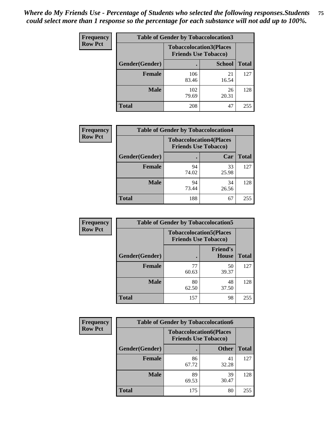| <b>Frequency</b> | <b>Table of Gender by Tobaccolocation3</b> |              |                                                               |              |
|------------------|--------------------------------------------|--------------|---------------------------------------------------------------|--------------|
| <b>Row Pct</b>   |                                            |              | <b>Tobaccolocation3(Places</b><br><b>Friends Use Tobacco)</b> |              |
|                  | Gender(Gender)                             |              | <b>School</b>                                                 | <b>Total</b> |
|                  | Female                                     | 106<br>83.46 | 21<br>16.54                                                   | 127          |
|                  | <b>Male</b>                                | 102<br>79.69 | 26<br>20.31                                                   | 128          |
|                  | <b>Total</b>                               | 208          | 47                                                            | 255          |

| <b>Frequency</b> | <b>Table of Gender by Tobaccolocation4</b> |             |                                                               |              |
|------------------|--------------------------------------------|-------------|---------------------------------------------------------------|--------------|
| <b>Row Pct</b>   |                                            |             | <b>Tobaccolocation4(Places</b><br><b>Friends Use Tobacco)</b> |              |
|                  | Gender(Gender)                             |             | Car                                                           | <b>Total</b> |
|                  | <b>Female</b>                              | 94<br>74.02 | 33<br>25.98                                                   | 127          |
|                  | <b>Male</b>                                | 94<br>73.44 | 34<br>26.56                                                   | 128          |
|                  | <b>Total</b>                               | 188         | 67                                                            | 255          |

| <b>Frequency</b> | <b>Table of Gender by Tobaccolocation5</b> |                                                               |                                 |              |
|------------------|--------------------------------------------|---------------------------------------------------------------|---------------------------------|--------------|
| <b>Row Pct</b>   |                                            | <b>Tobaccolocation5(Places</b><br><b>Friends Use Tobacco)</b> |                                 |              |
|                  | Gender(Gender)                             |                                                               | <b>Friend's</b><br><b>House</b> | <b>Total</b> |
|                  | <b>Female</b>                              | 77<br>60.63                                                   | 50<br>39.37                     | 127          |
|                  | <b>Male</b>                                | 80<br>62.50                                                   | 48<br>37.50                     | 128          |
|                  | <b>Total</b>                               | 157                                                           | 98                              | 255          |

| <b>Frequency</b> | <b>Table of Gender by Tobaccolocation6</b> |                                                               |              |              |
|------------------|--------------------------------------------|---------------------------------------------------------------|--------------|--------------|
| <b>Row Pct</b>   |                                            | <b>Tobaccolocation6(Places</b><br><b>Friends Use Tobacco)</b> |              |              |
|                  | Gender(Gender)                             |                                                               | <b>Other</b> | <b>Total</b> |
|                  | Female                                     | 86<br>67.72                                                   | 41<br>32.28  | 127          |
|                  | <b>Male</b>                                | 89<br>69.53                                                   | 39<br>30.47  | 128          |
|                  | <b>Total</b>                               | 175                                                           | 80           | 255          |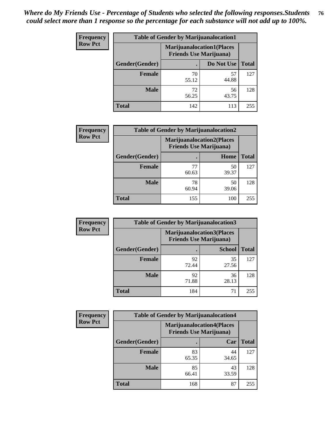| <b>Frequency</b> | <b>Table of Gender by Marijuanalocation1</b> |                                                                    |             |              |  |
|------------------|----------------------------------------------|--------------------------------------------------------------------|-------------|--------------|--|
| <b>Row Pct</b>   |                                              | <b>Marijuanalocation1(Places</b><br><b>Friends Use Marijuana</b> ) |             |              |  |
|                  | Gender(Gender)                               |                                                                    | Do Not Use  | <b>Total</b> |  |
|                  | <b>Female</b>                                | 70<br>55.12                                                        | 57<br>44.88 | 127          |  |
|                  | <b>Male</b>                                  | 72<br>56.25                                                        | 56<br>43.75 | 128          |  |
|                  | Total                                        | 142                                                                | 113         | 255          |  |

| <b>Frequency</b> | <b>Table of Gender by Marijuanalocation2</b> |                                                                    |             |              |  |
|------------------|----------------------------------------------|--------------------------------------------------------------------|-------------|--------------|--|
| <b>Row Pct</b>   |                                              | <b>Marijuanalocation2(Places</b><br><b>Friends Use Marijuana</b> ) |             |              |  |
|                  | Gender(Gender)                               |                                                                    | Home        | <b>Total</b> |  |
|                  | <b>Female</b>                                | 77<br>60.63                                                        | 50<br>39.37 | 127          |  |
|                  | <b>Male</b>                                  | 78<br>60.94                                                        | 50<br>39.06 | 128          |  |
|                  | <b>Total</b>                                 | 155                                                                | 100         | 255          |  |

| Frequency      | <b>Table of Gender by Marijuanalocation3</b> |                                                                    |               |              |  |
|----------------|----------------------------------------------|--------------------------------------------------------------------|---------------|--------------|--|
| <b>Row Pct</b> |                                              | <b>Marijuanalocation3(Places</b><br><b>Friends Use Marijuana</b> ) |               |              |  |
|                | Gender(Gender)                               |                                                                    | <b>School</b> | <b>Total</b> |  |
|                | Female                                       | 92<br>72.44                                                        | 35<br>27.56   | 127          |  |
|                | <b>Male</b>                                  | 92<br>71.88                                                        | 36<br>28.13   | 128          |  |
|                | <b>Total</b>                                 | 184                                                                | 71            | 255          |  |

| Frequency      | <b>Table of Gender by Marijuanalocation4</b> |             |                                                                    |              |
|----------------|----------------------------------------------|-------------|--------------------------------------------------------------------|--------------|
| <b>Row Pct</b> |                                              |             | <b>Marijuanalocation4(Places</b><br><b>Friends Use Marijuana</b> ) |              |
|                | Gender(Gender)                               |             | Car                                                                | <b>Total</b> |
|                | <b>Female</b>                                | 83<br>65.35 | 44<br>34.65                                                        | 127          |
|                | <b>Male</b>                                  | 85<br>66.41 | 43<br>33.59                                                        | 128          |
|                | <b>Total</b>                                 | 168         | 87                                                                 | 255          |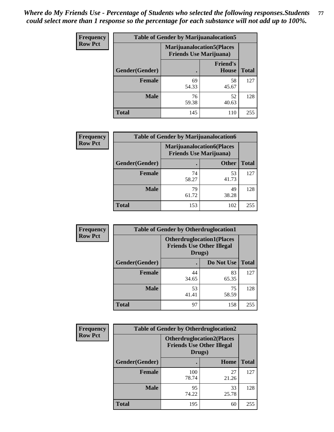| <b>Frequency</b> | <b>Table of Gender by Marijuanalocation5</b> |                                                                    |                          |              |
|------------------|----------------------------------------------|--------------------------------------------------------------------|--------------------------|--------------|
| <b>Row Pct</b>   |                                              | <b>Marijuanalocation5(Places</b><br><b>Friends Use Marijuana</b> ) |                          |              |
|                  | Gender(Gender)                               |                                                                    | <b>Friend's</b><br>House | <b>Total</b> |
|                  | <b>Female</b>                                | 69<br>54.33                                                        | 58<br>45.67              | 127          |
|                  | <b>Male</b>                                  | 76<br>59.38                                                        | 52<br>40.63              | 128          |
|                  | <b>Total</b>                                 | 145                                                                | 110                      | 255          |

| <b>Frequency</b> | <b>Table of Gender by Marijuanalocation6</b> |                                |                                   |              |  |
|------------------|----------------------------------------------|--------------------------------|-----------------------------------|--------------|--|
| <b>Row Pct</b>   |                                              | <b>Friends Use Marijuana</b> ) | <b>Marijuanalocation6(Places)</b> |              |  |
|                  | Gender(Gender)                               |                                | <b>Other</b>                      | <b>Total</b> |  |
|                  | <b>Female</b>                                | 74<br>58.27                    | 53<br>41.73                       | 127          |  |
|                  | <b>Male</b>                                  | 79<br>61.72                    | 49<br>38.28                       | 128          |  |
|                  | <b>Total</b>                                 | 153                            | 102                               | 255          |  |

| Frequency      | <b>Table of Gender by Otherdruglocation1</b> |                                                                                |             |              |
|----------------|----------------------------------------------|--------------------------------------------------------------------------------|-------------|--------------|
| <b>Row Pct</b> |                                              | <b>Otherdruglocation1(Places</b><br><b>Friends Use Other Illegal</b><br>Drugs) |             |              |
|                | Gender(Gender)                               |                                                                                | Do Not Use  | <b>Total</b> |
|                | <b>Female</b>                                | 44<br>34.65                                                                    | 83<br>65.35 | 127          |
|                | <b>Male</b>                                  | 53<br>41.41                                                                    | 75<br>58.59 | 128          |
|                | <b>Total</b>                                 | 97                                                                             | 158         | 255          |

| <b>Frequency</b> | <b>Table of Gender by Otherdruglocation2</b> |                                            |                                   |              |
|------------------|----------------------------------------------|--------------------------------------------|-----------------------------------|--------------|
| <b>Row Pct</b>   |                                              | <b>Friends Use Other Illegal</b><br>Drugs) | <b>Otherdruglocation2(Places)</b> |              |
|                  | Gender(Gender)                               |                                            | Home                              | <b>Total</b> |
|                  | Female                                       | 100<br>78.74                               | 27<br>21.26                       | 127          |
|                  | <b>Male</b>                                  | 95<br>74.22                                | 33<br>25.78                       | 128          |
|                  | <b>Total</b>                                 | 195                                        | 60                                | 255          |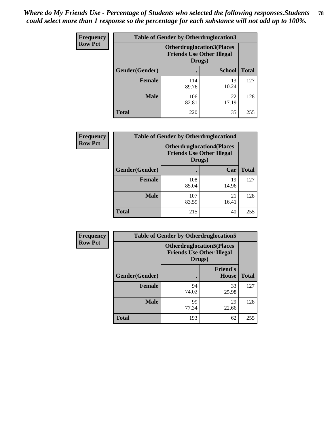| <b>Frequency</b> | <b>Table of Gender by Otherdruglocation3</b> |                                            |                                  |              |
|------------------|----------------------------------------------|--------------------------------------------|----------------------------------|--------------|
| <b>Row Pct</b>   |                                              | <b>Friends Use Other Illegal</b><br>Drugs) | <b>Otherdruglocation3(Places</b> |              |
|                  | Gender(Gender)                               |                                            | <b>School</b>                    | <b>Total</b> |
|                  | <b>Female</b>                                | 114<br>89.76                               | 13<br>10.24                      | 127          |
|                  | <b>Male</b>                                  | 106<br>82.81                               | 22<br>17.19                      | 128          |
|                  | <b>Total</b>                                 | 220                                        | 35                               | 255          |

| <b>Frequency</b> | <b>Table of Gender by Otherdruglocation4</b> |                                                                                |             |              |
|------------------|----------------------------------------------|--------------------------------------------------------------------------------|-------------|--------------|
| <b>Row Pct</b>   |                                              | <b>Otherdruglocation4(Places</b><br><b>Friends Use Other Illegal</b><br>Drugs) |             |              |
|                  | Gender(Gender)                               |                                                                                | Car         | <b>Total</b> |
|                  | Female                                       | 108<br>85.04                                                                   | 19<br>14.96 | 127          |
|                  | <b>Male</b>                                  | 107<br>83.59                                                                   | 21<br>16.41 | 128          |
|                  | <b>Total</b>                                 | 215                                                                            | 40          | 255          |

| Frequency      | <b>Table of Gender by Otherdruglocation5</b> |                                                                                |                                 |              |
|----------------|----------------------------------------------|--------------------------------------------------------------------------------|---------------------------------|--------------|
| <b>Row Pct</b> |                                              | <b>Otherdruglocation5(Places</b><br><b>Friends Use Other Illegal</b><br>Drugs) |                                 |              |
|                | Gender(Gender)                               |                                                                                | <b>Friend's</b><br><b>House</b> | <b>Total</b> |
|                | <b>Female</b>                                | 94<br>74.02                                                                    | 33<br>25.98                     | 127          |
|                | <b>Male</b>                                  | 99<br>77.34                                                                    | 29<br>22.66                     | 128          |
|                | <b>Total</b>                                 | 193                                                                            | 62                              | 255          |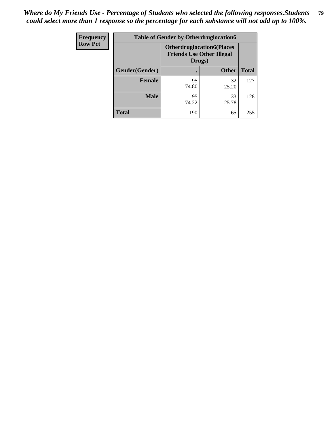| Frequency      | <b>Table of Gender by Otherdruglocation6</b> |                                                                                |              |              |
|----------------|----------------------------------------------|--------------------------------------------------------------------------------|--------------|--------------|
| <b>Row Pct</b> |                                              | <b>Otherdruglocation6(Places</b><br><b>Friends Use Other Illegal</b><br>Drugs) |              |              |
|                | Gender(Gender)                               |                                                                                | <b>Other</b> | <b>Total</b> |
|                | Female                                       | 95<br>74.80                                                                    | 32<br>25.20  | 127          |
|                | <b>Male</b>                                  | 95<br>74.22                                                                    | 33<br>25.78  | 128          |
|                | <b>Total</b>                                 | 190                                                                            | 65           | 255          |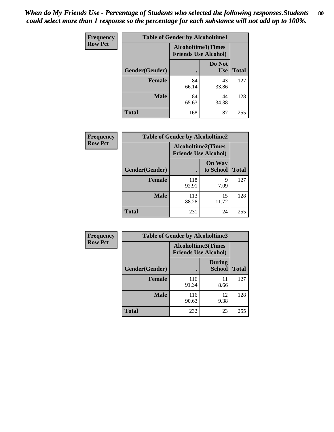| <b>Frequency</b> | <b>Table of Gender by Alcoholtime1</b> |                                                          |                      |              |
|------------------|----------------------------------------|----------------------------------------------------------|----------------------|--------------|
| <b>Row Pct</b>   |                                        | <b>Alcoholtime1(Times</b><br><b>Friends Use Alcohol)</b> |                      |              |
|                  | Gender(Gender)                         | $\bullet$                                                | Do Not<br><b>Use</b> | <b>Total</b> |
|                  | <b>Female</b>                          | 84<br>66.14                                              | 43<br>33.86          | 127          |
|                  | <b>Male</b>                            | 84<br>65.63                                              | 44<br>34.38          | 128          |
|                  | <b>Total</b>                           | 168                                                      | 87                   | 255          |

| Frequency      | <b>Table of Gender by Alcoholtime2</b> |                                                          |                            |              |
|----------------|----------------------------------------|----------------------------------------------------------|----------------------------|--------------|
| <b>Row Pct</b> |                                        | <b>Alcoholtime2(Times</b><br><b>Friends Use Alcohol)</b> |                            |              |
|                | Gender(Gender)                         |                                                          | <b>On Way</b><br>to School | <b>Total</b> |
|                | <b>Female</b>                          | 118<br>92.91                                             | 9<br>7.09                  | 127          |
|                | <b>Male</b>                            | 113<br>88.28                                             | 15<br>11.72                | 128          |
|                | <b>Total</b>                           | 231                                                      | 24                         | 255          |

| Frequency      | <b>Table of Gender by Alcoholtime3</b> |                                                          |                                |              |
|----------------|----------------------------------------|----------------------------------------------------------|--------------------------------|--------------|
| <b>Row Pct</b> |                                        | <b>Alcoholtime3(Times</b><br><b>Friends Use Alcohol)</b> |                                |              |
|                | Gender(Gender)                         |                                                          | <b>During</b><br><b>School</b> | <b>Total</b> |
|                | Female                                 | 116<br>91.34                                             | 11<br>8.66                     | 127          |
|                | <b>Male</b>                            | 116<br>90.63                                             | 12<br>9.38                     | 128          |
|                | <b>Total</b>                           | 232                                                      | 23                             | 255          |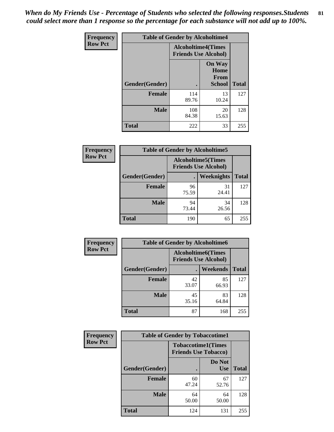*When do My Friends Use - Percentage of Students who selected the following responses.Students could select more than 1 response so the percentage for each substance will not add up to 100%.* **81**

| <b>Frequency</b> | <b>Table of Gender by Alcoholtime4</b> |                                                          |                                                |              |
|------------------|----------------------------------------|----------------------------------------------------------|------------------------------------------------|--------------|
| <b>Row Pct</b>   |                                        | <b>Alcoholtime4(Times</b><br><b>Friends Use Alcohol)</b> |                                                |              |
|                  | Gender(Gender)                         |                                                          | <b>On Way</b><br>Home<br>From<br><b>School</b> | <b>Total</b> |
|                  | <b>Female</b>                          | 114<br>89.76                                             | 13<br>10.24                                    | 127          |
|                  | <b>Male</b>                            | 108<br>84.38                                             | 20<br>15.63                                    | 128          |
|                  | <b>Total</b>                           | 222                                                      | 33                                             | 255          |

| <b>Frequency</b> | <b>Table of Gender by Alcoholtime5</b> |                                                           |             |              |
|------------------|----------------------------------------|-----------------------------------------------------------|-------------|--------------|
| <b>Row Pct</b>   |                                        | <b>Alcoholtime5</b> (Times<br><b>Friends Use Alcohol)</b> |             |              |
|                  | Gender(Gender)                         |                                                           | Weeknights  | <b>Total</b> |
|                  | <b>Female</b>                          | 96<br>75.59                                               | 31<br>24.41 | 127          |
|                  | <b>Male</b>                            | 94<br>73.44                                               | 34<br>26.56 | 128          |
|                  | <b>Total</b>                           | 190                                                       | 65          | 255          |

| <b>Frequency</b> | <b>Table of Gender by Alcoholtime6</b> |             |                                                           |              |  |
|------------------|----------------------------------------|-------------|-----------------------------------------------------------|--------------|--|
| <b>Row Pct</b>   |                                        |             | <b>Alcoholtime6</b> (Times<br><b>Friends Use Alcohol)</b> |              |  |
|                  | Gender(Gender)                         |             | <b>Weekends</b>                                           | <b>Total</b> |  |
|                  | <b>Female</b>                          | 42<br>33.07 | 85<br>66.93                                               | 127          |  |
|                  | <b>Male</b>                            | 45<br>35.16 | 83<br>64.84                                               | 128          |  |
|                  | Total                                  | 87          | 168                                                       | 255          |  |

| Frequency      | <b>Table of Gender by Tobaccotime1</b> |                                                          |                      |              |
|----------------|----------------------------------------|----------------------------------------------------------|----------------------|--------------|
| <b>Row Pct</b> |                                        | <b>Tobaccotime1(Times</b><br><b>Friends Use Tobacco)</b> |                      |              |
|                | Gender(Gender)                         |                                                          | Do Not<br><b>Use</b> | <b>Total</b> |
|                | <b>Female</b>                          | 60<br>47.24                                              | 67<br>52.76          | 127          |
|                | <b>Male</b>                            | 64<br>50.00                                              | 64<br>50.00          | 128          |
|                | <b>Total</b>                           | 124                                                      | 131                  | 255          |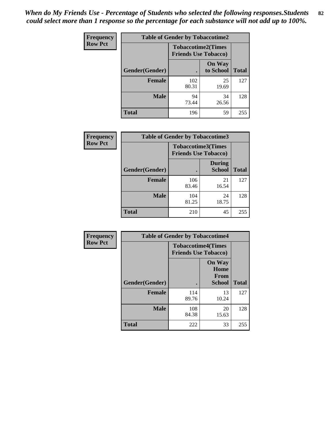| <b>Frequency</b> | <b>Table of Gender by Tobaccotime2</b> |                                                          |                            |              |
|------------------|----------------------------------------|----------------------------------------------------------|----------------------------|--------------|
| <b>Row Pct</b>   |                                        | <b>Tobaccotime2(Times</b><br><b>Friends Use Tobacco)</b> |                            |              |
|                  | Gender(Gender)                         |                                                          | <b>On Way</b><br>to School | <b>Total</b> |
|                  | <b>Female</b>                          | 102<br>80.31                                             | 25<br>19.69                | 127          |
|                  | <b>Male</b>                            | 94<br>73.44                                              | 34<br>26.56                | 128          |
|                  | <b>Total</b>                           | 196                                                      | 59                         | 255          |

| <b>Frequency</b> | <b>Table of Gender by Tobaccotime3</b> |                                                          |                                |              |
|------------------|----------------------------------------|----------------------------------------------------------|--------------------------------|--------------|
| <b>Row Pct</b>   |                                        | <b>Tobaccotime3(Times</b><br><b>Friends Use Tobacco)</b> |                                |              |
|                  | Gender(Gender)                         |                                                          | <b>During</b><br><b>School</b> | <b>Total</b> |
|                  | <b>Female</b>                          | 106<br>83.46                                             | 21<br>16.54                    | 127          |
|                  | <b>Male</b>                            | 104<br>81.25                                             | 24<br>18.75                    | 128          |
|                  | <b>Total</b>                           | 210                                                      | 45                             | 255          |

| Frequency      | <b>Table of Gender by Tobaccotime4</b> |                                                          |                                                |              |
|----------------|----------------------------------------|----------------------------------------------------------|------------------------------------------------|--------------|
| <b>Row Pct</b> |                                        | <b>Tobaccotime4(Times</b><br><b>Friends Use Tobacco)</b> |                                                |              |
|                | Gender(Gender)                         |                                                          | <b>On Way</b><br>Home<br>From<br><b>School</b> | <b>Total</b> |
|                | <b>Female</b>                          | 114<br>89.76                                             | 13<br>10.24                                    | 127          |
|                | <b>Male</b>                            | 108<br>84.38                                             | 20<br>15.63                                    | 128          |
|                | <b>Total</b>                           | 222                                                      | 33                                             | 255          |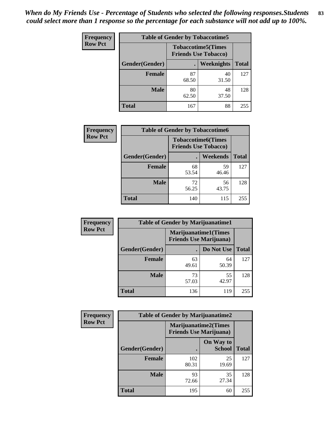| Frequency      | <b>Table of Gender by Tobaccotime5</b> |             |                                                          |              |  |
|----------------|----------------------------------------|-------------|----------------------------------------------------------|--------------|--|
| <b>Row Pct</b> |                                        |             | <b>Tobaccotime5(Times</b><br><b>Friends Use Tobacco)</b> |              |  |
|                | Gender(Gender)                         |             | Weeknights                                               | <b>Total</b> |  |
|                | <b>Female</b>                          | 87<br>68.50 | 40<br>31.50                                              | 127          |  |
|                | <b>Male</b>                            | 80<br>62.50 | 48<br>37.50                                              | 128          |  |
|                | <b>Total</b>                           | 167         | 88                                                       | 255          |  |

| <b>Frequency</b> | <b>Table of Gender by Tobaccotime6</b> |                             |                           |              |
|------------------|----------------------------------------|-----------------------------|---------------------------|--------------|
| <b>Row Pct</b>   |                                        | <b>Friends Use Tobacco)</b> | <b>Tobaccotime6(Times</b> |              |
|                  | Gender(Gender)                         |                             | Weekends                  | <b>Total</b> |
|                  | Female                                 | 68<br>53.54                 | 59<br>46.46               | 127          |
|                  | <b>Male</b>                            | 72<br>56.25                 | 56<br>43.75               | 128          |
|                  | <b>Total</b>                           | 140                         | 115                       | 255          |

| Frequency      | <b>Table of Gender by Marijuanatime1</b> |                                                               |             |              |
|----------------|------------------------------------------|---------------------------------------------------------------|-------------|--------------|
| <b>Row Pct</b> |                                          | <b>Marijuanatime1(Times</b><br><b>Friends Use Marijuana</b> ) |             |              |
|                | Gender(Gender)                           |                                                               | Do Not Use  | <b>Total</b> |
|                | <b>Female</b>                            | 63<br>49.61                                                   | 64<br>50.39 | 127          |
|                | <b>Male</b>                              | 73<br>57.03                                                   | 55<br>42.97 | 128          |
|                | <b>Total</b>                             | 136                                                           | 119         | 255          |

| <b>Frequency</b> | <b>Table of Gender by Marijuanatime2</b> |                                                               |                            |              |
|------------------|------------------------------------------|---------------------------------------------------------------|----------------------------|--------------|
| <b>Row Pct</b>   |                                          | <b>Marijuanatime2(Times</b><br><b>Friends Use Marijuana</b> ) |                            |              |
|                  | Gender(Gender)                           |                                                               | On Way to<br><b>School</b> | <b>Total</b> |
|                  | <b>Female</b>                            | 102<br>80.31                                                  | 25<br>19.69                | 127          |
|                  | <b>Male</b>                              | 93<br>72.66                                                   | 35<br>27.34                | 128          |
|                  | <b>Total</b>                             | 195                                                           | 60                         | 255          |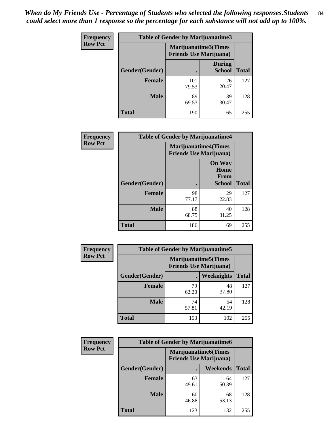| Frequency      | <b>Table of Gender by Marijuanatime3</b> |                                                        |                                |              |
|----------------|------------------------------------------|--------------------------------------------------------|--------------------------------|--------------|
| <b>Row Pct</b> |                                          | Marijuanatime3(Times<br><b>Friends Use Marijuana</b> ) |                                |              |
|                | Gender(Gender)                           |                                                        | <b>During</b><br><b>School</b> | <b>Total</b> |
|                | <b>Female</b>                            | 101<br>79.53                                           | 26<br>20.47                    | 127          |
|                | <b>Male</b>                              | 89<br>69.53                                            | 39<br>30.47                    | 128          |
|                | <b>Total</b>                             | 190                                                    | 65                             | 255          |

| Frequency      | <b>Table of Gender by Marijuanatime4</b> |                                                               |                                                       |              |
|----------------|------------------------------------------|---------------------------------------------------------------|-------------------------------------------------------|--------------|
| <b>Row Pct</b> |                                          | <b>Marijuanatime4(Times</b><br><b>Friends Use Marijuana</b> ) |                                                       |              |
|                | Gender(Gender)                           |                                                               | <b>On Way</b><br>Home<br><b>From</b><br><b>School</b> | <b>Total</b> |
|                | <b>Female</b>                            | 98<br>77.17                                                   | 29<br>22.83                                           | 127          |
|                | <b>Male</b>                              | 88<br>68.75                                                   | 40<br>31.25                                           | 128          |
|                | <b>Total</b>                             | 186                                                           | 69                                                    | 255          |

| Frequency      | <b>Table of Gender by Marijuanatime5</b> |                                                                |             |              |  |
|----------------|------------------------------------------|----------------------------------------------------------------|-------------|--------------|--|
| <b>Row Pct</b> |                                          | <b>Marijuanatime5</b> (Times<br><b>Friends Use Marijuana</b> ) |             |              |  |
|                | Gender(Gender)                           | ٠                                                              | Weeknights  | <b>Total</b> |  |
|                | <b>Female</b>                            | 79<br>62.20                                                    | 48<br>37.80 | 127          |  |
|                | <b>Male</b>                              | 74<br>57.81                                                    | 54<br>42.19 | 128          |  |
|                | <b>Total</b>                             | 153                                                            | 102         | 255          |  |

| Frequency      | <b>Table of Gender by Marijuanatime6</b> |                                                               |                 |              |  |
|----------------|------------------------------------------|---------------------------------------------------------------|-----------------|--------------|--|
| <b>Row Pct</b> |                                          | <b>Marijuanatime6(Times</b><br><b>Friends Use Marijuana</b> ) |                 |              |  |
|                | Gender(Gender)                           |                                                               | <b>Weekends</b> | <b>Total</b> |  |
|                | <b>Female</b>                            | 63<br>49.61                                                   | 64<br>50.39     | 127          |  |
|                | <b>Male</b>                              | 60<br>46.88                                                   | 68<br>53.13     | 128          |  |
|                | <b>Total</b>                             | 123                                                           | 132             | 255          |  |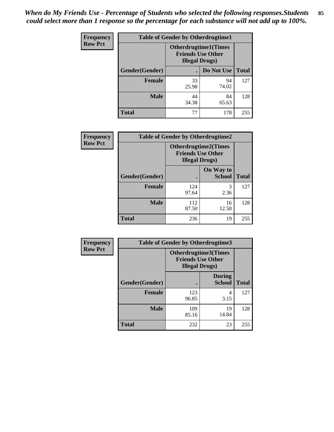*When do My Friends Use - Percentage of Students who selected the following responses.Students could select more than 1 response so the percentage for each substance will not add up to 100%.* **85**

| <b>Frequency</b> | <b>Table of Gender by Otherdrugtime1</b> |                                                    |                              |              |
|------------------|------------------------------------------|----------------------------------------------------|------------------------------|--------------|
| <b>Row Pct</b>   |                                          | <b>Friends Use Other</b><br><b>Illegal Drugs</b> ) | <b>Otherdrugtime1</b> (Times |              |
|                  | Gender(Gender)                           |                                                    | Do Not Use                   | <b>Total</b> |
|                  | <b>Female</b>                            | 33<br>25.98                                        | 94<br>74.02                  | 127          |
|                  | <b>Male</b>                              | 44<br>34.38                                        | 84<br>65.63                  | 128          |
|                  | <b>Total</b>                             | 77                                                 | 178                          | 255          |

| Frequency      | <b>Table of Gender by Otherdrugtime2</b> |                                                                                   |                            |              |
|----------------|------------------------------------------|-----------------------------------------------------------------------------------|----------------------------|--------------|
| <b>Row Pct</b> |                                          | <b>Otherdrugtime2(Times</b><br><b>Friends Use Other</b><br><b>Illegal Drugs</b> ) |                            |              |
|                | Gender(Gender)                           |                                                                                   | On Way to<br><b>School</b> | <b>Total</b> |
|                | <b>Female</b>                            | 124<br>97.64                                                                      | 3<br>2.36                  | 127          |
|                | <b>Male</b>                              | 112<br>87.50                                                                      | 16<br>12.50                | 128          |
|                | <b>Total</b>                             | 236                                                                               | 19                         | 255          |

| Frequency      |                | <b>Table of Gender by Otherdrugtime3</b> |                                                         |              |
|----------------|----------------|------------------------------------------|---------------------------------------------------------|--------------|
| <b>Row Pct</b> |                | <b>Illegal Drugs</b> )                   | <b>Otherdrugtime3(Times</b><br><b>Friends Use Other</b> |              |
|                | Gender(Gender) |                                          | <b>During</b><br><b>School</b>                          | <b>Total</b> |
|                | <b>Female</b>  | 123<br>96.85                             | 4<br>3.15                                               | 127          |
|                | <b>Male</b>    | 109<br>85.16                             | 19<br>14.84                                             | 128          |
|                | <b>Total</b>   | 232                                      | 23                                                      | 255          |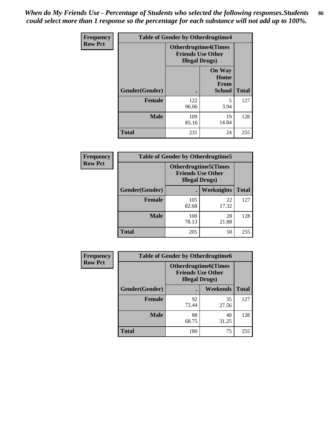*When do My Friends Use - Percentage of Students who selected the following responses.Students could select more than 1 response so the percentage for each substance will not add up to 100%.* **86**

| <b>Frequency</b> | <b>Table of Gender by Otherdrugtime4</b> |                                                    |                                                       |              |
|------------------|------------------------------------------|----------------------------------------------------|-------------------------------------------------------|--------------|
| <b>Row Pct</b>   |                                          | <b>Friends Use Other</b><br><b>Illegal Drugs</b> ) | <b>Otherdrugtime4(Times</b>                           |              |
|                  | Gender(Gender)                           |                                                    | <b>On Way</b><br>Home<br><b>From</b><br><b>School</b> | <b>Total</b> |
|                  | Female                                   | 122<br>96.06                                       | 5<br>3.94                                             | 127          |
|                  | <b>Male</b>                              | 109<br>85.16                                       | 19<br>14.84                                           | 128          |
|                  | <b>Total</b>                             | 231                                                | 24                                                    | 255          |

| Frequency      | <b>Table of Gender by Otherdrugtime5</b> |                                                                                    |             |              |
|----------------|------------------------------------------|------------------------------------------------------------------------------------|-------------|--------------|
| <b>Row Pct</b> |                                          | <b>Otherdrugtime5</b> (Times<br><b>Friends Use Other</b><br><b>Illegal Drugs</b> ) |             |              |
|                | Gender(Gender)                           |                                                                                    | Weeknights  | <b>Total</b> |
|                | Female                                   | 105<br>82.68                                                                       | 22<br>17.32 | 127          |
|                | <b>Male</b>                              | 100<br>78.13                                                                       | 28<br>21.88 | 128          |
|                | <b>Total</b>                             | 205                                                                                | 50          | 255          |

| <b>Frequency</b> | <b>Table of Gender by Otherdrugtime6</b> |                                                                                   |             |              |
|------------------|------------------------------------------|-----------------------------------------------------------------------------------|-------------|--------------|
| <b>Row Pct</b>   |                                          | <b>Otherdrugtime6(Times</b><br><b>Friends Use Other</b><br><b>Illegal Drugs</b> ) |             |              |
|                  | Gender(Gender)                           |                                                                                   | Weekends    | <b>Total</b> |
|                  | <b>Female</b>                            | 92<br>72.44                                                                       | 35<br>27.56 | 127          |
|                  | <b>Male</b>                              | 88<br>68.75                                                                       | 40<br>31.25 | 128          |
|                  | <b>Total</b>                             | 180                                                                               | 75          | 255          |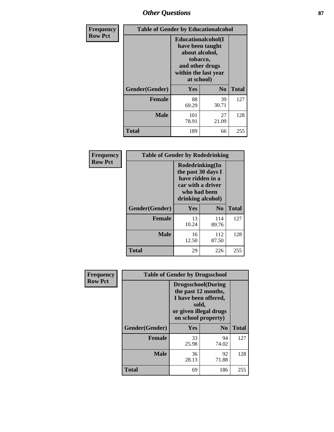# *Other Questions* **87**

| <b>Frequency</b> | <b>Table of Gender by Educationalcohol</b> |                                                                                                                                       |                |              |
|------------------|--------------------------------------------|---------------------------------------------------------------------------------------------------------------------------------------|----------------|--------------|
| <b>Row Pct</b>   |                                            | <b>Educationalcohol</b> (I<br>have been taught<br>about alcohol,<br>tobacco,<br>and other drugs<br>within the last year<br>at school) |                |              |
|                  | Gender(Gender)                             | <b>Yes</b>                                                                                                                            | N <sub>0</sub> | <b>Total</b> |
|                  | <b>Female</b>                              | 88<br>69.29                                                                                                                           | 39<br>30.71    | 127          |
|                  | <b>Male</b>                                | 101<br>78.91                                                                                                                          | 27<br>21.09    | 128          |
|                  | <b>Total</b>                               | 189                                                                                                                                   | 66             | 255          |

| Frequency      | <b>Table of Gender by Rodedrinking</b> |                                                                                                                     |              |              |  |
|----------------|----------------------------------------|---------------------------------------------------------------------------------------------------------------------|--------------|--------------|--|
| <b>Row Pct</b> |                                        | Rodedrinking(In<br>the past 30 days I<br>have ridden in a<br>car with a driver<br>who had been<br>drinking alcohol) |              |              |  |
|                | Gender(Gender)                         | Yes                                                                                                                 | $\bf N_0$    | <b>Total</b> |  |
|                | <b>Female</b>                          | 13<br>10.24                                                                                                         | 114<br>89.76 | 127          |  |
|                | <b>Male</b>                            | 16<br>12.50                                                                                                         | 112<br>87.50 | 128          |  |
|                | <b>Total</b>                           | 29                                                                                                                  | 226          | 255          |  |

| Frequency      | <b>Table of Gender by Drugsschool</b> |                                                                                                                                     |                |              |  |
|----------------|---------------------------------------|-------------------------------------------------------------------------------------------------------------------------------------|----------------|--------------|--|
| <b>Row Pct</b> |                                       | <b>Drugsschool</b> (During<br>the past 12 months,<br>I have been offered,<br>sold,<br>or given illegal drugs<br>on school property) |                |              |  |
|                | Gender(Gender)                        | Yes                                                                                                                                 | N <sub>0</sub> | <b>Total</b> |  |
|                | <b>Female</b>                         | 33<br>25.98                                                                                                                         | 94<br>74.02    | 127          |  |
|                | <b>Male</b>                           | 36<br>28.13                                                                                                                         | 92<br>71.88    | 128          |  |
|                | <b>Total</b>                          | 69                                                                                                                                  | 186            | 255          |  |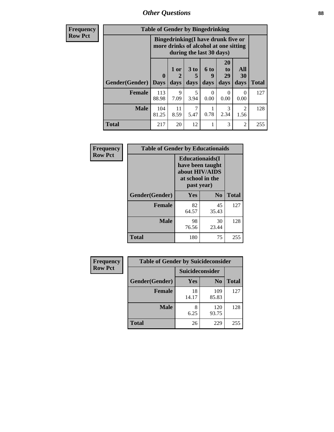*Other Questions* **88**

**Frequency Row Pct**

| <b>Table of Gender by Bingedrinking</b> |                             |                                                                                                         |                   |                   |                        |                        |              |
|-----------------------------------------|-----------------------------|---------------------------------------------------------------------------------------------------------|-------------------|-------------------|------------------------|------------------------|--------------|
|                                         |                             | Bingedrinking(I have drunk five or<br>more drinks of alcohol at one sitting<br>during the last 30 days) |                   |                   |                        |                        |              |
| <b>Gender</b> (Gender)                  | $\mathbf{0}$<br><b>Days</b> | 1 or<br>2<br>days                                                                                       | 3 to<br>5<br>days | 6 to<br>9<br>days | 20<br>to<br>29<br>days | All<br>30<br>days      | <b>Total</b> |
| <b>Female</b>                           | 113<br>88.98                | 9<br>7.09                                                                                               | 5<br>3.94         | 0<br>0.00         | 0<br>0.00              | $\Omega$<br>0.00       | 127          |
| <b>Male</b>                             | 104<br>81.25                | 11<br>8.59                                                                                              | 5.47              | 0.78              | 3<br>2.34              | $\overline{2}$<br>1.56 | 128          |
| <b>Total</b>                            | 217                         | 20                                                                                                      | 12                |                   | 3                      | $\overline{2}$         | 255          |

| Frequency      | <b>Table of Gender by Educationaids</b> |                                                                                                 |             |              |  |
|----------------|-----------------------------------------|-------------------------------------------------------------------------------------------------|-------------|--------------|--|
| <b>Row Pct</b> |                                         | <b>Educationaids</b> (I<br>have been taught<br>about HIV/AIDS<br>at school in the<br>past year) |             |              |  |
|                | Gender(Gender)                          | Yes                                                                                             | $\bf N_0$   | <b>Total</b> |  |
|                | <b>Female</b>                           | 82<br>64.57                                                                                     | 45<br>35.43 | 127          |  |
|                | <b>Male</b>                             | 98<br>76.56                                                                                     | 30<br>23.44 | 128          |  |
|                | <b>Total</b>                            | 180                                                                                             | 75          | 255          |  |

| <b>Frequency</b> | <b>Table of Gender by Suicideconsider</b> |                        |                |              |  |
|------------------|-------------------------------------------|------------------------|----------------|--------------|--|
| <b>Row Pct</b>   |                                           | <b>Suicideconsider</b> |                |              |  |
|                  | Gender(Gender)                            | Yes                    | N <sub>0</sub> | <b>Total</b> |  |
|                  | <b>Female</b>                             | 18<br>14.17            | 109<br>85.83   | 127          |  |
|                  | <b>Male</b>                               | 8<br>6.25              | 120<br>93.75   | 128          |  |
|                  | <b>Total</b>                              | 26                     | 229            | 255          |  |